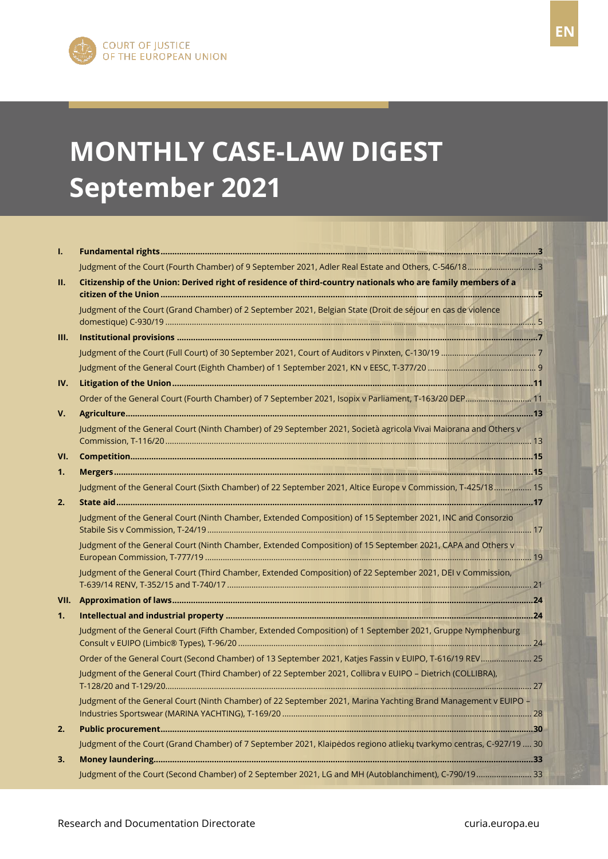FR

# **MONTHLY CASE-LAW DIGEST September 2021**

| ı.   |                                                                                                                     |  |
|------|---------------------------------------------------------------------------------------------------------------------|--|
|      |                                                                                                                     |  |
| П.   | Citizenship of the Union: Derived right of residence of third-country nationals who are family members of a         |  |
|      | Judgment of the Court (Grand Chamber) of 2 September 2021, Belgian State (Droit de séjour en cas de violence        |  |
| III. |                                                                                                                     |  |
|      |                                                                                                                     |  |
|      |                                                                                                                     |  |
| IV.  |                                                                                                                     |  |
|      |                                                                                                                     |  |
| V.   |                                                                                                                     |  |
|      | Judgment of the General Court (Ninth Chamber) of 29 September 2021, Società agricola Vivai Maiorana and Others v    |  |
| VI.  |                                                                                                                     |  |
| 1.   |                                                                                                                     |  |
|      | Judgment of the General Court (Sixth Chamber) of 22 September 2021, Altice Europe v Commission, T-425/18 15         |  |
| 2.   |                                                                                                                     |  |
|      | Judgment of the General Court (Ninth Chamber, Extended Composition) of 15 September 2021, INC and Consorzio         |  |
|      | Judgment of the General Court (Ninth Chamber, Extended Composition) of 15 September 2021, CAPA and Others v         |  |
|      | Judgment of the General Court (Third Chamber, Extended Composition) of 22 September 2021, DEI v Commission,         |  |
| VII. |                                                                                                                     |  |
| 1.   |                                                                                                                     |  |
|      | Judgment of the General Court (Fifth Chamber, Extended Composition) of 1 September 2021, Gruppe Nymphenburg         |  |
|      | Order of the General Court (Second Chamber) of 13 September 2021, Katjes Fassin v EUIPO, T-616/19 REV 25            |  |
|      | Judgment of the General Court (Third Chamber) of 22 September 2021, Collibra v EUIPO - Dietrich (COLLIBRA),         |  |
|      | Judgment of the General Court (Ninth Chamber) of 22 September 2021, Marina Yachting Brand Management v EUIPO -      |  |
| 2.   |                                                                                                                     |  |
|      | Judgment of the Court (Grand Chamber) of 7 September 2021, Klaipėdos regiono atliekų tvarkymo centras, C-927/19  30 |  |
| 3.   |                                                                                                                     |  |
|      | Judgment of the Court (Second Chamber) of 2 September 2021, LG and MH (Autoblanchiment), C-790/19 33                |  |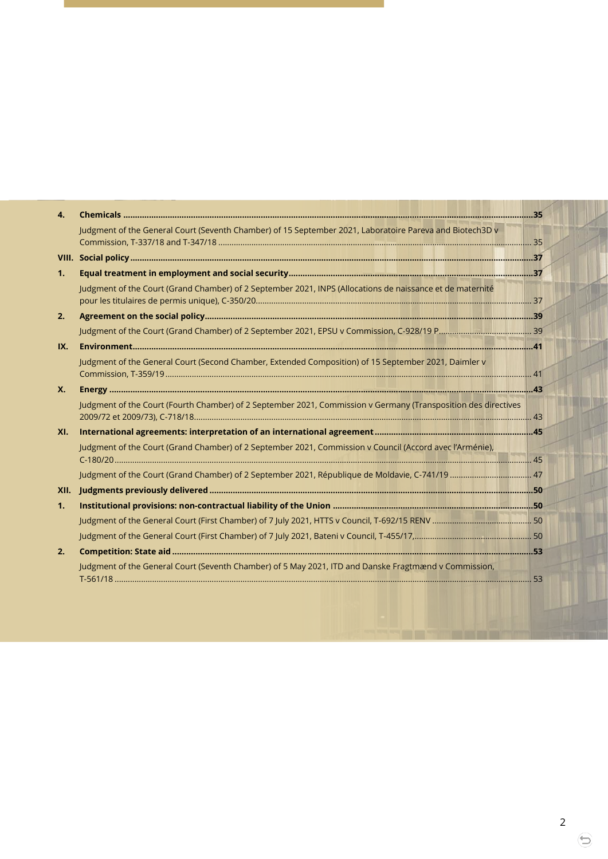| $\mathbf{A}$ |                                                                                                                |    |
|--------------|----------------------------------------------------------------------------------------------------------------|----|
|              | Judgment of the General Court (Seventh Chamber) of 15 September 2021, Laboratoire Pareva and Biotech3D v       |    |
|              |                                                                                                                |    |
| 1.           |                                                                                                                |    |
|              | Judgment of the Court (Grand Chamber) of 2 September 2021, INPS (Allocations de naissance et de maternité      |    |
| 2.           |                                                                                                                |    |
|              |                                                                                                                |    |
| IX.          |                                                                                                                |    |
|              | Judgment of the General Court (Second Chamber, Extended Composition) of 15 September 2021, Daimler v           |    |
| <b>X.</b>    |                                                                                                                |    |
|              | Judgment of the Court (Fourth Chamber) of 2 September 2021, Commission v Germany (Transposition des directives |    |
| XL           |                                                                                                                |    |
|              | Judgment of the Court (Grand Chamber) of 2 September 2021, Commission v Council (Accord avec l'Arménie),       |    |
|              |                                                                                                                |    |
|              |                                                                                                                |    |
| 1.           |                                                                                                                |    |
|              |                                                                                                                |    |
|              |                                                                                                                |    |
| 2.           |                                                                                                                |    |
|              | Judgment of the General Court (Seventh Chamber) of 5 May 2021. ITD and Danske Fragtmænd y Commission.          | 53 |

 $\Theta$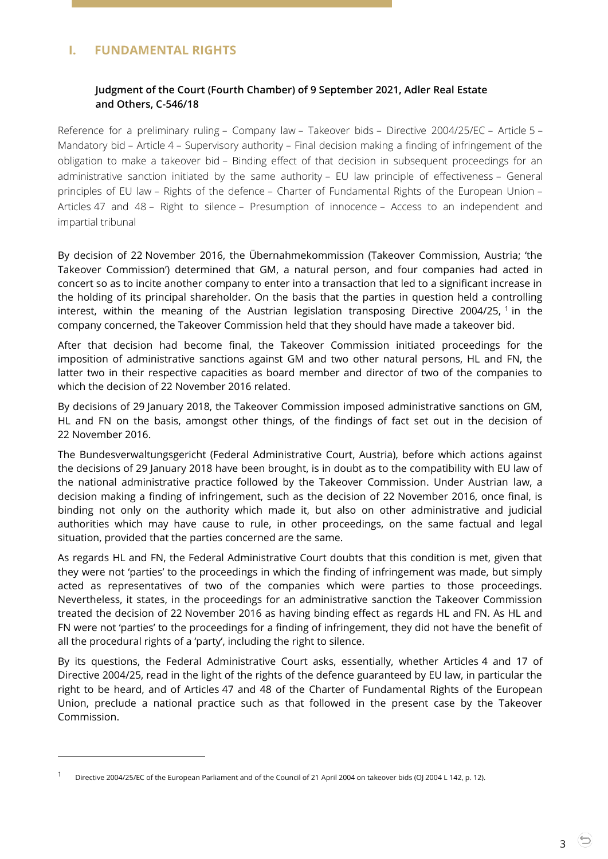# <span id="page-2-1"></span><span id="page-2-0"></span>**I. FUNDAMENTAL RIGHTS**

## **Judgment of the Court (Fourth Chamber) of 9 September 2021, Adler Real Estate and Others, C-546/18**

Reference for a preliminary ruling – Company law – Takeover bids – Directive 2004/25/EC – Article 5 – Mandatory bid – Article 4 – Supervisory authority – Final decision making a finding of infringement of the obligation to make a takeover bid – Binding effect of that decision in subsequent proceedings for an administrative sanction initiated by the same authority – EU law principle of effectiveness – General principles of EU law – Rights of the defence – Charter of Fundamental Rights of the European Union – Articles 47 and 48 – Right to silence – Presumption of innocence – Access to an independent and impartial tribunal

By decision of 22 November 2016, the Übernahmekommission (Takeover Commission, Austria; 'the Takeover Commission') determined that GM, a natural person, and four companies had acted in concert so as to incite another company to enter into a transaction that led to a significant increase in the holding of its principal shareholder. On the basis that the parties in question held a controlling interest, within the meaning of the Austrian legislation transposing Directive 2004/25,  $\frac{1}{1}$  in the company concerned, the Takeover Commission held that they should have made a takeover bid.

After that decision had become final, the Takeover Commission initiated proceedings for the imposition of administrative sanctions against GM and two other natural persons, HL and FN, the latter two in their respective capacities as board member and director of two of the companies to which the decision of 22 November 2016 related.

By decisions of 29 January 2018, the Takeover Commission imposed administrative sanctions on GM, HL and FN on the basis, amongst other things, of the findings of fact set out in the decision of 22 November 2016.

The Bundesverwaltungsgericht (Federal Administrative Court, Austria), before which actions against the decisions of 29 January 2018 have been brought, is in doubt as to the compatibility with EU law of the national administrative practice followed by the Takeover Commission. Under Austrian law, a decision making a finding of infringement, such as the decision of 22 November 2016, once final, is binding not only on the authority which made it, but also on other administrative and judicial authorities which may have cause to rule, in other proceedings, on the same factual and legal situation, provided that the parties concerned are the same.

As regards HL and FN, the Federal Administrative Court doubts that this condition is met, given that they were not 'parties' to the proceedings in which the finding of infringement was made, but simply acted as representatives of two of the companies which were parties to those proceedings. Nevertheless, it states, in the proceedings for an administrative sanction the Takeover Commission treated the decision of 22 November 2016 as having binding effect as regards HL and FN. As HL and FN were not 'parties' to the proceedings for a finding of infringement, they did not have the benefit of all the procedural rights of a 'party', including the right to silence.

By its questions, the Federal Administrative Court asks, essentially, whether Articles 4 and 17 of Directive 2004/25, read in the light of the rights of the defence guaranteed by EU law, in particular the right to be heard, and of Articles 47 and 48 of the Charter of Fundamental Rights of the European Union, preclude a national practice such as that followed in the present case by the Takeover Commission.

Directive 2004/25/EC of the European Parliament and of the Council of 21 April 2004 on takeover bids (OJ 2004 L 142, p. 12).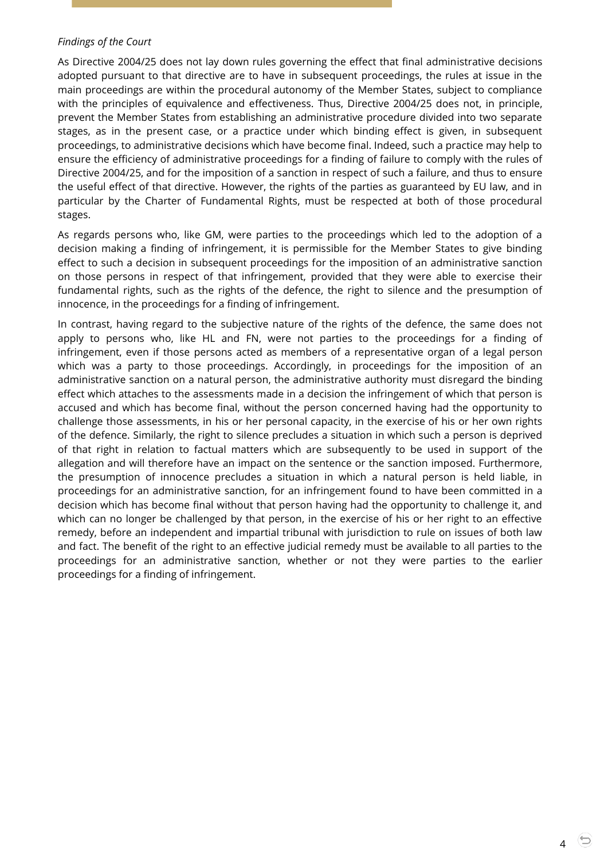#### *Findings of the Court*

As Directive 2004/25 does not lay down rules governing the effect that final administrative decisions adopted pursuant to that directive are to have in subsequent proceedings, the rules at issue in the main proceedings are within the procedural autonomy of the Member States, subject to compliance with the principles of equivalence and effectiveness. Thus, Directive 2004/25 does not, in principle, prevent the Member States from establishing an administrative procedure divided into two separate stages, as in the present case, or a practice under which binding effect is given, in subsequent proceedings, to administrative decisions which have become final. Indeed, such a practice may help to ensure the efficiency of administrative proceedings for a finding of failure to comply with the rules of Directive 2004/25, and for the imposition of a sanction in respect of such a failure, and thus to ensure the useful effect of that directive. However, the rights of the parties as guaranteed by EU law, and in particular by the Charter of Fundamental Rights, must be respected at both of those procedural stages.

As regards persons who, like GM, were parties to the proceedings which led to the adoption of a decision making a finding of infringement, it is permissible for the Member States to give binding effect to such a decision in subsequent proceedings for the imposition of an administrative sanction on those persons in respect of that infringement, provided that they were able to exercise their fundamental rights, such as the rights of the defence, the right to silence and the presumption of innocence, in the proceedings for a finding of infringement.

In contrast, having regard to the subjective nature of the rights of the defence, the same does not apply to persons who, like HL and FN, were not parties to the proceedings for a finding of infringement, even if those persons acted as members of a representative organ of a legal person which was a party to those proceedings. Accordingly, in proceedings for the imposition of an administrative sanction on a natural person, the administrative authority must disregard the binding effect which attaches to the assessments made in a decision the infringement of which that person is accused and which has become final, without the person concerned having had the opportunity to challenge those assessments, in his or her personal capacity, in the exercise of his or her own rights of the defence. Similarly, the right to silence precludes a situation in which such a person is deprived of that right in relation to factual matters which are subsequently to be used in support of the allegation and will therefore have an impact on the sentence or the sanction imposed. Furthermore, the presumption of innocence precludes a situation in which a natural person is held liable, in proceedings for an administrative sanction, for an infringement found to have been committed in a decision which has become final without that person having had the opportunity to challenge it, and which can no longer be challenged by that person, in the exercise of his or her right to an effective remedy, before an independent and impartial tribunal with jurisdiction to rule on issues of both law and fact. The benefit of the right to an effective judicial remedy must be available to all parties to the proceedings for an administrative sanction, whether or not they were parties to the earlier proceedings for a finding of infringement.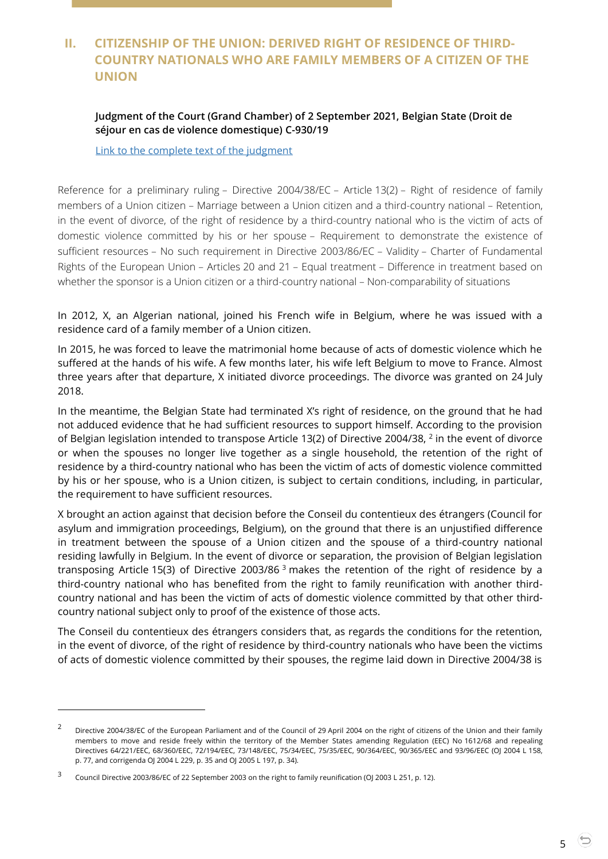# <span id="page-4-0"></span>**II. CITIZENSHIP OF THE UNION: DERIVED RIGHT OF RESIDENCE OF THIRD-COUNTRY NATIONALS WHO ARE FAMILY MEMBERS OF A CITIZEN OF THE UNION**

## <span id="page-4-1"></span>**Judgment of the Court (Grand Chamber) of 2 September 2021, Belgian State (Droit de séjour en cas de violence domestique) C-930/19**

[Link to the complete text of the judgment](https://curia.europa.eu/juris/document/document.jsf?text=&docid=245533&pageIndex=0&doclang=en&mode=lst&dir=&occ=first&part=1&cid=20925263)

Reference for a preliminary ruling – Directive 2004/38/EC – Article 13(2) – Right of residence of family members of a Union citizen – Marriage between a Union citizen and a third-country national – Retention, in the event of divorce, of the right of residence by a third-country national who is the victim of acts of domestic violence committed by his or her spouse – Requirement to demonstrate the existence of sufficient resources – No such requirement in Directive 2003/86/EC – Validity – Charter of Fundamental Rights of the European Union – Articles 20 and 21 – Equal treatment – Difference in treatment based on whether the sponsor is a Union citizen or a third-country national – Non-comparability of situations

In 2012, X, an Algerian national, joined his French wife in Belgium, where he was issued with a residence card of a family member of a Union citizen.

In 2015, he was forced to leave the matrimonial home because of acts of domestic violence which he suffered at the hands of his wife. A few months later, his wife left Belgium to move to France. Almost three years after that departure, X initiated divorce proceedings. The divorce was granted on 24 July 2018.

In the meantime, the Belgian State had terminated X's right of residence, on the ground that he had not adduced evidence that he had sufficient resources to support himself. According to the provision of Belgian legislation intended to transpose Article 13(2) of Directive 2004/38, <sup>2</sup> in the event of divorce or when the spouses no longer live together as a single household, the retention of the right of residence by a third-country national who has been the victim of acts of domestic violence committed by his or her spouse, who is a Union citizen, is subject to certain conditions, including, in particular, the requirement to have sufficient resources.

X brought an action against that decision before the Conseil du contentieux des étrangers (Council for asylum and immigration proceedings, Belgium), on the ground that there is an unjustified difference in treatment between the spouse of a Union citizen and the spouse of a third-country national residing lawfully in Belgium. In the event of divorce or separation, the provision of Belgian legislation transposing Article 15(3) of Directive 2003/86<sup>3</sup> makes the retention of the right of residence by a third-country national who has benefited from the right to family reunification with another thirdcountry national and has been the victim of acts of domestic violence committed by that other thirdcountry national subject only to proof of the existence of those acts.

The Conseil du contentieux des étrangers considers that, as regards the conditions for the retention, in the event of divorce, of the right of residence by third-country nationals who have been the victims of acts of domestic violence committed by their spouses, the regime laid down in Directive 2004/38 is

-

<sup>&</sup>lt;sup>2</sup> Directive 2004/38/EC of the European Parliament and of the Council of 29 April 2004 on the right of citizens of the Union and their family members to move and reside freely within the territory of the Member States amending Regulation (EEC) No 1612/68 and repealing Directives 64/221/EEC, 68/360/EEC, 72/194/EEC, 73/148/EEC, 75/34/EEC, 75/35/EEC, 90/364/EEC, 90/365/EEC and 93/96/EEC (OJ 2004 L 158, p. 77, and corrigenda OJ 2004 L 229, p. 35 and OJ 2005 L 197, p. 34).

<sup>3</sup> Council Directive 2003/86/EC of 22 September 2003 on the right to family reunification (OJ 2003 L 251, p. 12).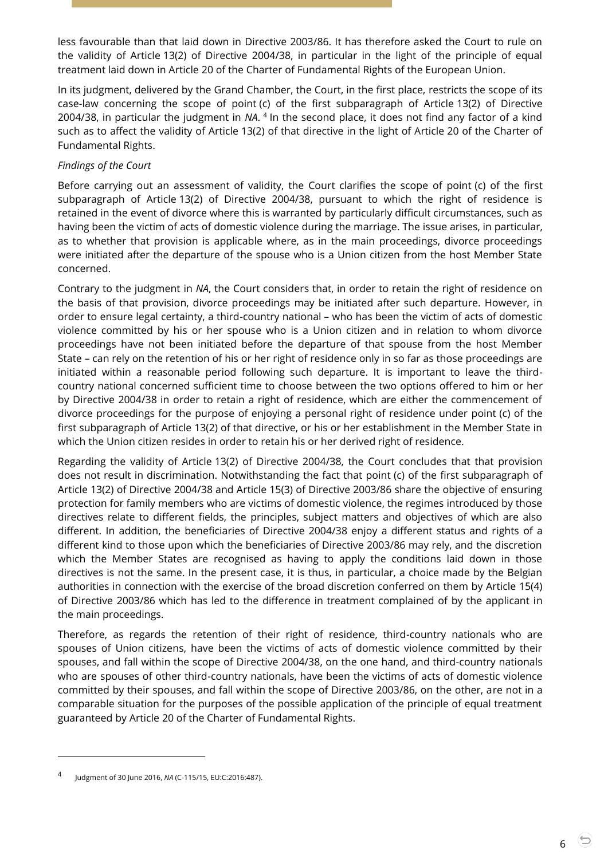less favourable than that laid down in Directive 2003/86. It has therefore asked the Court to rule on the validity of Article 13(2) of Directive 2004/38, in particular in the light of the principle of equal treatment laid down in Article 20 of the Charter of Fundamental Rights of the European Union.

In its judgment, delivered by the Grand Chamber, the Court, in the first place, restricts the scope of its case-law concerning the scope of point (c) of the first subparagraph of Article 13(2) of Directive 2004/38, in particular the judgment in NA.<sup>4</sup> In the second place, it does not find any factor of a kind such as to affect the validity of Article 13(2) of that directive in the light of Article 20 of the Charter of Fundamental Rights.

## *Findings of the Court*

Before carrying out an assessment of validity, the Court clarifies the scope of point (c) of the first subparagraph of Article 13(2) of Directive 2004/38, pursuant to which the right of residence is retained in the event of divorce where this is warranted by particularly difficult circumstances, such as having been the victim of acts of domestic violence during the marriage. The issue arises, in particular, as to whether that provision is applicable where, as in the main proceedings, divorce proceedings were initiated after the departure of the spouse who is a Union citizen from the host Member State concerned.

Contrary to the judgment in *NA*, the Court considers that, in order to retain the right of residence on the basis of that provision, divorce proceedings may be initiated after such departure. However, in order to ensure legal certainty, a third-country national – who has been the victim of acts of domestic violence committed by his or her spouse who is a Union citizen and in relation to whom divorce proceedings have not been initiated before the departure of that spouse from the host Member State – can rely on the retention of his or her right of residence only in so far as those proceedings are initiated within a reasonable period following such departure. It is important to leave the thirdcountry national concerned sufficient time to choose between the two options offered to him or her by Directive 2004/38 in order to retain a right of residence, which are either the commencement of divorce proceedings for the purpose of enjoying a personal right of residence under point (c) of the first subparagraph of Article 13(2) of that directive, or his or her establishment in the Member State in which the Union citizen resides in order to retain his or her derived right of residence.

Regarding the validity of Article 13(2) of Directive 2004/38, the Court concludes that that provision does not result in discrimination. Notwithstanding the fact that point (c) of the first subparagraph of Article 13(2) of Directive 2004/38 and Article 15(3) of Directive 2003/86 share the objective of ensuring protection for family members who are victims of domestic violence, the regimes introduced by those directives relate to different fields, the principles, subject matters and objectives of which are also different. In addition, the beneficiaries of Directive 2004/38 enjoy a different status and rights of a different kind to those upon which the beneficiaries of Directive 2003/86 may rely, and the discretion which the Member States are recognised as having to apply the conditions laid down in those directives is not the same. In the present case, it is thus, in particular, a choice made by the Belgian authorities in connection with the exercise of the broad discretion conferred on them by Article 15(4) of Directive 2003/86 which has led to the difference in treatment complained of by the applicant in the main proceedings.

Therefore, as regards the retention of their right of residence, third-country nationals who are spouses of Union citizens, have been the victims of acts of domestic violence committed by their spouses, and fall within the scope of Directive 2004/38, on the one hand, and third-country nationals who are spouses of other third-country nationals, have been the victims of acts of domestic violence committed by their spouses, and fall within the scope of Directive 2003/86, on the other, are not in a comparable situation for the purposes of the possible application of the principle of equal treatment guaranteed by Article 20 of the Charter of Fundamental Rights.

<sup>4</sup> Judgment of 30 June 2016, *NA* (C-115/15, EU:C:2016:487).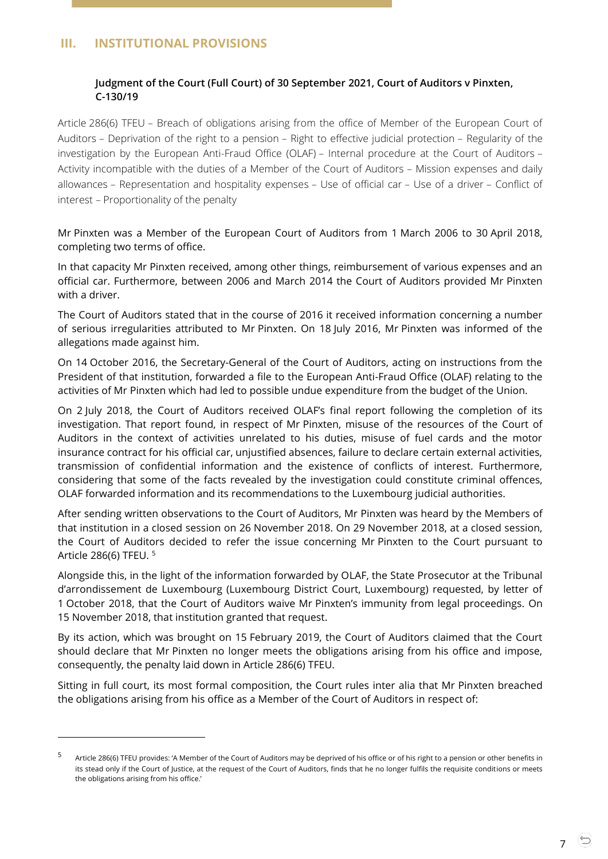# <span id="page-6-1"></span><span id="page-6-0"></span>**III. INSTITUTIONAL PROVISIONS**

 $\overline{a}$ 

## **Judgment of the Court (Full Court) of 30 September 2021, Court of Auditors v Pinxten, C-130/19**

Article 286(6) TFEU – Breach of obligations arising from the office of Member of the European Court of Auditors – Deprivation of the right to a pension – Right to effective judicial protection – Regularity of the investigation by the European Anti-Fraud Office (OLAF) – Internal procedure at the Court of Auditors – Activity incompatible with the duties of a Member of the Court of Auditors – Mission expenses and daily allowances – Representation and hospitality expenses – Use of official car – Use of a driver – Conflict of interest – Proportionality of the penalty

Mr Pinxten was a Member of the European Court of Auditors from 1 March 2006 to 30 April 2018, completing two terms of office.

In that capacity Mr Pinxten received, among other things, reimbursement of various expenses and an official car. Furthermore, between 2006 and March 2014 the Court of Auditors provided Mr Pinxten with a driver.

The Court of Auditors stated that in the course of 2016 it received information concerning a number of serious irregularities attributed to Mr Pinxten. On 18 July 2016, Mr Pinxten was informed of the allegations made against him.

On 14 October 2016, the Secretary-General of the Court of Auditors, acting on instructions from the President of that institution, forwarded a file to the European Anti-Fraud Office (OLAF) relating to the activities of Mr Pinxten which had led to possible undue expenditure from the budget of the Union.

On 2 July 2018, the Court of Auditors received OLAF's final report following the completion of its investigation. That report found, in respect of Mr Pinxten, misuse of the resources of the Court of Auditors in the context of activities unrelated to his duties, misuse of fuel cards and the motor insurance contract for his official car, unjustified absences, failure to declare certain external activities, transmission of confidential information and the existence of conflicts of interest. Furthermore, considering that some of the facts revealed by the investigation could constitute criminal offences, OLAF forwarded information and its recommendations to the Luxembourg judicial authorities.

After sending written observations to the Court of Auditors, Mr Pinxten was heard by the Members of that institution in a closed session on 26 November 2018. On 29 November 2018, at a closed session, the Court of Auditors decided to refer the issue concerning Mr Pinxten to the Court pursuant to Article 286(6) TFEU. <sup>5</sup>

Alongside this, in the light of the information forwarded by OLAF, the State Prosecutor at the Tribunal d'arrondissement de Luxembourg (Luxembourg District Court, Luxembourg) requested, by letter of 1 October 2018, that the Court of Auditors waive Mr Pinxten's immunity from legal proceedings. On 15 November 2018, that institution granted that request.

By its action, which was brought on 15 February 2019, the Court of Auditors claimed that the Court should declare that Mr Pinxten no longer meets the obligations arising from his office and impose, consequently, the penalty laid down in Article 286(6) TFEU.

Sitting in full court, its most formal composition, the Court rules inter alia that Mr Pinxten breached the obligations arising from his office as a Member of the Court of Auditors in respect of:

<sup>5</sup> Article 286(6) TFEU provides: 'A Member of the Court of Auditors may be deprived of his office or of his right to a pension or other benefits in its stead only if the Court of Justice, at the request of the Court of Auditors, finds that he no longer fulfils the requisite conditions or meets the obligations arising from his office.'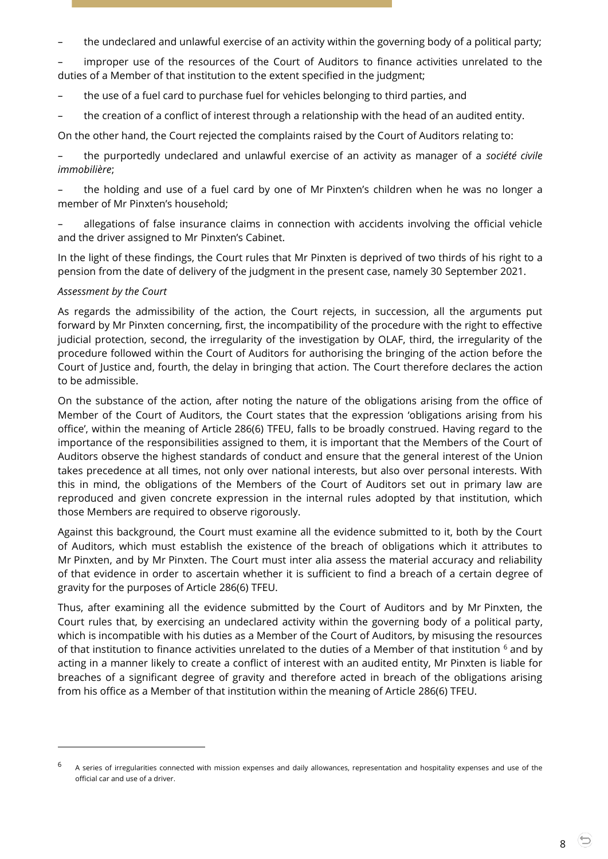– the undeclared and unlawful exercise of an activity within the governing body of a political party;

improper use of the resources of the Court of Auditors to finance activities unrelated to the duties of a Member of that institution to the extent specified in the judgment;

- the use of a fuel card to purchase fuel for vehicles belonging to third parties, and
- the creation of a conflict of interest through a relationship with the head of an audited entity.

On the other hand, the Court rejected the complaints raised by the Court of Auditors relating to:

– the purportedly undeclared and unlawful exercise of an activity as manager of a *société civile immobilière*;

– the holding and use of a fuel card by one of Mr Pinxten's children when he was no longer a member of Mr Pinxten's household;

– allegations of false insurance claims in connection with accidents involving the official vehicle and the driver assigned to Mr Pinxten's Cabinet.

In the light of these findings, the Court rules that Mr Pinxten is deprived of two thirds of his right to a pension from the date of delivery of the judgment in the present case, namely 30 September 2021.

#### *Assessment by the Court*

-

As regards the admissibility of the action, the Court rejects, in succession, all the arguments put forward by Mr Pinxten concerning, first, the incompatibility of the procedure with the right to effective judicial protection, second, the irregularity of the investigation by OLAF, third, the irregularity of the procedure followed within the Court of Auditors for authorising the bringing of the action before the Court of Justice and, fourth, the delay in bringing that action. The Court therefore declares the action to be admissible.

On the substance of the action, after noting the nature of the obligations arising from the office of Member of the Court of Auditors, the Court states that the expression 'obligations arising from his office', within the meaning of Article 286(6) TFEU, falls to be broadly construed. Having regard to the importance of the responsibilities assigned to them, it is important that the Members of the Court of Auditors observe the highest standards of conduct and ensure that the general interest of the Union takes precedence at all times, not only over national interests, but also over personal interests. With this in mind, the obligations of the Members of the Court of Auditors set out in primary law are reproduced and given concrete expression in the internal rules adopted by that institution, which those Members are required to observe rigorously.

Against this background, the Court must examine all the evidence submitted to it, both by the Court of Auditors, which must establish the existence of the breach of obligations which it attributes to Mr Pinxten, and by Mr Pinxten. The Court must inter alia assess the material accuracy and reliability of that evidence in order to ascertain whether it is sufficient to find a breach of a certain degree of gravity for the purposes of Article 286(6) TFEU.

Thus, after examining all the evidence submitted by the Court of Auditors and by Mr Pinxten, the Court rules that, by exercising an undeclared activity within the governing body of a political party, which is incompatible with his duties as a Member of the Court of Auditors, by misusing the resources of that institution to finance activities unrelated to the duties of a Member of that institution <sup>6</sup> and by acting in a manner likely to create a conflict of interest with an audited entity, Mr Pinxten is liable for breaches of a significant degree of gravity and therefore acted in breach of the obligations arising from his office as a Member of that institution within the meaning of Article 286(6) TFEU.

<sup>6</sup> A series of irregularities connected with mission expenses and daily allowances, representation and hospitality expenses and use of the official car and use of a driver.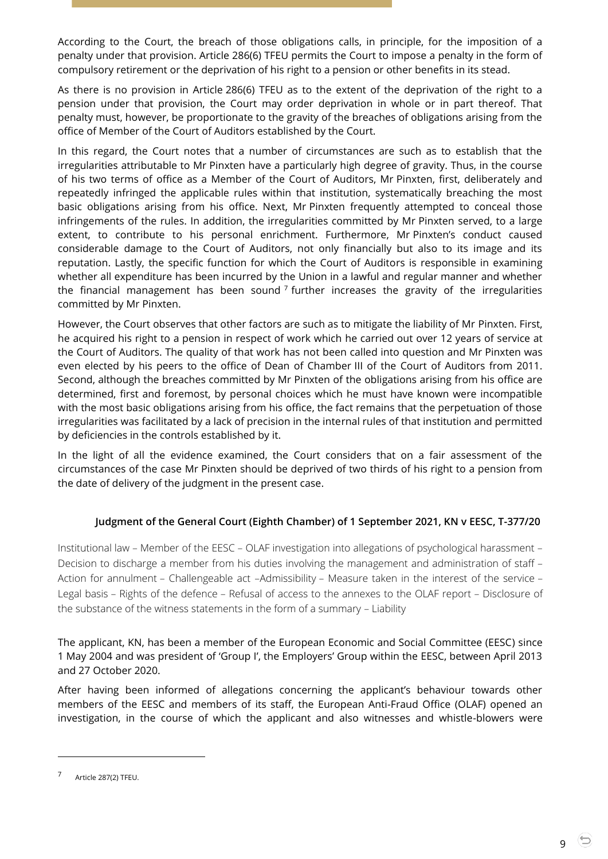According to the Court, the breach of those obligations calls, in principle, for the imposition of a penalty under that provision. Article 286(6) TFEU permits the Court to impose a penalty in the form of compulsory retirement or the deprivation of his right to a pension or other benefits in its stead.

As there is no provision in Article 286(6) TFEU as to the extent of the deprivation of the right to a pension under that provision, the Court may order deprivation in whole or in part thereof. That penalty must, however, be proportionate to the gravity of the breaches of obligations arising from the office of Member of the Court of Auditors established by the Court.

In this regard, the Court notes that a number of circumstances are such as to establish that the irregularities attributable to Mr Pinxten have a particularly high degree of gravity. Thus, in the course of his two terms of office as a Member of the Court of Auditors, Mr Pinxten, first, deliberately and repeatedly infringed the applicable rules within that institution, systematically breaching the most basic obligations arising from his office. Next, Mr Pinxten frequently attempted to conceal those infringements of the rules. In addition, the irregularities committed by Mr Pinxten served, to a large extent, to contribute to his personal enrichment. Furthermore, Mr Pinxten's conduct caused considerable damage to the Court of Auditors, not only financially but also to its image and its reputation. Lastly, the specific function for which the Court of Auditors is responsible in examining whether all expenditure has been incurred by the Union in a lawful and regular manner and whether the financial management has been sound<sup>7</sup> further increases the gravity of the irregularities committed by Mr Pinxten.

However, the Court observes that other factors are such as to mitigate the liability of Mr Pinxten. First, he acquired his right to a pension in respect of work which he carried out over 12 years of service at the Court of Auditors. The quality of that work has not been called into question and Mr Pinxten was even elected by his peers to the office of Dean of Chamber III of the Court of Auditors from 2011. Second, although the breaches committed by Mr Pinxten of the obligations arising from his office are determined, first and foremost, by personal choices which he must have known were incompatible with the most basic obligations arising from his office, the fact remains that the perpetuation of those irregularities was facilitated by a lack of precision in the internal rules of that institution and permitted by deficiencies in the controls established by it.

In the light of all the evidence examined, the Court considers that on a fair assessment of the circumstances of the case Mr Pinxten should be deprived of two thirds of his right to a pension from the date of delivery of the judgment in the present case.

## <span id="page-8-0"></span>**Judgment of the General Court (Eighth Chamber) of 1 September 2021, KN v EESC, T-377/20**

Institutional law – Member of the EESC – OLAF investigation into allegations of psychological harassment – Decision to discharge a member from his duties involving the management and administration of staff – Action for annulment – Challengeable act –Admissibility – Measure taken in the interest of the service – Legal basis – Rights of the defence – Refusal of access to the annexes to the OLAF report – Disclosure of the substance of the witness statements in the form of a summary – Liability

The applicant, KN, has been a member of the European Economic and Social Committee (EESC) since 1 May 2004 and was president of 'Group I', the Employers' Group within the EESC, between April 2013 and 27 October 2020.

After having been informed of allegations concerning the applicant's behaviour towards other members of the EESC and members of its staff, the European Anti-Fraud Office (OLAF) opened an investigation, in the course of which the applicant and also witnesses and whistle-blowers were

<sup>7</sup> Article 287(2) TFEU.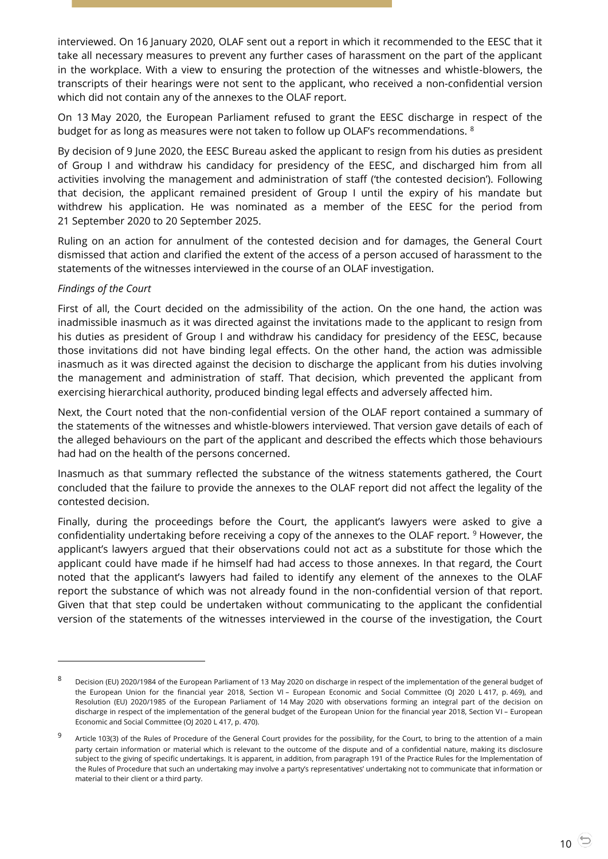interviewed. On 16 January 2020, OLAF sent out a report in which it recommended to the EESC that it take all necessary measures to prevent any further cases of harassment on the part of the applicant in the workplace. With a view to ensuring the protection of the witnesses and whistle-blowers, the transcripts of their hearings were not sent to the applicant, who received a non-confidential version which did not contain any of the annexes to the OLAF report.

On 13 May 2020, the European Parliament refused to grant the EESC discharge in respect of the budget for as long as measures were not taken to follow up OLAF's recommendations. <sup>8</sup>

By decision of 9 June 2020, the EESC Bureau asked the applicant to resign from his duties as president of Group I and withdraw his candidacy for presidency of the EESC, and discharged him from all activities involving the management and administration of staff ('the contested decision'). Following that decision, the applicant remained president of Group I until the expiry of his mandate but withdrew his application. He was nominated as a member of the EESC for the period from 21 September 2020 to 20 September 2025.

Ruling on an action for annulment of the contested decision and for damages, the General Court dismissed that action and clarified the extent of the access of a person accused of harassment to the statements of the witnesses interviewed in the course of an OLAF investigation.

#### *Findings of the Court*

 $\overline{a}$ 

First of all, the Court decided on the admissibility of the action. On the one hand, the action was inadmissible inasmuch as it was directed against the invitations made to the applicant to resign from his duties as president of Group I and withdraw his candidacy for presidency of the EESC, because those invitations did not have binding legal effects. On the other hand, the action was admissible inasmuch as it was directed against the decision to discharge the applicant from his duties involving the management and administration of staff. That decision, which prevented the applicant from exercising hierarchical authority, produced binding legal effects and adversely affected him.

Next, the Court noted that the non-confidential version of the OLAF report contained a summary of the statements of the witnesses and whistle-blowers interviewed. That version gave details of each of the alleged behaviours on the part of the applicant and described the effects which those behaviours had had on the health of the persons concerned.

Inasmuch as that summary reflected the substance of the witness statements gathered, the Court concluded that the failure to provide the annexes to the OLAF report did not affect the legality of the contested decision.

Finally, during the proceedings before the Court, the applicant's lawyers were asked to give a confidentiality undertaking before receiving a copy of the annexes to the OLAF report. <sup>9</sup> However, the applicant's lawyers argued that their observations could not act as a substitute for those which the applicant could have made if he himself had had access to those annexes. In that regard, the Court noted that the applicant's lawyers had failed to identify any element of the annexes to the OLAF report the substance of which was not already found in the non-confidential version of that report. Given that that step could be undertaken without communicating to the applicant the confidential version of the statements of the witnesses interviewed in the course of the investigation, the Court

<sup>8</sup> Decision (EU) 2020/1984 of the European Parliament of 13 May 2020 on discharge in respect of the implementation of the general budget of the European Union for the financial year 2018, Section VI – European Economic and Social Committee (OJ 2020 L 417, p. 469), and Resolution (EU) 2020/1985 of the European Parliament of 14 May 2020 with observations forming an integral part of the decision on discharge in respect of the implementation of the general budget of the European Union for the financial year 2018, Section VI – European Economic and Social Committee (OJ 2020 L 417, p. 470).

<sup>9</sup> Article 103(3) of the Rules of Procedure of the General Court provides for the possibility, for the Court, to bring to the attention of a main party certain information or material which is relevant to the outcome of the dispute and of a confidential nature, making its disclosure subject to the giving of specific undertakings. It is apparent, in addition, from paragraph 191 of the Practice Rules for the Implementation of the Rules of Procedure that such an undertaking may involve a party's representatives' undertaking not to communicate that information or material to their client or a third party.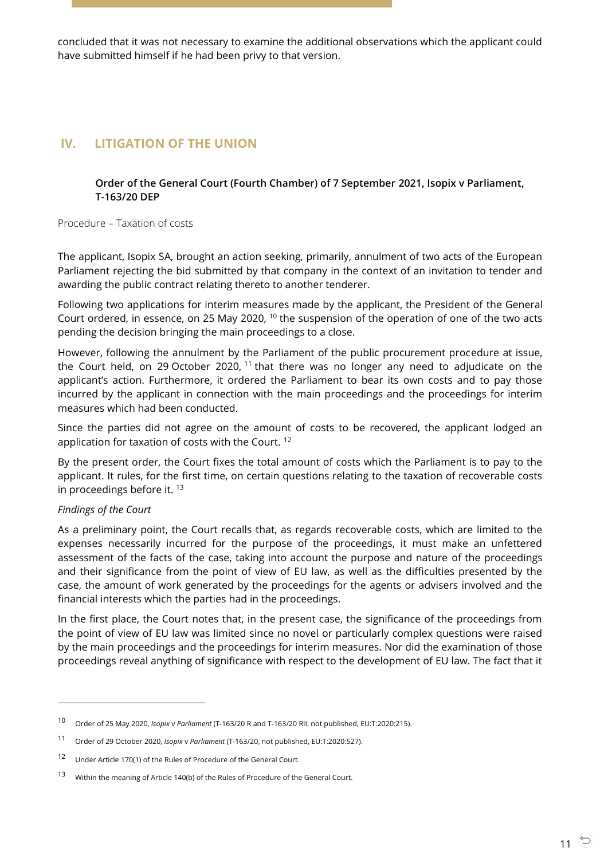concluded that it was not necessary to examine the additional observations which the applicant could have submitted himself if he had been privy to that version.

# <span id="page-10-1"></span><span id="page-10-0"></span>**IV. LITIGATION OF THE UNION**

**Order of the General Court (Fourth Chamber) of 7 September 2021, Isopix v Parliament, T-163/20 DEP**

Procedure – Taxation of costs

The applicant, Isopix SA, brought an action seeking, primarily, annulment of two acts of the European Parliament rejecting the bid submitted by that company in the context of an invitation to tender and awarding the public contract relating thereto to another tenderer.

Following two applications for interim measures made by the applicant, the President of the General Court ordered, in essence, on 25 May 2020, <sup>10</sup> the suspension of the operation of one of the two acts pending the decision bringing the main proceedings to a close.

However, following the annulment by the Parliament of the public procurement procedure at issue, the Court held, on 29 October 2020,  $11$  that there was no longer any need to adjudicate on the applicant's action. Furthermore, it ordered the Parliament to bear its own costs and to pay those incurred by the applicant in connection with the main proceedings and the proceedings for interim measures which had been conducted.

Since the parties did not agree on the amount of costs to be recovered, the applicant lodged an application for taxation of costs with the Court. <sup>12</sup>

By the present order, the Court fixes the total amount of costs which the Parliament is to pay to the applicant. It rules, for the first time, on certain questions relating to the taxation of recoverable costs in proceedings before it. <sup>13</sup>

#### *Findings of the Court*

 $\overline{a}$ 

As a preliminary point, the Court recalls that, as regards recoverable costs, which are limited to the expenses necessarily incurred for the purpose of the proceedings, it must make an unfettered assessment of the facts of the case, taking into account the purpose and nature of the proceedings and their significance from the point of view of EU law, as well as the difficulties presented by the case, the amount of work generated by the proceedings for the agents or advisers involved and the financial interests which the parties had in the proceedings.

In the first place, the Court notes that, in the present case, the significance of the proceedings from the point of view of EU law was limited since no novel or particularly complex questions were raised by the main proceedings and the proceedings for interim measures. Nor did the examination of those proceedings reveal anything of significance with respect to the development of EU law. The fact that it

<sup>10</sup> Order of 25 May 2020, *Isopix* <sup>v</sup>*Parliament* (T-163/20 R and T-163/20 RII, not published, EU:T:2020:215).

<sup>11</sup> Order of 29 October 2020, *Isopix* <sup>v</sup>*Parliament* (T-163/20, not published, EU:T:2020:527).

<sup>12</sup> Under Article 170(1) of the Rules of Procedure of the General Court.

<sup>13</sup> Within the meaning of Article 140(b) of the Rules of Procedure of the General Court.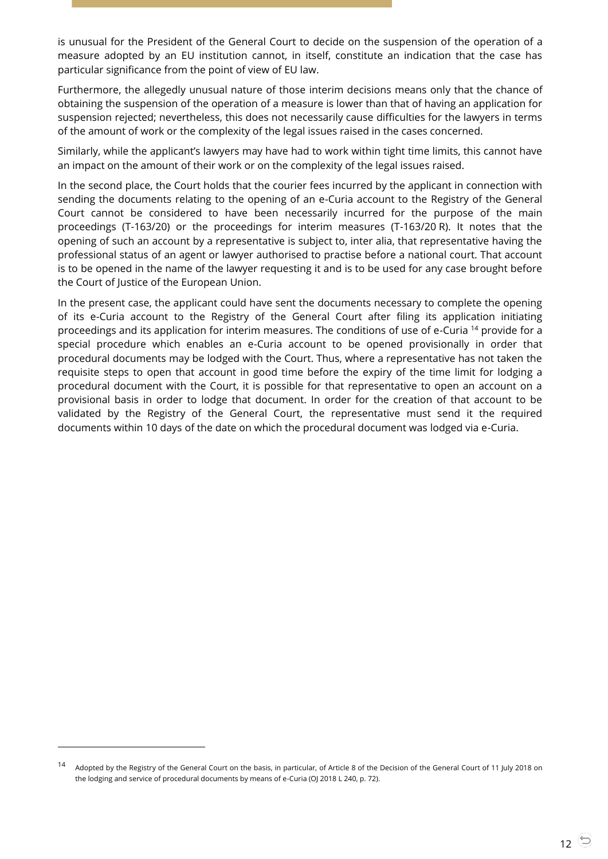is unusual for the President of the General Court to decide on the suspension of the operation of a measure adopted by an EU institution cannot, in itself, constitute an indication that the case has particular significance from the point of view of EU law.

Furthermore, the allegedly unusual nature of those interim decisions means only that the chance of obtaining the suspension of the operation of a measure is lower than that of having an application for suspension rejected; nevertheless, this does not necessarily cause difficulties for the lawyers in terms of the amount of work or the complexity of the legal issues raised in the cases concerned.

Similarly, while the applicant's lawyers may have had to work within tight time limits, this cannot have an impact on the amount of their work or on the complexity of the legal issues raised.

In the second place, the Court holds that the courier fees incurred by the applicant in connection with sending the documents relating to the opening of an e-Curia account to the Registry of the General Court cannot be considered to have been necessarily incurred for the purpose of the main proceedings (T-163/20) or the proceedings for interim measures (T-163/20 R). It notes that the opening of such an account by a representative is subject to, inter alia, that representative having the professional status of an agent or lawyer authorised to practise before a national court. That account is to be opened in the name of the lawyer requesting it and is to be used for any case brought before the Court of Justice of the European Union.

In the present case, the applicant could have sent the documents necessary to complete the opening of its e-Curia account to the Registry of the General Court after filing its application initiating proceedings and its application for interim measures. The conditions of use of e-Curia <sup>14</sup> provide for a special procedure which enables an e-Curia account to be opened provisionally in order that procedural documents may be lodged with the Court. Thus, where a representative has not taken the requisite steps to open that account in good time before the expiry of the time limit for lodging a procedural document with the Court, it is possible for that representative to open an account on a provisional basis in order to lodge that document. In order for the creation of that account to be validated by the Registry of the General Court, the representative must send it the required documents within 10 days of the date on which the procedural document was lodged via e-Curia.

-

<sup>&</sup>lt;sup>14</sup> Adopted by the Registry of the General Court on the basis, in particular, of Article 8 of the Decision of the General Court of 11 July 2018 on the lodging and service of procedural documents by means of e-Curia (OJ 2018 L 240, p. 72).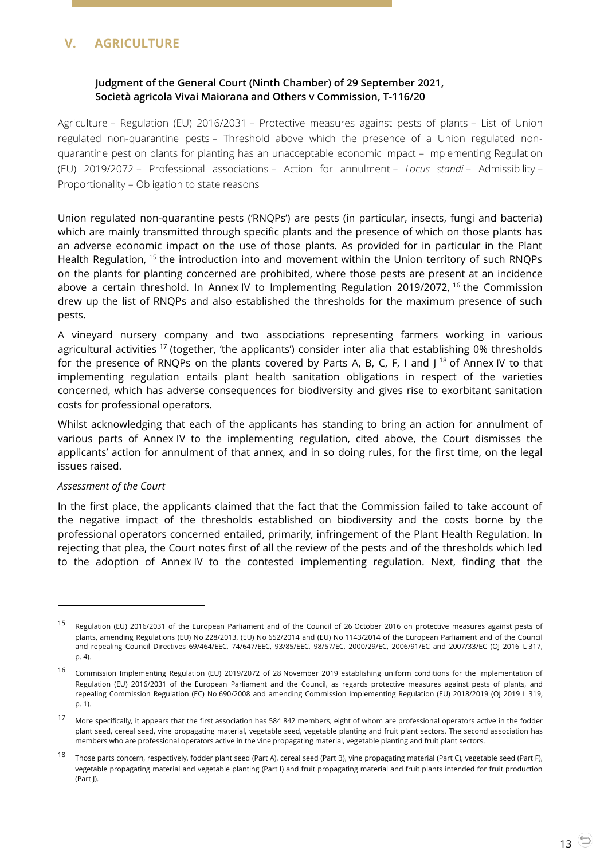# <span id="page-12-1"></span><span id="page-12-0"></span>**V. AGRICULTURE**

## **Judgment of the General Court (Ninth Chamber) of 29 September 2021, Società agricola Vivai Maiorana and Others v Commission, T-116/20**

Agriculture – Regulation (EU) 2016/2031 – Protective measures against pests of plants – List of Union regulated non-quarantine pests – Threshold above which the presence of a Union regulated nonquarantine pest on plants for planting has an unacceptable economic impact – Implementing Regulation (EU) 2019/2072 – Professional associations – Action for annulment – *Locus standi* – Admissibility – Proportionality – Obligation to state reasons

Union regulated non-quarantine pests ('RNQPs') are pests (in particular, insects, fungi and bacteria) which are mainly transmitted through specific plants and the presence of which on those plants has an adverse economic impact on the use of those plants. As provided for in particular in the Plant Health Regulation, <sup>15</sup> the introduction into and movement within the Union territory of such RNQPs on the plants for planting concerned are prohibited, where those pests are present at an incidence above a certain threshold. In Annex IV to Implementing Regulation 2019/2072, <sup>16</sup> the Commission drew up the list of RNQPs and also established the thresholds for the maximum presence of such pests.

A vineyard nursery company and two associations representing farmers working in various agricultural activities  $17$  (together, 'the applicants') consider inter alia that establishing 0% thresholds for the presence of RNQPs on the plants covered by Parts A, B, C, F, I and  $1^{18}$  of Annex IV to that implementing regulation entails plant health sanitation obligations in respect of the varieties concerned, which has adverse consequences for biodiversity and gives rise to exorbitant sanitation costs for professional operators.

Whilst acknowledging that each of the applicants has standing to bring an action for annulment of various parts of Annex IV to the implementing regulation, cited above, the Court dismisses the applicants' action for annulment of that annex, and in so doing rules, for the first time, on the legal issues raised.

#### *Assessment of the Court*

 $\overline{a}$ 

In the first place, the applicants claimed that the fact that the Commission failed to take account of the negative impact of the thresholds established on biodiversity and the costs borne by the professional operators concerned entailed, primarily, infringement of the Plant Health Regulation. In rejecting that plea, the Court notes first of all the review of the pests and of the thresholds which led to the adoption of Annex IV to the contested implementing regulation. Next, finding that the

<sup>15</sup> Regulation (EU) 2016/2031 of the European Parliament and of the Council of 26 October 2016 on protective measures against pests of plants, amending Regulations (EU) No 228/2013, (EU) No 652/2014 and (EU) No 1143/2014 of the European Parliament and of the Council and repealing Council Directives 69/464/EEC, 74/647/EEC, 93/85/EEC, 98/57/EC, 2000/29/EC, 2006/91/EC and 2007/33/EC (OJ 2016 L 317, p. 4).

<sup>&</sup>lt;sup>16</sup> Commission Implementing Regulation (EU) 2019/2072 of 28 November 2019 establishing uniform conditions for the implementation of Regulation (EU) 2016/2031 of the European Parliament and the Council, as regards protective measures against pests of plants, and repealing Commission Regulation (EC) No 690/2008 and amending Commission Implementing Regulation (EU) 2018/2019 (OJ 2019 L 319, p. 1).

<sup>17</sup> More specifically, it appears that the first association has 584 842 members, eight of whom are professional operators active in the fodder plant seed, cereal seed, vine propagating material, vegetable seed, vegetable planting and fruit plant sectors. The second association has members who are professional operators active in the vine propagating material, vegetable planting and fruit plant sectors.

<sup>18</sup> Those parts concern, respectively, fodder plant seed (Part A), cereal seed (Part B), vine propagating material (Part C), vegetable seed (Part F), vegetable propagating material and vegetable planting (Part I) and fruit propagating material and fruit plants intended for fruit production (Part J).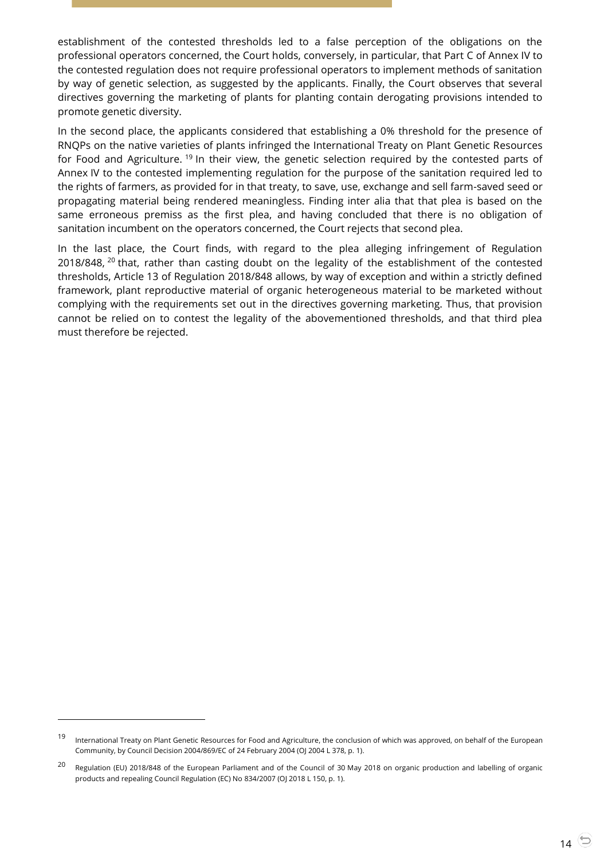establishment of the contested thresholds led to a false perception of the obligations on the professional operators concerned, the Court holds, conversely, in particular, that Part C of Annex IV to the contested regulation does not require professional operators to implement methods of sanitation by way of genetic selection, as suggested by the applicants. Finally, the Court observes that several directives governing the marketing of plants for planting contain derogating provisions intended to promote genetic diversity.

In the second place, the applicants considered that establishing a 0% threshold for the presence of RNQPs on the native varieties of plants infringed the International Treaty on Plant Genetic Resources for Food and Agriculture. <sup>19</sup> In their view, the genetic selection required by the contested parts of Annex IV to the contested implementing regulation for the purpose of the sanitation required led to the rights of farmers, as provided for in that treaty, to save, use, exchange and sell farm-saved seed or propagating material being rendered meaningless. Finding inter alia that that plea is based on the same erroneous premiss as the first plea, and having concluded that there is no obligation of sanitation incumbent on the operators concerned, the Court rejects that second plea.

In the last place, the Court finds, with regard to the plea alleging infringement of Regulation 2018/848, <sup>20</sup> that, rather than casting doubt on the legality of the establishment of the contested thresholds, Article 13 of Regulation 2018/848 allows, by way of exception and within a strictly defined framework, plant reproductive material of organic heterogeneous material to be marketed without complying with the requirements set out in the directives governing marketing. Thus, that provision cannot be relied on to contest the legality of the abovementioned thresholds, and that third plea must therefore be rejected.

<sup>&</sup>lt;sup>19</sup> International Treaty on Plant Genetic Resources for Food and Agriculture, the conclusion of which was approved, on behalf of the European Community, by Council Decision 2004/869/EC of 24 February 2004 (OJ 2004 L 378, p. 1).

<sup>&</sup>lt;sup>20</sup> Regulation (EU) 2018/848 of the European Parliament and of the Council of 30 May 2018 on organic production and labelling of organic products and repealing Council Regulation (EC) No 834/2007 (OJ 2018 L 150, p. 1).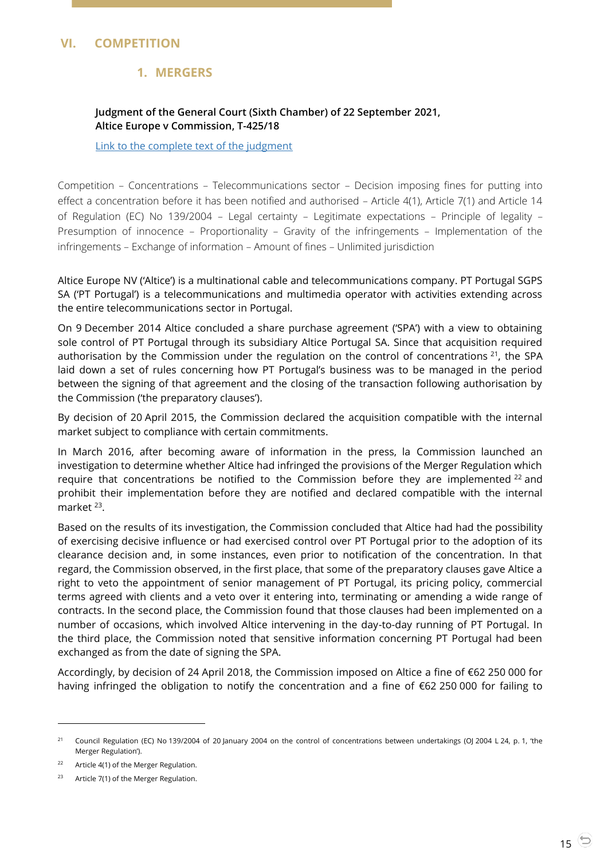# <span id="page-14-2"></span><span id="page-14-1"></span><span id="page-14-0"></span>**VI. COMPETITION**

## **1. MERGERS**

## **Judgment of the General Court (Sixth Chamber) of 22 September 2021, Altice Europe v Commission, T-425/18**

[Link to the complete text of the judgment](https://curia.europa.eu/juris/document/document.jsf?text=&docid=246448&pageIndex=0&doclang=en&mode=lst&dir=&occ=first&part=1&cid=20942607)

Competition – Concentrations – Telecommunications sector – Decision imposing fines for putting into effect a concentration before it has been notified and authorised – Article 4(1), Article 7(1) and Article 14 of Regulation (EC) No 139/2004 – Legal certainty – Legitimate expectations – Principle of legality – Presumption of innocence – Proportionality – Gravity of the infringements – Implementation of the infringements – Exchange of information – Amount of fines – Unlimited jurisdiction

Altice Europe NV ('Altice') is a multinational cable and telecommunications company. PT Portugal SGPS SA ('PT Portugal') is a telecommunications and multimedia operator with activities extending across the entire telecommunications sector in Portugal.

On 9 December 2014 Altice concluded a share purchase agreement ('SPA') with a view to obtaining sole control of PT Portugal through its subsidiary Altice Portugal SA. Since that acquisition required authorisation by the Commission under the regulation on the control of concentrations  $2^1$ , the SPA laid down a set of rules concerning how PT Portugal's business was to be managed in the period between the signing of that agreement and the closing of the transaction following authorisation by the Commission ('the preparatory clauses').

By decision of 20 April 2015, the Commission declared the acquisition compatible with the internal market subject to compliance with certain commitments.

In March 2016, after becoming aware of information in the press, la Commission launched an investigation to determine whether Altice had infringed the provisions of the Merger Regulation which require that concentrations be notified to the Commission before they are implemented  $^{22}$  and prohibit their implementation before they are notified and declared compatible with the internal market<sup>23</sup>.

Based on the results of its investigation, the Commission concluded that Altice had had the possibility of exercising decisive influence or had exercised control over PT Portugal prior to the adoption of its clearance decision and, in some instances, even prior to notification of the concentration. In that regard, the Commission observed, in the first place, that some of the preparatory clauses gave Altice a right to veto the appointment of senior management of PT Portugal, its pricing policy, commercial terms agreed with clients and a veto over it entering into, terminating or amending a wide range of contracts. In the second place, the Commission found that those clauses had been implemented on a number of occasions, which involved Altice intervening in the day-to-day running of PT Portugal. In the third place, the Commission noted that sensitive information concerning PT Portugal had been exchanged as from the date of signing the SPA.

Accordingly, by decision of 24 April 2018, the Commission imposed on Altice a fine of €62 250 000 for having infringed the obligation to notify the concentration and a fine of €62 250 000 for failing to

<sup>&</sup>lt;sup>21</sup> Council Regulation (EC) No 139/2004 of 20 January 2004 on the control of concentrations between undertakings (OJ 2004 L 24, p. 1, 'the Merger Regulation').

<sup>&</sup>lt;sup>22</sup> Article 4(1) of the Merger Regulation.

<sup>&</sup>lt;sup>23</sup> Article 7(1) of the Merger Regulation.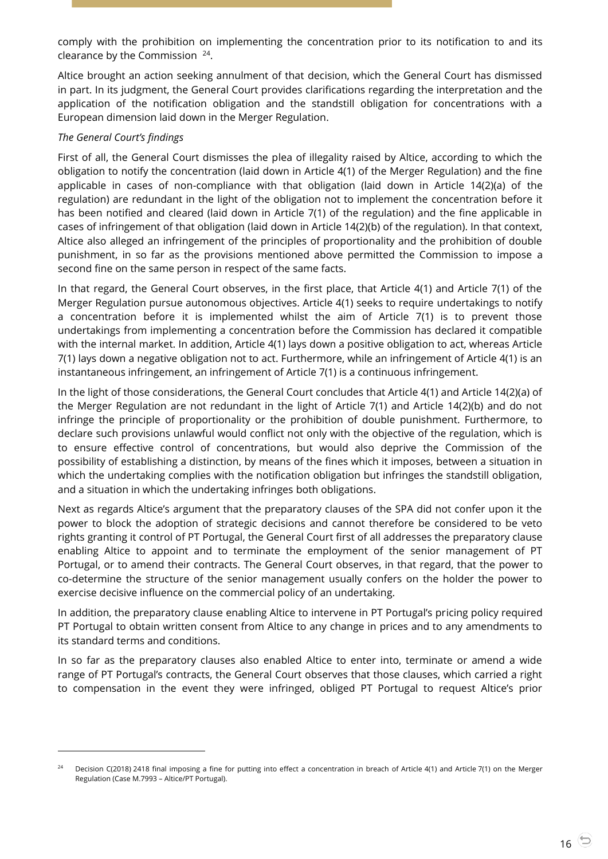comply with the prohibition on implementing the concentration prior to its notification to and its clearance by the Commission  $24$ .

Altice brought an action seeking annulment of that decision, which the General Court has dismissed in part. In its judgment, the General Court provides clarifications regarding the interpretation and the application of the notification obligation and the standstill obligation for concentrations with a European dimension laid down in the Merger Regulation.

## *The General Court's findings*

 $\overline{a}$ 

First of all, the General Court dismisses the plea of illegality raised by Altice, according to which the obligation to notify the concentration (laid down in Article 4(1) of the Merger Regulation) and the fine applicable in cases of non-compliance with that obligation (laid down in Article 14(2)(a) of the regulation) are redundant in the light of the obligation not to implement the concentration before it has been notified and cleared (laid down in Article 7(1) of the regulation) and the fine applicable in cases of infringement of that obligation (laid down in Article 14(2)(b) of the regulation). In that context, Altice also alleged an infringement of the principles of proportionality and the prohibition of double punishment, in so far as the provisions mentioned above permitted the Commission to impose a second fine on the same person in respect of the same facts.

In that regard, the General Court observes, in the first place, that Article 4(1) and Article 7(1) of the Merger Regulation pursue autonomous objectives. Article 4(1) seeks to require undertakings to notify a concentration before it is implemented whilst the aim of Article 7(1) is to prevent those undertakings from implementing a concentration before the Commission has declared it compatible with the internal market. In addition, Article 4(1) lays down a positive obligation to act, whereas Article 7(1) lays down a negative obligation not to act. Furthermore, while an infringement of Article 4(1) is an instantaneous infringement, an infringement of Article 7(1) is a continuous infringement.

In the light of those considerations, the General Court concludes that Article 4(1) and Article 14(2)(a) of the Merger Regulation are not redundant in the light of Article 7(1) and Article 14(2)(b) and do not infringe the principle of proportionality or the prohibition of double punishment. Furthermore, to declare such provisions unlawful would conflict not only with the objective of the regulation, which is to ensure effective control of concentrations, but would also deprive the Commission of the possibility of establishing a distinction, by means of the fines which it imposes, between a situation in which the undertaking complies with the notification obligation but infringes the standstill obligation, and a situation in which the undertaking infringes both obligations.

Next as regards Altice's argument that the preparatory clauses of the SPA did not confer upon it the power to block the adoption of strategic decisions and cannot therefore be considered to be veto rights granting it control of PT Portugal, the General Court first of all addresses the preparatory clause enabling Altice to appoint and to terminate the employment of the senior management of PT Portugal, or to amend their contracts. The General Court observes, in that regard, that the power to co-determine the structure of the senior management usually confers on the holder the power to exercise decisive influence on the commercial policy of an undertaking.

In addition, the preparatory clause enabling Altice to intervene in PT Portugal's pricing policy required PT Portugal to obtain written consent from Altice to any change in prices and to any amendments to its standard terms and conditions.

In so far as the preparatory clauses also enabled Altice to enter into, terminate or amend a wide range of PT Portugal's contracts, the General Court observes that those clauses, which carried a right to compensation in the event they were infringed, obliged PT Portugal to request Altice's prior

Decision C(2018) 2418 final imposing a fine for putting into effect a concentration in breach of Article 4(1) and Article 7(1) on the Merger Regulation (Case M.7993 – Altice/PT Portugal).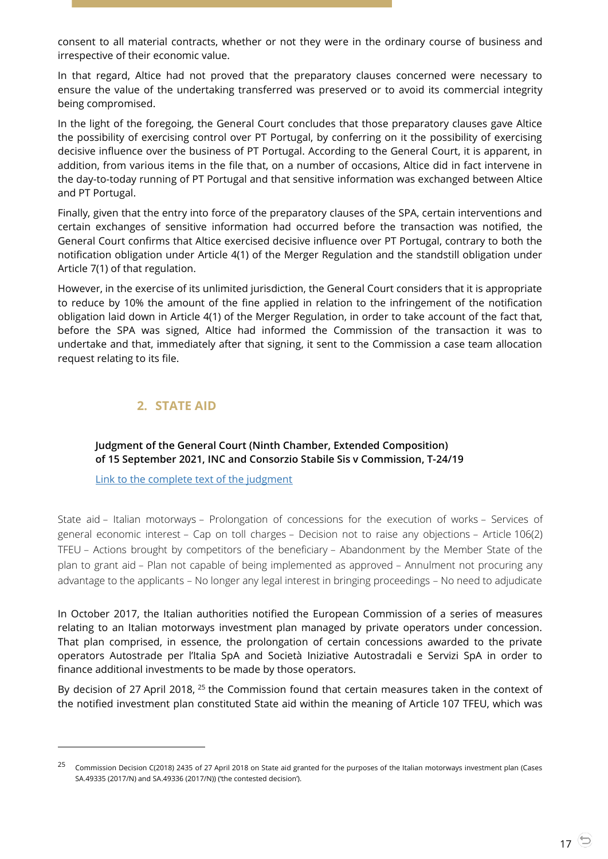consent to all material contracts, whether or not they were in the ordinary course of business and irrespective of their economic value.

In that regard, Altice had not proved that the preparatory clauses concerned were necessary to ensure the value of the undertaking transferred was preserved or to avoid its commercial integrity being compromised.

In the light of the foregoing, the General Court concludes that those preparatory clauses gave Altice the possibility of exercising control over PT Portugal, by conferring on it the possibility of exercising decisive influence over the business of PT Portugal. According to the General Court, it is apparent, in addition, from various items in the file that, on a number of occasions, Altice did in fact intervene in the day-to-today running of PT Portugal and that sensitive information was exchanged between Altice and PT Portugal.

Finally, given that the entry into force of the preparatory clauses of the SPA, certain interventions and certain exchanges of sensitive information had occurred before the transaction was notified, the General Court confirms that Altice exercised decisive influence over PT Portugal, contrary to both the notification obligation under Article 4(1) of the Merger Regulation and the standstill obligation under Article 7(1) of that regulation.

However, in the exercise of its unlimited jurisdiction, the General Court considers that it is appropriate to reduce by 10% the amount of the fine applied in relation to the infringement of the notification obligation laid down in Article 4(1) of the Merger Regulation, in order to take account of the fact that, before the SPA was signed, Altice had informed the Commission of the transaction it was to undertake and that, immediately after that signing, it sent to the Commission a case team allocation request relating to its file.

# **2. STATE AID**

-

<span id="page-16-1"></span><span id="page-16-0"></span>**Judgment of the General Court (Ninth Chamber, Extended Composition) of 15 September 2021, INC and Consorzio Stabile Sis v Commission, T-24/19**

[Link to the complete text of the judgment](https://curia.europa.eu/juris/document/document.jsf?text=&docid=246002&pageIndex=0&doclang=en&mode=lst&dir=&occ=first&part=1&cid=20942607)

State aid – Italian motorways – Prolongation of concessions for the execution of works – Services of general economic interest – Cap on toll charges – Decision not to raise any objections – Article 106(2) TFEU – Actions brought by competitors of the beneficiary – Abandonment by the Member State of the plan to grant aid – Plan not capable of being implemented as approved – Annulment not procuring any advantage to the applicants – No longer any legal interest in bringing proceedings – No need to adjudicate

In October 2017, the Italian authorities notified the European Commission of a series of measures relating to an Italian motorways investment plan managed by private operators under concession. That plan comprised, in essence, the prolongation of certain concessions awarded to the private operators Autostrade per l'Italia SpA and Società Iniziative Autostradali e Servizi SpA in order to finance additional investments to be made by those operators.

By decision of 27 April 2018, <sup>25</sup> the Commission found that certain measures taken in the context of the notified investment plan constituted State aid within the meaning of Article 107 TFEU, which was

<sup>&</sup>lt;sup>25</sup> Commission Decision C(2018) 2435 of 27 April 2018 on State aid granted for the purposes of the Italian motorways investment plan (Cases SA.49335 (2017/N) and SA.49336 (2017/N)) ('the contested decision').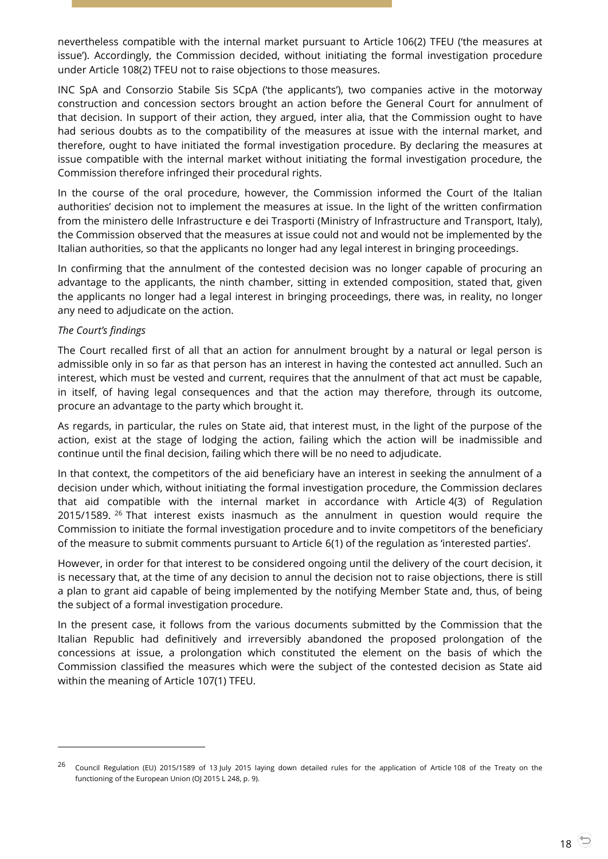nevertheless compatible with the internal market pursuant to Article 106(2) TFEU ('the measures at issue'). Accordingly, the Commission decided, without initiating the formal investigation procedure under Article 108(2) TFEU not to raise objections to those measures.

INC SpA and Consorzio Stabile Sis SCpA ('the applicants'), two companies active in the motorway construction and concession sectors brought an action before the General Court for annulment of that decision. In support of their action, they argued, inter alia, that the Commission ought to have had serious doubts as to the compatibility of the measures at issue with the internal market, and therefore, ought to have initiated the formal investigation procedure. By declaring the measures at issue compatible with the internal market without initiating the formal investigation procedure, the Commission therefore infringed their procedural rights.

In the course of the oral procedure, however, the Commission informed the Court of the Italian authorities' decision not to implement the measures at issue. In the light of the written confirmation from the ministero delle Infrastructure e dei Trasporti (Ministry of Infrastructure and Transport, Italy), the Commission observed that the measures at issue could not and would not be implemented by the Italian authorities, so that the applicants no longer had any legal interest in bringing proceedings.

In confirming that the annulment of the contested decision was no longer capable of procuring an advantage to the applicants, the ninth chamber, sitting in extended composition, stated that, given the applicants no longer had a legal interest in bringing proceedings, there was, in reality, no longer any need to adjudicate on the action.

#### *The Court's findings*

-

The Court recalled first of all that an action for annulment brought by a natural or legal person is admissible only in so far as that person has an interest in having the contested act annulled. Such an interest, which must be vested and current, requires that the annulment of that act must be capable, in itself, of having legal consequences and that the action may therefore, through its outcome, procure an advantage to the party which brought it.

As regards, in particular, the rules on State aid, that interest must, in the light of the purpose of the action, exist at the stage of lodging the action, failing which the action will be inadmissible and continue until the final decision, failing which there will be no need to adjudicate.

In that context, the competitors of the aid beneficiary have an interest in seeking the annulment of a decision under which, without initiating the formal investigation procedure, the Commission declares that aid compatible with the internal market in accordance with Article 4(3) of Regulation 2015/1589. <sup>26</sup> That interest exists inasmuch as the annulment in question would require the Commission to initiate the formal investigation procedure and to invite competitors of the beneficiary of the measure to submit comments pursuant to Article 6(1) of the regulation as 'interested parties'.

However, in order for that interest to be considered ongoing until the delivery of the court decision, it is necessary that, at the time of any decision to annul the decision not to raise objections, there is still a plan to grant aid capable of being implemented by the notifying Member State and, thus, of being the subject of a formal investigation procedure.

In the present case, it follows from the various documents submitted by the Commission that the Italian Republic had definitively and irreversibly abandoned the proposed prolongation of the concessions at issue, a prolongation which constituted the element on the basis of which the Commission classified the measures which were the subject of the contested decision as State aid within the meaning of Article 107(1) TFEU.

<sup>&</sup>lt;sup>26</sup> Council Regulation (EU) 2015/1589 of 13 July 2015 laying down detailed rules for the application of Article 108 of the Treaty on the functioning of the European Union (OJ 2015 L 248, p. 9).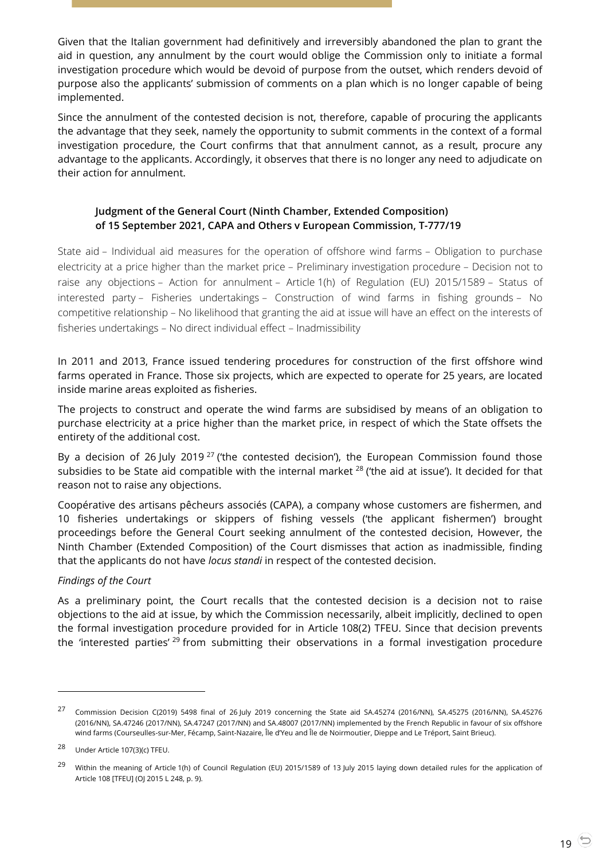Given that the Italian government had definitively and irreversibly abandoned the plan to grant the aid in question, any annulment by the court would oblige the Commission only to initiate a formal investigation procedure which would be devoid of purpose from the outset, which renders devoid of purpose also the applicants' submission of comments on a plan which is no longer capable of being implemented.

Since the annulment of the contested decision is not, therefore, capable of procuring the applicants the advantage that they seek, namely the opportunity to submit comments in the context of a formal investigation procedure, the Court confirms that that annulment cannot, as a result, procure any advantage to the applicants. Accordingly, it observes that there is no longer any need to adjudicate on their action for annulment.

## <span id="page-18-0"></span>**Judgment of the General Court (Ninth Chamber, Extended Composition) of 15 September 2021, CAPA and Others v European Commission, T-777/19**

State aid – Individual aid measures for the operation of offshore wind farms – Obligation to purchase electricity at a price higher than the market price – Preliminary investigation procedure – Decision not to raise any objections – Action for annulment – Article 1(h) of Regulation (EU) 2015/1589 – Status of interested party – Fisheries undertakings – Construction of wind farms in fishing grounds – No competitive relationship – No likelihood that granting the aid at issue will have an effect on the interests of fisheries undertakings – No direct individual effect – Inadmissibility

In 2011 and 2013, France issued tendering procedures for construction of the first offshore wind farms operated in France. Those six projects, which are expected to operate for 25 years, are located inside marine areas exploited as fisheries.

The projects to construct and operate the wind farms are subsidised by means of an obligation to purchase electricity at a price higher than the market price, in respect of which the State offsets the entirety of the additional cost.

By a decision of 26 July 2019<sup>27</sup> ('the contested decision'), the European Commission found those subsidies to be State aid compatible with the internal market  $^{28}$  ('the aid at issue'). It decided for that reason not to raise any objections.

Coopérative des artisans pêcheurs associés (CAPA), a company whose customers are fishermen, and 10 fisheries undertakings or skippers of fishing vessels ('the applicant fishermen') brought proceedings before the General Court seeking annulment of the contested decision, However, the Ninth Chamber (Extended Composition) of the Court dismisses that action as inadmissible, finding that the applicants do not have *locus standi* in respect of the contested decision.

## *Findings of the Court*

As a preliminary point, the Court recalls that the contested decision is a decision not to raise objections to the aid at issue, by which the Commission necessarily, albeit implicitly, declined to open the formal investigation procedure provided for in Article 108(2) TFEU. Since that decision prevents the 'interested parties' <sup>29</sup> from submitting their observations in a formal investigation procedure

-

<sup>&</sup>lt;sup>27</sup> Commission Decision C(2019) 5498 final of 26 July 2019 concerning the State aid SA.45274 (2016/NN), SA.45275 (2016/NN), SA.45276 (2016/NN), SA.47246 (2017/NN), SA.47247 (2017/NN) and SA.48007 (2017/NN) implemented by the French Republic in favour of six offshore wind farms (Courseulles-sur-Mer, Fécamp, Saint-Nazaire, Île d'Yeu and Île de Noirmoutier, Dieppe and Le Tréport, Saint Brieuc).

<sup>28</sup> Under Article 107(3)(c) TFEU.

<sup>&</sup>lt;sup>29</sup> Within the meaning of Article 1(h) of Council Regulation (EU) 2015/1589 of 13 July 2015 laying down detailed rules for the application of Article 108 [TFEU] (OJ 2015 L 248, p. 9).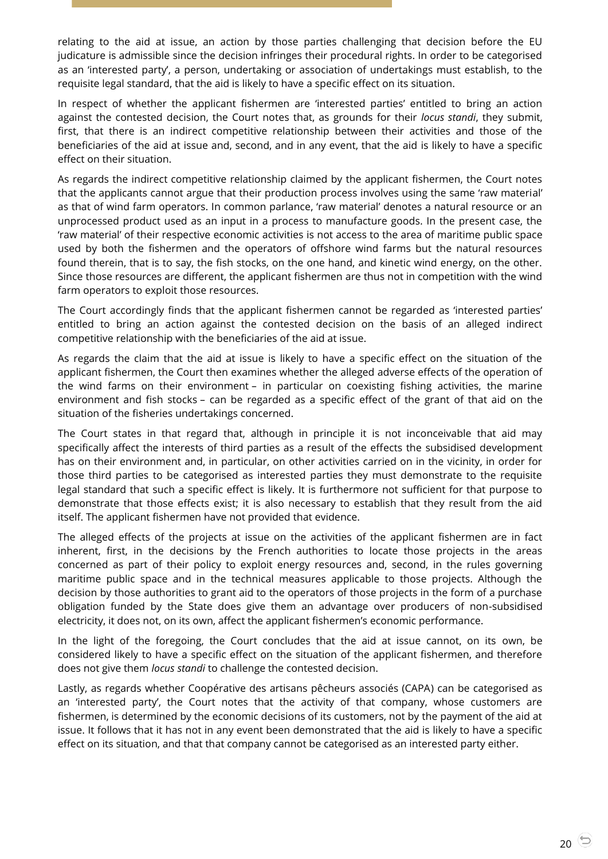relating to the aid at issue, an action by those parties challenging that decision before the EU judicature is admissible since the decision infringes their procedural rights. In order to be categorised as an 'interested party', a person, undertaking or association of undertakings must establish, to the requisite legal standard, that the aid is likely to have a specific effect on its situation.

In respect of whether the applicant fishermen are 'interested parties' entitled to bring an action against the contested decision, the Court notes that, as grounds for their *locus standi*, they submit, first, that there is an indirect competitive relationship between their activities and those of the beneficiaries of the aid at issue and, second, and in any event, that the aid is likely to have a specific effect on their situation.

As regards the indirect competitive relationship claimed by the applicant fishermen, the Court notes that the applicants cannot argue that their production process involves using the same 'raw material' as that of wind farm operators. In common parlance, 'raw material' denotes a natural resource or an unprocessed product used as an input in a process to manufacture goods. In the present case, the 'raw material' of their respective economic activities is not access to the area of maritime public space used by both the fishermen and the operators of offshore wind farms but the natural resources found therein, that is to say, the fish stocks, on the one hand, and kinetic wind energy, on the other. Since those resources are different, the applicant fishermen are thus not in competition with the wind farm operators to exploit those resources.

The Court accordingly finds that the applicant fishermen cannot be regarded as 'interested parties' entitled to bring an action against the contested decision on the basis of an alleged indirect competitive relationship with the beneficiaries of the aid at issue.

As regards the claim that the aid at issue is likely to have a specific effect on the situation of the applicant fishermen, the Court then examines whether the alleged adverse effects of the operation of the wind farms on their environment – in particular on coexisting fishing activities, the marine environment and fish stocks – can be regarded as a specific effect of the grant of that aid on the situation of the fisheries undertakings concerned.

The Court states in that regard that, although in principle it is not inconceivable that aid may specifically affect the interests of third parties as a result of the effects the subsidised development has on their environment and, in particular, on other activities carried on in the vicinity, in order for those third parties to be categorised as interested parties they must demonstrate to the requisite legal standard that such a specific effect is likely. It is furthermore not sufficient for that purpose to demonstrate that those effects exist; it is also necessary to establish that they result from the aid itself. The applicant fishermen have not provided that evidence.

The alleged effects of the projects at issue on the activities of the applicant fishermen are in fact inherent, first, in the decisions by the French authorities to locate those projects in the areas concerned as part of their policy to exploit energy resources and, second, in the rules governing maritime public space and in the technical measures applicable to those projects. Although the decision by those authorities to grant aid to the operators of those projects in the form of a purchase obligation funded by the State does give them an advantage over producers of non-subsidised electricity, it does not, on its own, affect the applicant fishermen's economic performance.

In the light of the foregoing, the Court concludes that the aid at issue cannot, on its own, be considered likely to have a specific effect on the situation of the applicant fishermen, and therefore does not give them *locus standi* to challenge the contested decision.

Lastly, as regards whether Coopérative des artisans pêcheurs associés (CAPA) can be categorised as an 'interested party', the Court notes that the activity of that company, whose customers are fishermen, is determined by the economic decisions of its customers, not by the payment of the aid at issue. It follows that it has not in any event been demonstrated that the aid is likely to have a specific effect on its situation, and that that company cannot be categorised as an interested party either.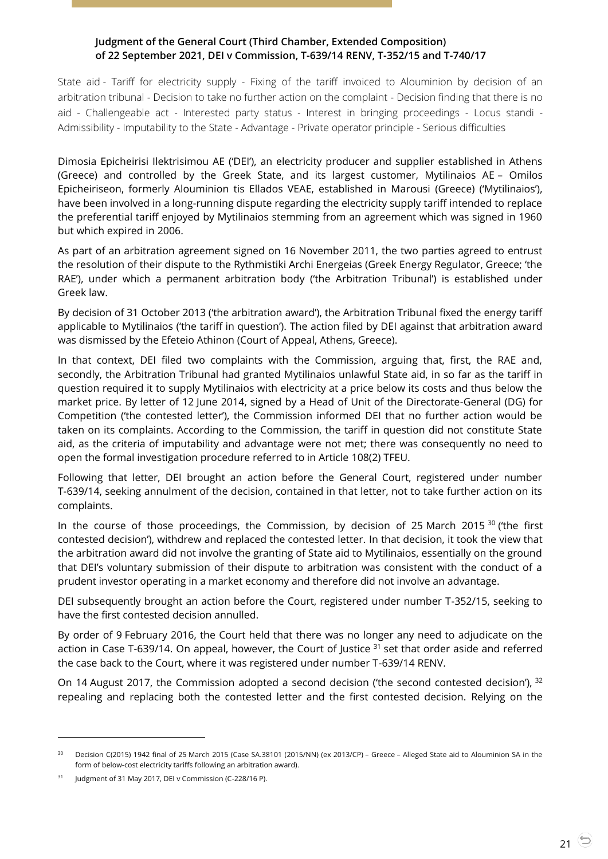## <span id="page-20-0"></span>**Judgment of the General Court (Third Chamber, Extended Composition) of 22 September 2021, DEI v Commission, T-639/14 RENV, T-352/15 and T-740/17**

State aid - Tariff for electricity supply - Fixing of the tariff invoiced to Alouminion by decision of an arbitration tribunal - Decision to take no further action on the complaint - Decision finding that there is no aid - Challengeable act - Interested party status - Interest in bringing proceedings - Locus standi - Admissibility - Imputability to the State - Advantage - Private operator principle - Serious difficulties

Dimosia Epicheirisi Ilektrisimou AE ('DEI'), an electricity producer and supplier established in Athens (Greece) and controlled by the Greek State, and its largest customer, Mytilinaios AE – Omilos Epicheiriseon, formerly Alouminion tis Ellados VEAE, established in Marousi (Greece) ('Mytilinaios'), have been involved in a long-running dispute regarding the electricity supply tariff intended to replace the preferential tariff enjoyed by Mytilinaios stemming from an agreement which was signed in 1960 but which expired in 2006.

As part of an arbitration agreement signed on 16 November 2011, the two parties agreed to entrust the resolution of their dispute to the Rythmistiki Archi Energeias (Greek Energy Regulator, Greece; 'the RAE'), under which a permanent arbitration body ('the Arbitration Tribunal') is established under Greek law.

By decision of 31 October 2013 ('the arbitration award'), the Arbitration Tribunal fixed the energy tariff applicable to Mytilinaios ('the tariff in question'). The action filed by DEI against that arbitration award was dismissed by the Efeteio Athinon (Court of Appeal, Athens, Greece).

In that context, DEI filed two complaints with the Commission, arguing that, first, the RAE and, secondly, the Arbitration Tribunal had granted Mytilinaios unlawful State aid, in so far as the tariff in question required it to supply Mytilinaios with electricity at a price below its costs and thus below the market price. By letter of 12 June 2014, signed by a Head of Unit of the Directorate-General (DG) for Competition ('the contested letter'), the Commission informed DEI that no further action would be taken on its complaints. According to the Commission, the tariff in question did not constitute State aid, as the criteria of imputability and advantage were not met; there was consequently no need to open the formal investigation procedure referred to in Article 108(2) TFEU.

Following that letter, DEI brought an action before the General Court, registered under number T-639/14, seeking annulment of the decision, contained in that letter, not to take further action on its complaints.

In the course of those proceedings, the Commission, by decision of 25 March 2015  $30$  ('the first contested decision'), withdrew and replaced the contested letter. In that decision, it took the view that the arbitration award did not involve the granting of State aid to Mytilinaios, essentially on the ground that DEI's voluntary submission of their dispute to arbitration was consistent with the conduct of a prudent investor operating in a market economy and therefore did not involve an advantage.

DEI subsequently brought an action before the Court, registered under number T-352/15, seeking to have the first contested decision annulled.

By order of 9 February 2016, the Court held that there was no longer any need to adjudicate on the action in Case T-639/14. On appeal, however, the Court of Justice <sup>31</sup> set that order aside and referred the case back to the Court, where it was registered under number T-639/14 RENV.

On 14 August 2017, the Commission adopted a second decision ('the second contested decision'), <sup>32</sup> repealing and replacing both the contested letter and the first contested decision. Relying on the

<sup>&</sup>lt;sup>30</sup> Decision C(2015) 1942 final of 25 March 2015 (Case SA.38101 (2015/NN) (ex 2013/CP) – Greece – Alleged State aid to Alouminion SA in the form of below-cost electricity tariffs following an arbitration award).

<sup>&</sup>lt;sup>31</sup> Judgment of 31 May 2017, DEI v Commission (C-228/16 P).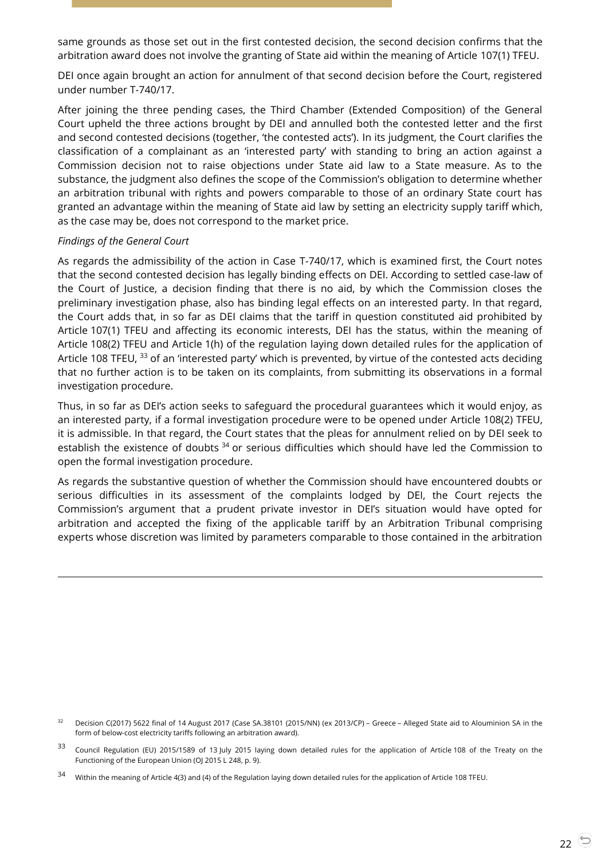same grounds as those set out in the first contested decision, the second decision confirms that the arbitration award does not involve the granting of State aid within the meaning of Article 107(1) TFEU.

DEI once again brought an action for annulment of that second decision before the Court, registered under number T-740/17.

After joining the three pending cases, the Third Chamber (Extended Composition) of the General Court upheld the three actions brought by DEI and annulled both the contested letter and the first and second contested decisions (together, 'the contested acts'). In its judgment, the Court clarifies the classification of a complainant as an 'interested party' with standing to bring an action against a Commission decision not to raise objections under State aid law to a State measure. As to the substance, the judgment also defines the scope of the Commission's obligation to determine whether an arbitration tribunal with rights and powers comparable to those of an ordinary State court has granted an advantage within the meaning of State aid law by setting an electricity supply tariff which, as the case may be, does not correspond to the market price.

#### *Findings of the General Court*

 $\overline{a}$ 

As regards the admissibility of the action in Case T-740/17, which is examined first, the Court notes that the second contested decision has legally binding effects on DEI. According to settled case-law of the Court of Justice, a decision finding that there is no aid, by which the Commission closes the preliminary investigation phase, also has binding legal effects on an interested party. In that regard, the Court adds that, in so far as DEI claims that the tariff in question constituted aid prohibited by Article 107(1) TFEU and affecting its economic interests, DEI has the status, within the meaning of Article 108(2) TFEU and Article 1(h) of the regulation laying down detailed rules for the application of Article 108 TFEU, <sup>33</sup> of an 'interested party' which is prevented, by virtue of the contested acts deciding that no further action is to be taken on its complaints, from submitting its observations in a formal investigation procedure.

Thus, in so far as DEI's action seeks to safeguard the procedural guarantees which it would enjoy, as an interested party, if a formal investigation procedure were to be opened under Article 108(2) TFEU, it is admissible. In that regard, the Court states that the pleas for annulment relied on by DEI seek to establish the existence of doubts <sup>34</sup> or serious difficulties which should have led the Commission to open the formal investigation procedure.

As regards the substantive question of whether the Commission should have encountered doubts or serious difficulties in its assessment of the complaints lodged by DEI, the Court rejects the Commission's argument that a prudent private investor in DEI's situation would have opted for arbitration and accepted the fixing of the applicable tariff by an Arbitration Tribunal comprising experts whose discretion was limited by parameters comparable to those contained in the arbitration

Decision C(2017) 5622 final of 14 August 2017 (Case SA.38101 (2015/NN) (ex 2013/CP) - Greece - Alleged State aid to Alouminion SA in the form of below-cost electricity tariffs following an arbitration award).

<sup>&</sup>lt;sup>33</sup> Council Regulation (EU) 2015/1589 of 13 July 2015 laying down detailed rules for the application of Article 108 of the Treaty on the Functioning of the European Union (OJ 2015 L 248, p. 9).

<sup>34</sup> Within the meaning of Article 4(3) and (4) of the Regulation laying down detailed rules for the application of Article 108 TFEU.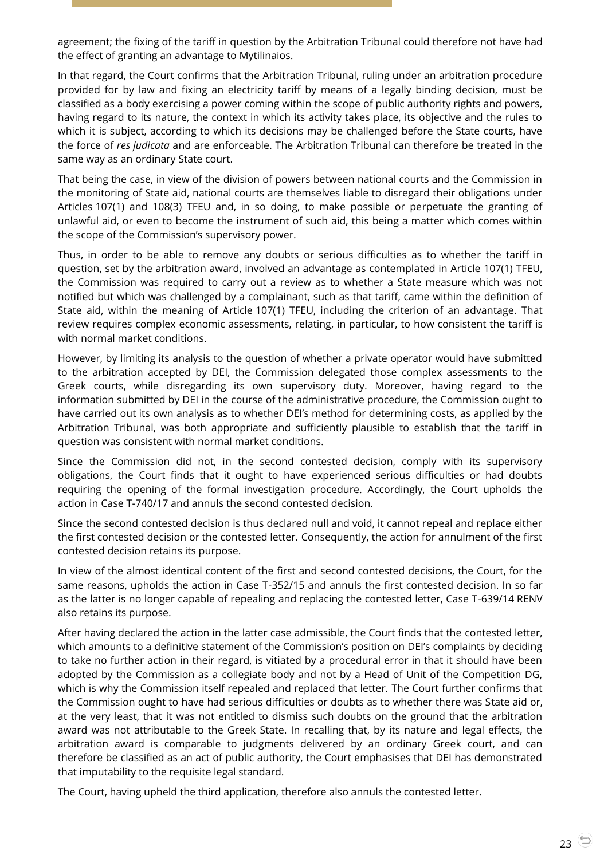agreement; the fixing of the tariff in question by the Arbitration Tribunal could therefore not have had the effect of granting an advantage to Mytilinaios.

In that regard, the Court confirms that the Arbitration Tribunal, ruling under an arbitration procedure provided for by law and fixing an electricity tariff by means of a legally binding decision, must be classified as a body exercising a power coming within the scope of public authority rights and powers, having regard to its nature, the context in which its activity takes place, its objective and the rules to which it is subject, according to which its decisions may be challenged before the State courts, have the force of *res judicata* and are enforceable. The Arbitration Tribunal can therefore be treated in the same way as an ordinary State court.

That being the case, in view of the division of powers between national courts and the Commission in the monitoring of State aid, national courts are themselves liable to disregard their obligations under Articles 107(1) and 108(3) TFEU and, in so doing, to make possible or perpetuate the granting of unlawful aid, or even to become the instrument of such aid, this being a matter which comes within the scope of the Commission's supervisory power.

Thus, in order to be able to remove any doubts or serious difficulties as to whether the tariff in question, set by the arbitration award, involved an advantage as contemplated in Article 107(1) TFEU, the Commission was required to carry out a review as to whether a State measure which was not notified but which was challenged by a complainant, such as that tariff, came within the definition of State aid, within the meaning of Article 107(1) TFEU, including the criterion of an advantage. That review requires complex economic assessments, relating, in particular, to how consistent the tariff is with normal market conditions.

However, by limiting its analysis to the question of whether a private operator would have submitted to the arbitration accepted by DEI, the Commission delegated those complex assessments to the Greek courts, while disregarding its own supervisory duty. Moreover, having regard to the information submitted by DEI in the course of the administrative procedure, the Commission ought to have carried out its own analysis as to whether DEI's method for determining costs, as applied by the Arbitration Tribunal, was both appropriate and sufficiently plausible to establish that the tariff in question was consistent with normal market conditions.

Since the Commission did not, in the second contested decision, comply with its supervisory obligations, the Court finds that it ought to have experienced serious difficulties or had doubts requiring the opening of the formal investigation procedure. Accordingly, the Court upholds the action in Case T-740/17 and annuls the second contested decision.

Since the second contested decision is thus declared null and void, it cannot repeal and replace either the first contested decision or the contested letter. Consequently, the action for annulment of the first contested decision retains its purpose.

In view of the almost identical content of the first and second contested decisions, the Court, for the same reasons, upholds the action in Case T-352/15 and annuls the first contested decision. In so far as the latter is no longer capable of repealing and replacing the contested letter, Case T-639/14 RENV also retains its purpose.

After having declared the action in the latter case admissible, the Court finds that the contested letter, which amounts to a definitive statement of the Commission's position on DEI's complaints by deciding to take no further action in their regard, is vitiated by a procedural error in that it should have been adopted by the Commission as a collegiate body and not by a Head of Unit of the Competition DG, which is why the Commission itself repealed and replaced that letter. The Court further confirms that the Commission ought to have had serious difficulties or doubts as to whether there was State aid or, at the very least, that it was not entitled to dismiss such doubts on the ground that the arbitration award was not attributable to the Greek State. In recalling that, by its nature and legal effects, the arbitration award is comparable to judgments delivered by an ordinary Greek court, and can therefore be classified as an act of public authority, the Court emphasises that DEI has demonstrated that imputability to the requisite legal standard.

The Court, having upheld the third application, therefore also annuls the contested letter.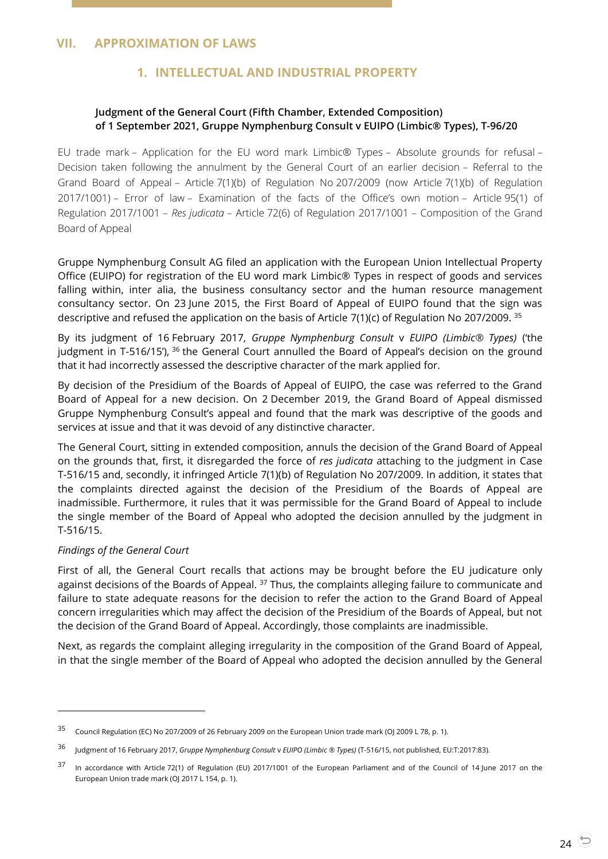## <span id="page-23-2"></span><span id="page-23-1"></span><span id="page-23-0"></span>**VII. APPROXIMATION OF LAWS**

## **1. INTELLECTUAL AND INDUSTRIAL PROPERTY**

## **Judgment of the General Court (Fifth Chamber, Extended Composition) of 1 September 2021, Gruppe Nymphenburg Consult v EUIPO (Limbic® Types), T-96/20**

EU trade mark – Application for the EU word mark Limbic® Types – Absolute grounds for refusal – Decision taken following the annulment by the General Court of an earlier decision – Referral to the Grand Board of Appeal – Article 7(1)(b) of Regulation No 207/2009 (now Article 7(1)(b) of Regulation 2017/1001) – Error of law – Examination of the facts of the Office's own motion – Article 95(1) of Regulation 2017/1001 – *Res judicata* – Article 72(6) of Regulation 2017/1001 – Composition of the Grand Board of Appeal

Gruppe Nymphenburg Consult AG filed an application with the European Union Intellectual Property Office (EUIPO) for registration of the EU word mark Limbic® Types in respect of goods and services falling within, inter alia, the business consultancy sector and the human resource management consultancy sector. On 23 June 2015, the First Board of Appeal of EUIPO found that the sign was descriptive and refused the application on the basis of Article 7(1)(c) of Regulation No 207/2009.  $35$ 

By its judgment of 16 February 2017, *Gruppe Nymphenburg Consult* v *EUIPO (Limbic® Types)* ('the judgment in T-516/15'), <sup>36</sup> the General Court annulled the Board of Appeal's decision on the ground that it had incorrectly assessed the descriptive character of the mark applied for.

By decision of the Presidium of the Boards of Appeal of EUIPO, the case was referred to the Grand Board of Appeal for a new decision. On 2 December 2019, the Grand Board of Appeal dismissed Gruppe Nymphenburg Consult's appeal and found that the mark was descriptive of the goods and services at issue and that it was devoid of any distinctive character.

The General Court, sitting in extended composition, annuls the decision of the Grand Board of Appeal on the grounds that, first, it disregarded the force of *res judicata* attaching to the judgment in Case T-516/15 and, secondly, it infringed Article 7(1)(b) of Regulation No 207/2009. In addition, it states that the complaints directed against the decision of the Presidium of the Boards of Appeal are inadmissible. Furthermore, it rules that it was permissible for the Grand Board of Appeal to include the single member of the Board of Appeal who adopted the decision annulled by the judgment in T-516/15.

#### *Findings of the General Court*

 $\overline{a}$ 

First of all, the General Court recalls that actions may be brought before the EU judicature only against decisions of the Boards of Appeal. <sup>37</sup> Thus, the complaints alleging failure to communicate and failure to state adequate reasons for the decision to refer the action to the Grand Board of Appeal concern irregularities which may affect the decision of the Presidium of the Boards of Appeal, but not the decision of the Grand Board of Appeal. Accordingly, those complaints are inadmissible.

Next, as regards the complaint alleging irregularity in the composition of the Grand Board of Appeal, in that the single member of the Board of Appeal who adopted the decision annulled by the General

<sup>35</sup> Council Regulation (EC) No 207/2009 of 26 February 2009 on the European Union trade mark (OJ 2009 L 78, p. 1).

<sup>36</sup> Judgment of 16 February 2017, *Gruppe Nymphenburg Consult* <sup>v</sup>*EUIPO (Limbic ® Types)* (T-516/15, not published, EU:T:2017:83).

<sup>37</sup> In accordance with Article 72(1) of Regulation (EU) 2017/1001 of the European Parliament and of the Council of 14 June 2017 on the European Union trade mark (OJ 2017 L 154, p. 1).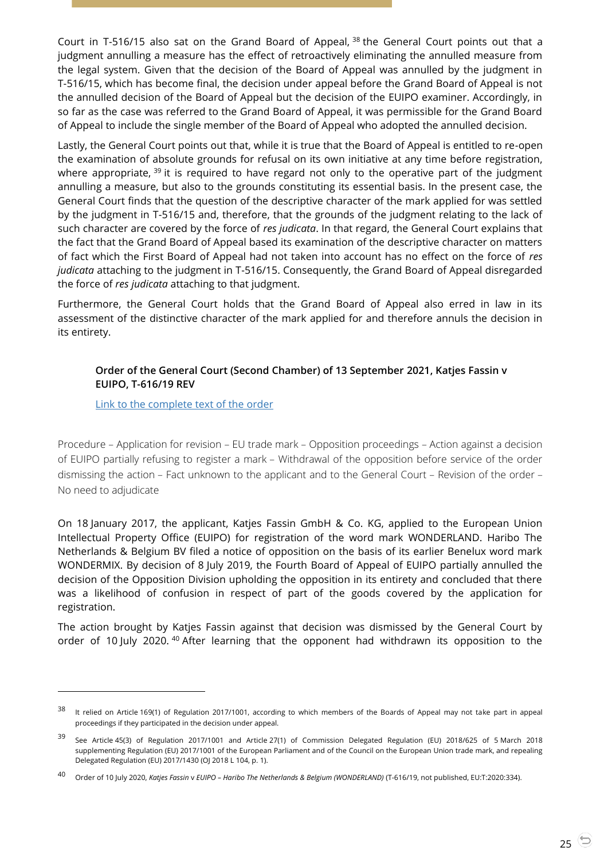Court in T-516/15 also sat on the Grand Board of Appeal, <sup>38</sup> the General Court points out that a judgment annulling a measure has the effect of retroactively eliminating the annulled measure from the legal system. Given that the decision of the Board of Appeal was annulled by the judgment in T-516/15, which has become final, the decision under appeal before the Grand Board of Appeal is not the annulled decision of the Board of Appeal but the decision of the EUIPO examiner. Accordingly, in so far as the case was referred to the Grand Board of Appeal, it was permissible for the Grand Board of Appeal to include the single member of the Board of Appeal who adopted the annulled decision.

Lastly, the General Court points out that, while it is true that the Board of Appeal is entitled to re-open the examination of absolute grounds for refusal on its own initiative at any time before registration, where appropriate, <sup>39</sup> it is required to have regard not only to the operative part of the judgment annulling a measure, but also to the grounds constituting its essential basis. In the present case, the General Court finds that the question of the descriptive character of the mark applied for was settled by the judgment in T-516/15 and, therefore, that the grounds of the judgment relating to the lack of such character are covered by the force of *res judicata*. In that regard, the General Court explains that the fact that the Grand Board of Appeal based its examination of the descriptive character on matters of fact which the First Board of Appeal had not taken into account has no effect on the force of *res judicata* attaching to the judgment in T-516/15. Consequently, the Grand Board of Appeal disregarded the force of *res judicata* attaching to that judgment.

Furthermore, the General Court holds that the Grand Board of Appeal also erred in law in its assessment of the distinctive character of the mark applied for and therefore annuls the decision in its entirety.

## <span id="page-24-0"></span>**Order of the General Court (Second Chamber) of 13 September 2021, Katjes Fassin v EUIPO, T-616/19 REV**

[Link to the complete text of the order](https://curia.europa.eu/juris/document/document.jsf?text=&docid=246401&pageIndex=0&doclang=en&mode=lst&dir=&occ=first&part=1&cid=20942607)

-

Procedure – Application for revision – EU trade mark – Opposition proceedings – Action against a decision of EUIPO partially refusing to register a mark – Withdrawal of the opposition before service of the order dismissing the action – Fact unknown to the applicant and to the General Court – Revision of the order – No need to adjudicate

On 18 January 2017, the applicant, Katjes Fassin GmbH & Co. KG, applied to the European Union Intellectual Property Office (EUIPO) for registration of the word mark WONDERLAND. Haribo The Netherlands & Belgium BV filed a notice of opposition on the basis of its earlier Benelux word mark WONDERMIX. By decision of 8 July 2019, the Fourth Board of Appeal of EUIPO partially annulled the decision of the Opposition Division upholding the opposition in its entirety and concluded that there was a likelihood of confusion in respect of part of the goods covered by the application for registration.

The action brought by Katjes Fassin against that decision was dismissed by the General Court by order of 10 July 2020. <sup>40</sup> After learning that the opponent had withdrawn its opposition to the

It relied on Article 169(1) of Regulation 2017/1001, according to which members of the Boards of Appeal may not take part in appeal proceedings if they participated in the decision under appeal.

<sup>39</sup> See Article 45(3) of Regulation 2017/1001 and Article 27(1) of Commission Delegated Regulation (EU) 2018/625 of 5 March 2018 supplementing Regulation (EU) 2017/1001 of the European Parliament and of the Council on the European Union trade mark, and repealing Delegated Regulation (EU) 2017/1430 (OJ 2018 L 104, p. 1).

<sup>40</sup> Order of 10 July 2020, *Katjes Fassin* <sup>v</sup>*EUIPO – Haribo The Netherlands & Belgium (WONDERLAND)* (T-616/19, not published, EU:T:2020:334).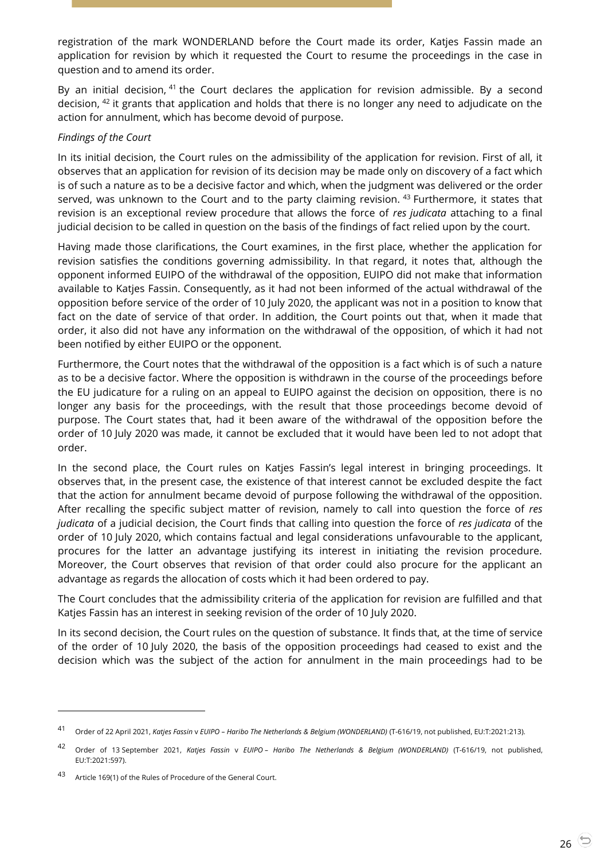registration of the mark WONDERLAND before the Court made its order, Katjes Fassin made an application for revision by which it requested the Court to resume the proceedings in the case in question and to amend its order.

By an initial decision, <sup>41</sup> the Court declares the application for revision admissible. By a second decision, <sup>42</sup> it grants that application and holds that there is no longer any need to adjudicate on the action for annulment, which has become devoid of purpose.

#### *Findings of the Court*

In its initial decision, the Court rules on the admissibility of the application for revision. First of all, it observes that an application for revision of its decision may be made only on discovery of a fact which is of such a nature as to be a decisive factor and which, when the judgment was delivered or the order served, was unknown to the Court and to the party claiming revision. <sup>43</sup> Furthermore, it states that revision is an exceptional review procedure that allows the force of *res judicata* attaching to a final judicial decision to be called in question on the basis of the findings of fact relied upon by the court.

Having made those clarifications, the Court examines, in the first place, whether the application for revision satisfies the conditions governing admissibility. In that regard, it notes that, although the opponent informed EUIPO of the withdrawal of the opposition, EUIPO did not make that information available to Katjes Fassin. Consequently, as it had not been informed of the actual withdrawal of the opposition before service of the order of 10 July 2020, the applicant was not in a position to know that fact on the date of service of that order. In addition, the Court points out that, when it made that order, it also did not have any information on the withdrawal of the opposition, of which it had not been notified by either EUIPO or the opponent.

Furthermore, the Court notes that the withdrawal of the opposition is a fact which is of such a nature as to be a decisive factor. Where the opposition is withdrawn in the course of the proceedings before the EU judicature for a ruling on an appeal to EUIPO against the decision on opposition, there is no longer any basis for the proceedings, with the result that those proceedings become devoid of purpose. The Court states that, had it been aware of the withdrawal of the opposition before the order of 10 July 2020 was made, it cannot be excluded that it would have been led to not adopt that order.

In the second place, the Court rules on Katjes Fassin's legal interest in bringing proceedings. It observes that, in the present case, the existence of that interest cannot be excluded despite the fact that the action for annulment became devoid of purpose following the withdrawal of the opposition. After recalling the specific subject matter of revision, namely to call into question the force of *res judicata* of a judicial decision, the Court finds that calling into question the force of *res judicata* of the order of 10 July 2020, which contains factual and legal considerations unfavourable to the applicant, procures for the latter an advantage justifying its interest in initiating the revision procedure. Moreover, the Court observes that revision of that order could also procure for the applicant an advantage as regards the allocation of costs which it had been ordered to pay.

The Court concludes that the admissibility criteria of the application for revision are fulfilled and that Katjes Fassin has an interest in seeking revision of the order of 10 July 2020.

In its second decision, the Court rules on the question of substance. It finds that, at the time of service of the order of 10 July 2020, the basis of the opposition proceedings had ceased to exist and the decision which was the subject of the action for annulment in the main proceedings had to be

<sup>41</sup> Order of 22 April 2021, *Katjes Fassin* <sup>v</sup>*EUIPO – Haribo The Netherlands & Belgium (WONDERLAND)* (T-616/19, not published, EU:T:2021:213).

<sup>42</sup> Order of 13 September 2021, *Katjes Fassin* <sup>v</sup>*EUIPO – Haribo The Netherlands & Belgium (WONDERLAND)* (T-616/19, not published, EU:T:2021:597).

Article 169(1) of the Rules of Procedure of the General Court.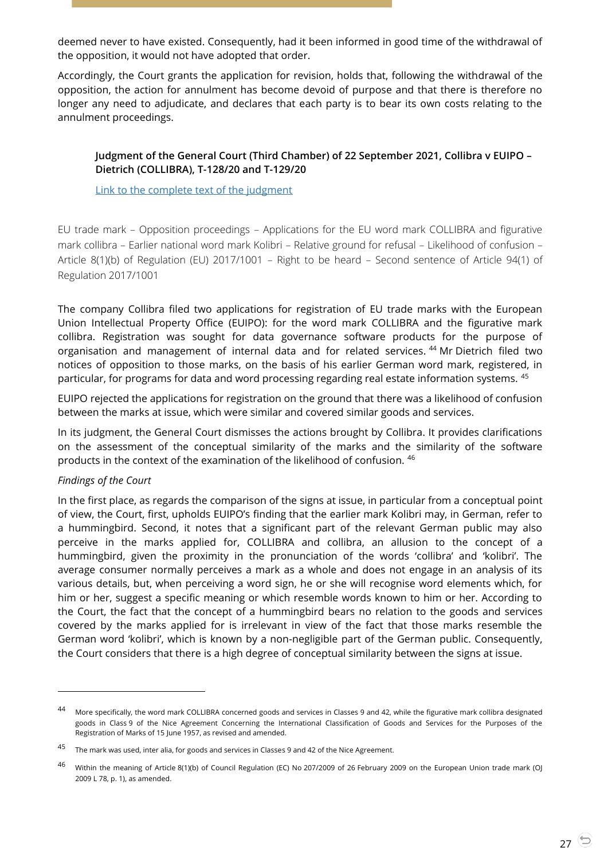deemed never to have existed. Consequently, had it been informed in good time of the withdrawal of the opposition, it would not have adopted that order.

Accordingly, the Court grants the application for revision, holds that, following the withdrawal of the opposition, the action for annulment has become devoid of purpose and that there is therefore no longer any need to adjudicate, and declares that each party is to bear its own costs relating to the annulment proceedings.

## <span id="page-26-0"></span>**Judgment of the General Court (Third Chamber) of 22 September 2021, Collibra v EUIPO – Dietrich (COLLIBRA), T-128/20 and T-129/20**

#### [Link to the complete text of the judgment](https://curia.europa.eu/juris/document/document.jsf?text=&docid=246457&pageIndex=0&doclang=en&mode=lst&dir=&occ=first&part=1&cid=20942607)

EU trade mark – Opposition proceedings – Applications for the EU word mark COLLIBRA and figurative mark collibra – Earlier national word mark Kolibri – Relative ground for refusal – Likelihood of confusion – Article 8(1)(b) of Regulation (EU) 2017/1001 – Right to be heard – Second sentence of Article 94(1) of Regulation 2017/1001

The company Collibra filed two applications for registration of EU trade marks with the European Union Intellectual Property Office (EUIPO): for the word mark COLLIBRA and the figurative mark collibra. Registration was sought for data governance software products for the purpose of organisation and management of internal data and for related services.<sup>44</sup> Mr Dietrich filed two notices of opposition to those marks, on the basis of his earlier German word mark, registered, in particular, for programs for data and word processing regarding real estate information systems. <sup>45</sup>

EUIPO rejected the applications for registration on the ground that there was a likelihood of confusion between the marks at issue, which were similar and covered similar goods and services.

In its judgment, the General Court dismisses the actions brought by Collibra. It provides clarifications on the assessment of the conceptual similarity of the marks and the similarity of the software products in the context of the examination of the likelihood of confusion. <sup>46</sup>

#### *Findings of the Court*

-

In the first place, as regards the comparison of the signs at issue, in particular from a conceptual point of view, the Court, first, upholds EUIPO's finding that the earlier mark Kolibri may, in German, refer to a hummingbird. Second, it notes that a significant part of the relevant German public may also perceive in the marks applied for, COLLIBRA and collibra, an allusion to the concept of a hummingbird, given the proximity in the pronunciation of the words 'collibra' and 'kolibri'. The average consumer normally perceives a mark as a whole and does not engage in an analysis of its various details, but, when perceiving a word sign, he or she will recognise word elements which, for him or her, suggest a specific meaning or which resemble words known to him or her. According to the Court, the fact that the concept of a hummingbird bears no relation to the goods and services covered by the marks applied for is irrelevant in view of the fact that those marks resemble the German word 'kolibri', which is known by a non-negligible part of the German public. Consequently, the Court considers that there is a high degree of conceptual similarity between the signs at issue.

<sup>44</sup> More specifically, the word mark COLLIBRA concerned goods and services in Classes 9 and 42, while the figurative mark collibra designated goods in Class 9 of the Nice Agreement Concerning the International Classification of Goods and Services for the Purposes of the Registration of Marks of 15 June 1957, as revised and amended.

<sup>&</sup>lt;sup>45</sup> The mark was used, inter alia, for goods and services in Classes 9 and 42 of the Nice Agreement.

<sup>46</sup> Within the meaning of Article 8(1)(b) of Council Regulation (EC) No 207/2009 of 26 February 2009 on the European Union trade mark (OI) 2009 L 78, p. 1), as amended.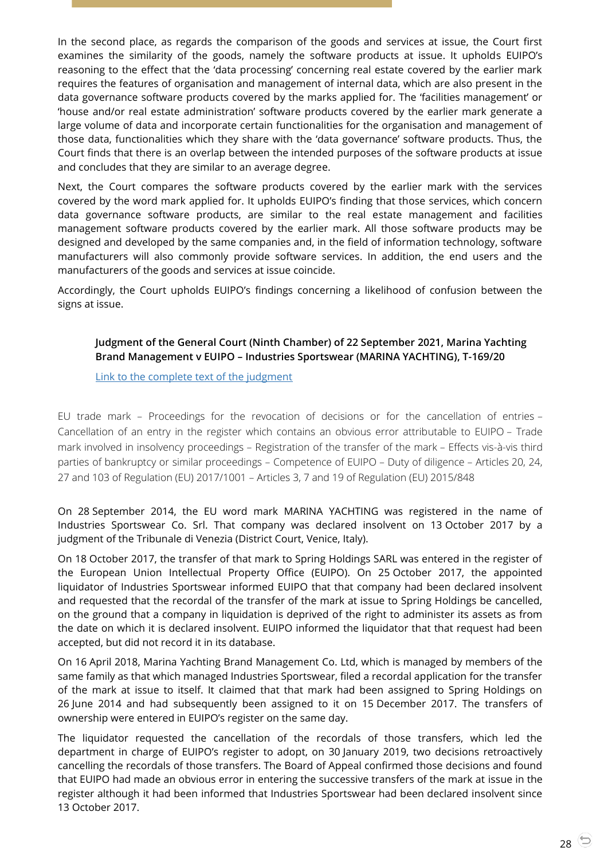In the second place, as regards the comparison of the goods and services at issue, the Court first examines the similarity of the goods, namely the software products at issue. It upholds EUIPO's reasoning to the effect that the 'data processing' concerning real estate covered by the earlier mark requires the features of organisation and management of internal data, which are also present in the data governance software products covered by the marks applied for. The 'facilities management' or 'house and/or real estate administration' software products covered by the earlier mark generate a large volume of data and incorporate certain functionalities for the organisation and management of those data, functionalities which they share with the 'data governance' software products. Thus, the Court finds that there is an overlap between the intended purposes of the software products at issue and concludes that they are similar to an average degree.

Next, the Court compares the software products covered by the earlier mark with the services covered by the word mark applied for. It upholds EUIPO's finding that those services, which concern data governance software products, are similar to the real estate management and facilities management software products covered by the earlier mark. All those software products may be designed and developed by the same companies and, in the field of information technology, software manufacturers will also commonly provide software services. In addition, the end users and the manufacturers of the goods and services at issue coincide.

<span id="page-27-0"></span>Accordingly, the Court upholds EUIPO's findings concerning a likelihood of confusion between the signs at issue.

## **Judgment of the General Court (Ninth Chamber) of 22 September 2021, Marina Yachting Brand Management v EUIPO – Industries Sportswear (MARINA YACHTING), T-169/20**

#### [Link to the complete text of the judgment](https://curia.europa.eu/juris/document/document.jsf?text=&docid=246449&pageIndex=0&doclang=en&mode=lst&dir=&occ=first&part=1&cid=20942607)

EU trade mark – Proceedings for the revocation of decisions or for the cancellation of entries – Cancellation of an entry in the register which contains an obvious error attributable to EUIPO – Trade mark involved in insolvency proceedings – Registration of the transfer of the mark – Effects vis-à-vis third parties of bankruptcy or similar proceedings – Competence of EUIPO – Duty of diligence – Articles 20, 24, 27 and 103 of Regulation (EU) 2017/1001 – Articles 3, 7 and 19 of Regulation (EU) 2015/848

On 28 September 2014, the EU word mark MARINA YACHTING was registered in the name of Industries Sportswear Co. Srl. That company was declared insolvent on 13 October 2017 by a judgment of the Tribunale di Venezia (District Court, Venice, Italy).

On 18 October 2017, the transfer of that mark to Spring Holdings SARL was entered in the register of the European Union Intellectual Property Office (EUIPO). On 25 October 2017, the appointed liquidator of Industries Sportswear informed EUIPO that that company had been declared insolvent and requested that the recordal of the transfer of the mark at issue to Spring Holdings be cancelled, on the ground that a company in liquidation is deprived of the right to administer its assets as from the date on which it is declared insolvent. EUIPO informed the liquidator that that request had been accepted, but did not record it in its database.

On 16 April 2018, Marina Yachting Brand Management Co. Ltd, which is managed by members of the same family as that which managed Industries Sportswear, filed a recordal application for the transfer of the mark at issue to itself. It claimed that that mark had been assigned to Spring Holdings on 26 June 2014 and had subsequently been assigned to it on 15 December 2017. The transfers of ownership were entered in EUIPO's register on the same day.

The liquidator requested the cancellation of the recordals of those transfers, which led the department in charge of EUIPO's register to adopt, on 30 January 2019, two decisions retroactively cancelling the recordals of those transfers. The Board of Appeal confirmed those decisions and found that EUIPO had made an obvious error in entering the successive transfers of the mark at issue in the register although it had been informed that Industries Sportswear had been declared insolvent since 13 October 2017.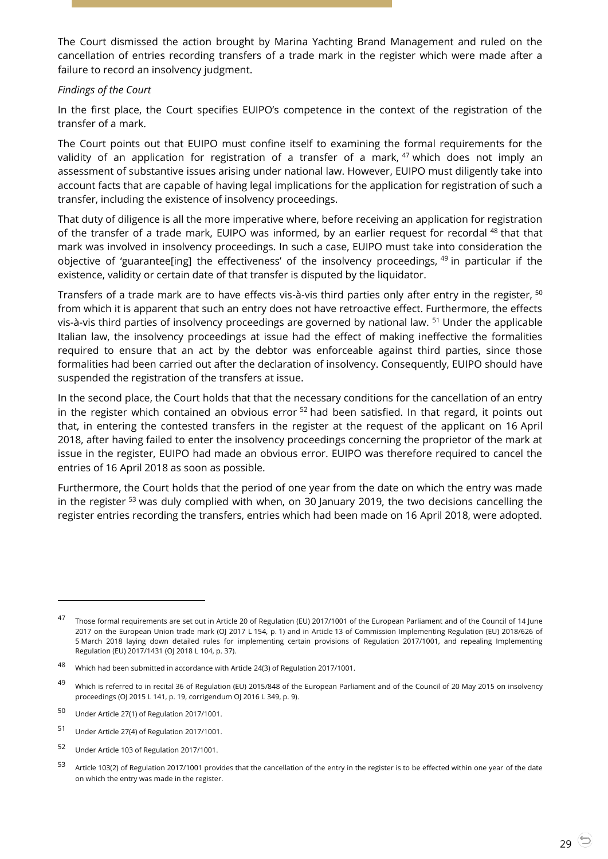The Court dismissed the action brought by Marina Yachting Brand Management and ruled on the cancellation of entries recording transfers of a trade mark in the register which were made after a failure to record an insolvency judgment.

#### *Findings of the Court*

In the first place, the Court specifies EUIPO's competence in the context of the registration of the transfer of a mark.

The Court points out that EUIPO must confine itself to examining the formal requirements for the validity of an application for registration of a transfer of a mark,  $47$  which does not imply an assessment of substantive issues arising under national law. However, EUIPO must diligently take into account facts that are capable of having legal implications for the application for registration of such a transfer, including the existence of insolvency proceedings.

That duty of diligence is all the more imperative where, before receiving an application for registration of the transfer of a trade mark, EUIPO was informed, by an earlier request for recordal <sup>48</sup> that that mark was involved in insolvency proceedings. In such a case, EUIPO must take into consideration the objective of 'guarantee[ing] the effectiveness' of the insolvency proceedings, <sup>49</sup> in particular if the existence, validity or certain date of that transfer is disputed by the liquidator.

Transfers of a trade mark are to have effects vis-à-vis third parties only after entry in the register, <sup>50</sup> from which it is apparent that such an entry does not have retroactive effect. Furthermore, the effects vis-à-vis third parties of insolvency proceedings are governed by national law. <sup>51</sup> Under the applicable Italian law, the insolvency proceedings at issue had the effect of making ineffective the formalities required to ensure that an act by the debtor was enforceable against third parties, since those formalities had been carried out after the declaration of insolvency. Consequently, EUIPO should have suspended the registration of the transfers at issue.

In the second place, the Court holds that that the necessary conditions for the cancellation of an entry in the register which contained an obvious error <sup>52</sup> had been satisfied. In that regard, it points out that, in entering the contested transfers in the register at the request of the applicant on 16 April 2018, after having failed to enter the insolvency proceedings concerning the proprietor of the mark at issue in the register, EUIPO had made an obvious error. EUIPO was therefore required to cancel the entries of 16 April 2018 as soon as possible.

Furthermore, the Court holds that the period of one year from the date on which the entry was made in the register <sup>53</sup> was duly complied with when, on 30 January 2019, the two decisions cancelling the register entries recording the transfers, entries which had been made on 16 April 2018, were adopted.

-

<sup>47</sup> Those formal requirements are set out in Article 20 of Regulation (EU) 2017/1001 of the European Parliament and of the Council of 14 June 2017 on the European Union trade mark (OJ 2017 L 154, p. 1) and in Article 13 of Commission Implementing Regulation (EU) 2018/626 of 5 March 2018 laying down detailed rules for implementing certain provisions of Regulation 2017/1001, and repealing Implementing Regulation (EU) 2017/1431 (OJ 2018 L 104, p. 37).

<sup>48</sup> Which had been submitted in accordance with Article 24(3) of Regulation 2017/1001.

<sup>49</sup> Which is referred to in recital 36 of Regulation (EU) 2015/848 of the European Parliament and of the Council of 20 May 2015 on insolvency proceedings (OJ 2015 L 141, p. 19, corrigendum OJ 2016 L 349, p. 9).

<sup>50</sup> Under Article 27(1) of Regulation 2017/1001.

<sup>51</sup> Under Article 27(4) of Regulation 2017/1001.

<sup>52</sup> Under Article 103 of Regulation 2017/1001.

<sup>53</sup> Article 103(2) of Regulation 2017/1001 provides that the cancellation of the entry in the register is to be effected within one year of the date on which the entry was made in the register.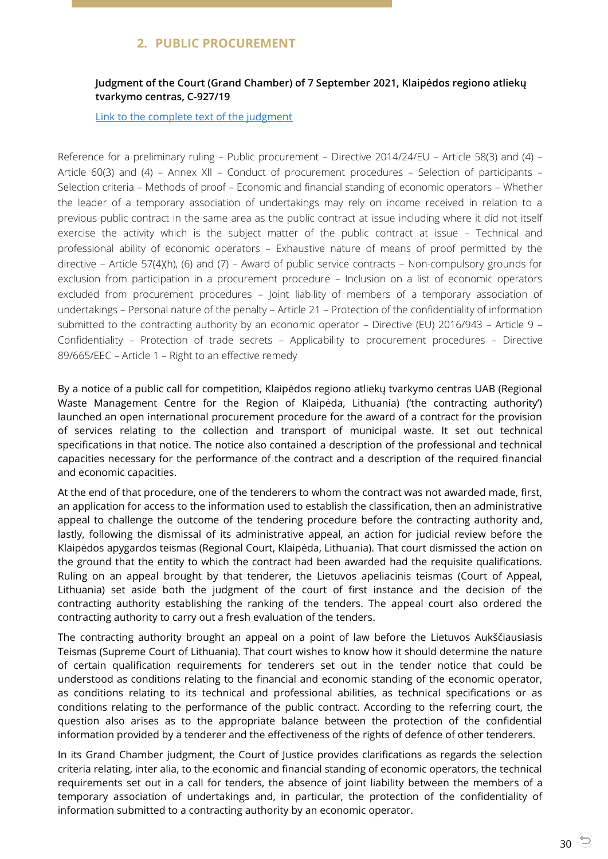# **2. PUBLIC PROCUREMENT**

## <span id="page-29-1"></span><span id="page-29-0"></span>**Judgment of the Court (Grand Chamber) of 7 September 2021, Klaipėdos regiono atliekų tvarkymo centras, C-927/19**

#### [Link to the complete text of the judgment](https://curia.europa.eu/juris/document/document.jsf;jsessionid=5973DC72C0BB61FE4ED95A3A535D4398?text=&docid=245661&pageIndex=0&doclang=en&mode=lst&dir=&occ=first&part=1&cid=21958517)

Reference for a preliminary ruling – Public procurement – Directive 2014/24/EU – Article 58(3) and (4) – Article 60(3) and (4) – Annex XII – Conduct of procurement procedures – Selection of participants – Selection criteria – Methods of proof – Economic and financial standing of economic operators – Whether the leader of a temporary association of undertakings may rely on income received in relation to a previous public contract in the same area as the public contract at issue including where it did not itself exercise the activity which is the subject matter of the public contract at issue – Technical and professional ability of economic operators – Exhaustive nature of means of proof permitted by the directive – Article 57(4)(h), (6) and (7) – Award of public service contracts – Non-compulsory grounds for exclusion from participation in a procurement procedure – Inclusion on a list of economic operators excluded from procurement procedures – Joint liability of members of a temporary association of undertakings – Personal nature of the penalty – Article 21 – Protection of the confidentiality of information submitted to the contracting authority by an economic operator – Directive (EU) 2016/943 – Article 9 – Confidentiality – Protection of trade secrets – Applicability to procurement procedures – Directive 89/665/EEC – Article 1 – Right to an effective remedy

By a notice of a public call for competition, Klaipėdos regiono atliekų tvarkymo centras UAB (Regional Waste Management Centre for the Region of Klaipėda, Lithuania) ('the contracting authority') launched an open international procurement procedure for the award of a contract for the provision of services relating to the collection and transport of municipal waste. It set out technical specifications in that notice. The notice also contained a description of the professional and technical capacities necessary for the performance of the contract and a description of the required financial and economic capacities.

At the end of that procedure, one of the tenderers to whom the contract was not awarded made, first, an application for access to the information used to establish the classification, then an administrative appeal to challenge the outcome of the tendering procedure before the contracting authority and, lastly, following the dismissal of its administrative appeal, an action for judicial review before the Klaipėdos apygardos teismas (Regional Court, Klaipėda, Lithuania). That court dismissed the action on the ground that the entity to which the contract had been awarded had the requisite qualifications. Ruling on an appeal brought by that tenderer, the Lietuvos apeliacinis teismas (Court of Appeal, Lithuania) set aside both the judgment of the court of first instance and the decision of the contracting authority establishing the ranking of the tenders. The appeal court also ordered the contracting authority to carry out a fresh evaluation of the tenders.

The contracting authority brought an appeal on a point of law before the Lietuvos Aukščiausiasis Teismas (Supreme Court of Lithuania). That court wishes to know how it should determine the nature of certain qualification requirements for tenderers set out in the tender notice that could be understood as conditions relating to the financial and economic standing of the economic operator, as conditions relating to its technical and professional abilities, as technical specifications or as conditions relating to the performance of the public contract. According to the referring court, the question also arises as to the appropriate balance between the protection of the confidential information provided by a tenderer and the effectiveness of the rights of defence of other tenderers.

In its Grand Chamber judgment, the Court of Justice provides clarifications as regards the selection criteria relating, inter alia, to the economic and financial standing of economic operators, the technical requirements set out in a call for tenders, the absence of joint liability between the members of a temporary association of undertakings and, in particular, the protection of the confidentiality of information submitted to a contracting authority by an economic operator.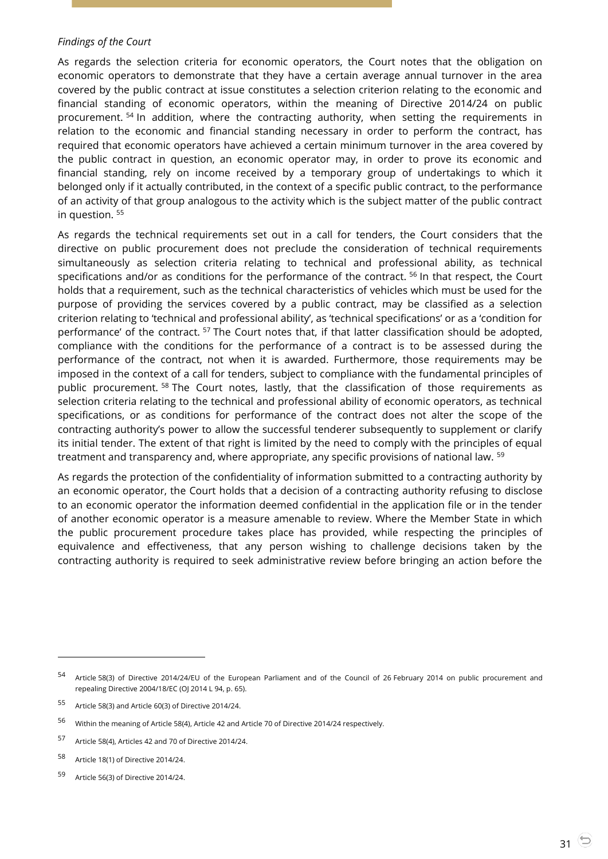#### *Findings of the Court*

As regards the selection criteria for economic operators, the Court notes that the obligation on economic operators to demonstrate that they have a certain average annual turnover in the area covered by the public contract at issue constitutes a selection criterion relating to the economic and financial standing of economic operators, within the meaning of Directive 2014/24 on public procurement. <sup>54</sup> In addition, where the contracting authority, when setting the requirements in relation to the economic and financial standing necessary in order to perform the contract, has required that economic operators have achieved a certain minimum turnover in the area covered by the public contract in question, an economic operator may, in order to prove its economic and financial standing, rely on income received by a temporary group of undertakings to which it belonged only if it actually contributed, in the context of a specific public contract, to the performance of an activity of that group analogous to the activity which is the subject matter of the public contract in question. <sup>55</sup>

As regards the technical requirements set out in a call for tenders, the Court considers that the directive on public procurement does not preclude the consideration of technical requirements simultaneously as selection criteria relating to technical and professional ability, as technical specifications and/or as conditions for the performance of the contract. <sup>56</sup> In that respect, the Court holds that a requirement, such as the technical characteristics of vehicles which must be used for the purpose of providing the services covered by a public contract, may be classified as a selection criterion relating to 'technical and professional ability', as 'technical specifications' or as a 'condition for performance' of the contract. <sup>57</sup> The Court notes that, if that latter classification should be adopted, compliance with the conditions for the performance of a contract is to be assessed during the performance of the contract, not when it is awarded. Furthermore, those requirements may be imposed in the context of a call for tenders, subject to compliance with the fundamental principles of public procurement. <sup>58</sup> The Court notes, lastly, that the classification of those requirements as selection criteria relating to the technical and professional ability of economic operators, as technical specifications, or as conditions for performance of the contract does not alter the scope of the contracting authority's power to allow the successful tenderer subsequently to supplement or clarify its initial tender. The extent of that right is limited by the need to comply with the principles of equal treatment and transparency and, where appropriate, any specific provisions of national law. <sup>59</sup>

As regards the protection of the confidentiality of information submitted to a contracting authority by an economic operator, the Court holds that a decision of a contracting authority refusing to disclose to an economic operator the information deemed confidential in the application file or in the tender of another economic operator is a measure amenable to review. Where the Member State in which the public procurement procedure takes place has provided, while respecting the principles of equivalence and effectiveness, that any person wishing to challenge decisions taken by the contracting authority is required to seek administrative review before bringing an action before the

<sup>54</sup> Article 58(3) of Directive 2014/24/EU of the European Parliament and of the Council of 26 February 2014 on public procurement and repealing Directive 2004/18/EC (OJ 2014 L 94, p. 65).

<sup>55</sup> Article 58(3) and Article 60(3) of Directive 2014/24.

<sup>56</sup> Within the meaning of Article 58(4), Article 42 and Article 70 of Directive 2014/24 respectively.

<sup>57</sup> Article 58(4), Articles 42 and 70 of Directive 2014/24.

<sup>58</sup> Article 18(1) of Directive 2014/24.

<sup>59</sup> Article 56(3) of Directive 2014/24.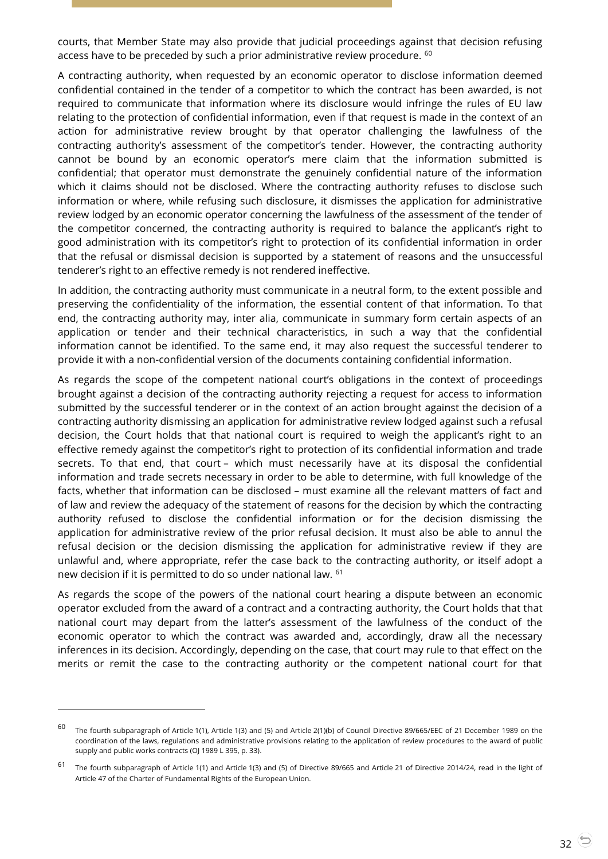courts, that Member State may also provide that judicial proceedings against that decision refusing access have to be preceded by such a prior administrative review procedure. <sup>60</sup>

A contracting authority, when requested by an economic operator to disclose information deemed confidential contained in the tender of a competitor to which the contract has been awarded, is not required to communicate that information where its disclosure would infringe the rules of EU law relating to the protection of confidential information, even if that request is made in the context of an action for administrative review brought by that operator challenging the lawfulness of the contracting authority's assessment of the competitor's tender. However, the contracting authority cannot be bound by an economic operator's mere claim that the information submitted is confidential; that operator must demonstrate the genuinely confidential nature of the information which it claims should not be disclosed. Where the contracting authority refuses to disclose such information or where, while refusing such disclosure, it dismisses the application for administrative review lodged by an economic operator concerning the lawfulness of the assessment of the tender of the competitor concerned, the contracting authority is required to balance the applicant's right to good administration with its competitor's right to protection of its confidential information in order that the refusal or dismissal decision is supported by a statement of reasons and the unsuccessful tenderer's right to an effective remedy is not rendered ineffective.

In addition, the contracting authority must communicate in a neutral form, to the extent possible and preserving the confidentiality of the information, the essential content of that information. To that end, the contracting authority may, inter alia, communicate in summary form certain aspects of an application or tender and their technical characteristics, in such a way that the confidential information cannot be identified. To the same end, it may also request the successful tenderer to provide it with a non-confidential version of the documents containing confidential information.

As regards the scope of the competent national court's obligations in the context of proceedings brought against a decision of the contracting authority rejecting a request for access to information submitted by the successful tenderer or in the context of an action brought against the decision of a contracting authority dismissing an application for administrative review lodged against such a refusal decision, the Court holds that that national court is required to weigh the applicant's right to an effective remedy against the competitor's right to protection of its confidential information and trade secrets. To that end, that court – which must necessarily have at its disposal the confidential information and trade secrets necessary in order to be able to determine, with full knowledge of the facts, whether that information can be disclosed – must examine all the relevant matters of fact and of law and review the adequacy of the statement of reasons for the decision by which the contracting authority refused to disclose the confidential information or for the decision dismissing the application for administrative review of the prior refusal decision. It must also be able to annul the refusal decision or the decision dismissing the application for administrative review if they are unlawful and, where appropriate, refer the case back to the contracting authority, or itself adopt a new decision if it is permitted to do so under national law. <sup>61</sup>

As regards the scope of the powers of the national court hearing a dispute between an economic operator excluded from the award of a contract and a contracting authority, the Court holds that that national court may depart from the latter's assessment of the lawfulness of the conduct of the economic operator to which the contract was awarded and, accordingly, draw all the necessary inferences in its decision. Accordingly, depending on the case, that court may rule to that effect on the merits or remit the case to the contracting authority or the competent national court for that

-

<sup>60</sup> The fourth subparagraph of Article 1(1), Article 1(3) and (5) and Article 2(1)(b) of Council Directive 89/665/EEC of 21 December 1989 on the coordination of the laws, regulations and administrative provisions relating to the application of review procedures to the award of public supply and public works contracts (OJ 1989 L 395, p. 33).

<sup>&</sup>lt;sup>61</sup> The fourth subparagraph of Article 1(1) and Article 1(3) and (5) of Directive 89/665 and Article 21 of Directive 2014/24, read in the light of Article 47 of the Charter of Fundamental Rights of the European Union.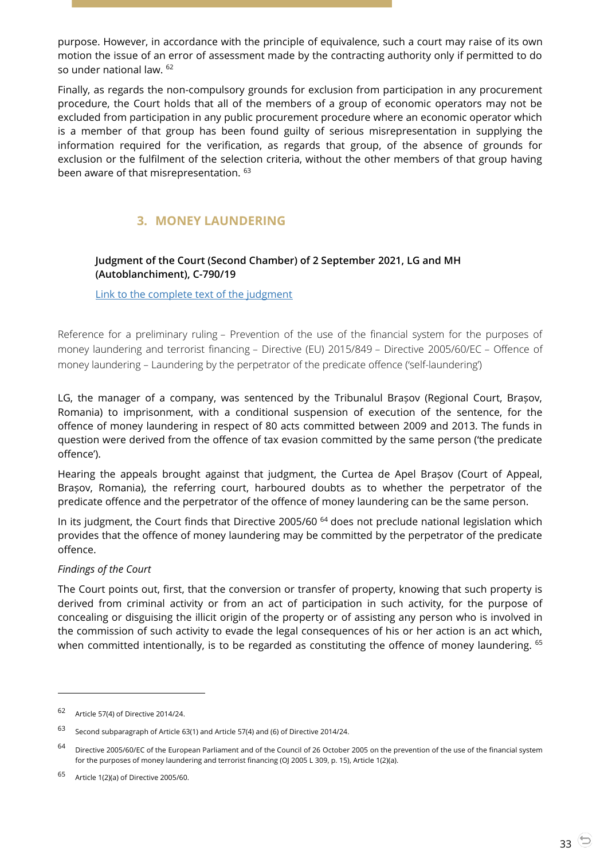purpose. However, in accordance with the principle of equivalence, such a court may raise of its own motion the issue of an error of assessment made by the contracting authority only if permitted to do so under national law. <sup>62</sup>

Finally, as regards the non-compulsory grounds for exclusion from participation in any procurement procedure, the Court holds that all of the members of a group of economic operators may not be excluded from participation in any public procurement procedure where an economic operator which is a member of that group has been found guilty of serious misrepresentation in supplying the information required for the verification, as regards that group, of the absence of grounds for exclusion or the fulfilment of the selection criteria, without the other members of that group having been aware of that misrepresentation. <sup>63</sup>

# **3. MONEY LAUNDERING**

## <span id="page-32-1"></span><span id="page-32-0"></span>**Judgment of the Court (Second Chamber) of 2 September 2021, LG and MH (Autoblanchiment), C-790/19**

[Link to the complete text of the judgment](https://curia.europa.eu/juris/document/document.jsf?text=&docid=245529&pageIndex=0&doclang=en&mode=lst&dir=&occ=first&part=1&cid=21958517)

Reference for a preliminary ruling – Prevention of the use of the financial system for the purposes of money laundering and terrorist financing – Directive (EU) 2015/849 – Directive 2005/60/EC – Offence of money laundering – Laundering by the perpetrator of the predicate offence ('self-laundering')

LG, the manager of a company, was sentenced by the Tribunalul Brașov (Regional Court, Brașov, Romania) to imprisonment, with a conditional suspension of execution of the sentence, for the offence of money laundering in respect of 80 acts committed between 2009 and 2013. The funds in question were derived from the offence of tax evasion committed by the same person ('the predicate offence').

Hearing the appeals brought against that judgment, the Curtea de Apel Brașov (Court of Appeal, Brașov, Romania), the referring court, harboured doubts as to whether the perpetrator of the predicate offence and the perpetrator of the offence of money laundering can be the same person.

In its judgment, the Court finds that Directive 2005/60<sup>64</sup> does not preclude national legislation which provides that the offence of money laundering may be committed by the perpetrator of the predicate offence.

#### *Findings of the Court*

The Court points out, first, that the conversion or transfer of property, knowing that such property is derived from criminal activity or from an act of participation in such activity, for the purpose of concealing or disguising the illicit origin of the property or of assisting any person who is involved in the commission of such activity to evade the legal consequences of his or her action is an act which, when committed intentionally, is to be regarded as constituting the offence of money laundering. <sup>65</sup>

<sup>62</sup> Article 57(4) of Directive 2014/24.

<sup>63</sup> Second subparagraph of Article 63(1) and Article 57(4) and (6) of Directive 2014/24.

<sup>64</sup> Directive 2005/60/EC of the European Parliament and of the Council of 26 October 2005 on the prevention of the use of the financial system for the purposes of money laundering and terrorist financing (OJ 2005 L 309, p. 15), Article 1(2)(a).

<sup>65</sup> Article 1(2)(a) of Directive 2005/60.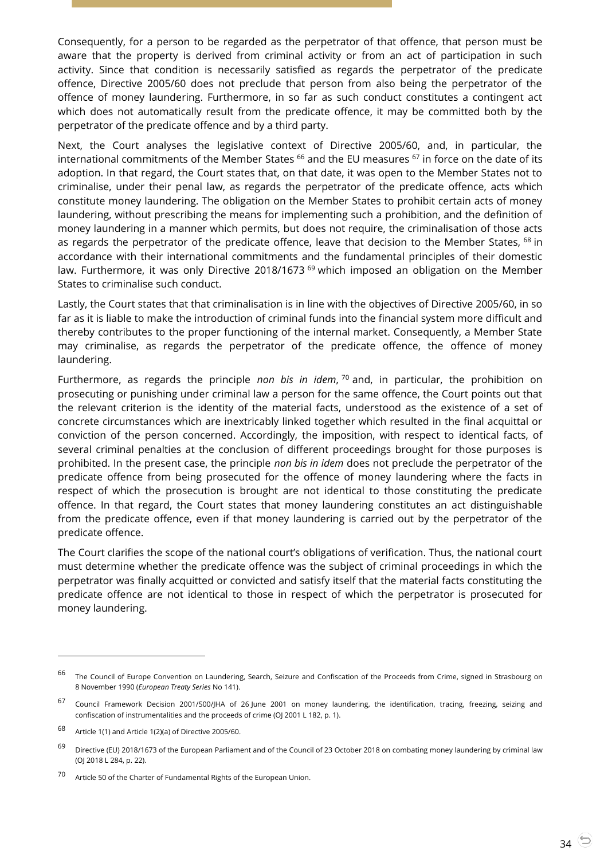Consequently, for a person to be regarded as the perpetrator of that offence, that person must be aware that the property is derived from criminal activity or from an act of participation in such activity. Since that condition is necessarily satisfied as regards the perpetrator of the predicate offence, Directive 2005/60 does not preclude that person from also being the perpetrator of the offence of money laundering. Furthermore, in so far as such conduct constitutes a contingent act which does not automatically result from the predicate offence, it may be committed both by the perpetrator of the predicate offence and by a third party.

Next, the Court analyses the legislative context of Directive 2005/60, and, in particular, the international commitments of the Member States <sup>66</sup> and the EU measures <sup>67</sup> in force on the date of its adoption. In that regard, the Court states that, on that date, it was open to the Member States not to criminalise, under their penal law, as regards the perpetrator of the predicate offence, acts which constitute money laundering. The obligation on the Member States to prohibit certain acts of money laundering, without prescribing the means for implementing such a prohibition, and the definition of money laundering in a manner which permits, but does not require, the criminalisation of those acts as regards the perpetrator of the predicate offence, leave that decision to the Member States, <sup>68</sup> in accordance with their international commitments and the fundamental principles of their domestic law. Furthermore, it was only Directive 2018/1673  $^{69}$  which imposed an obligation on the Member States to criminalise such conduct.

Lastly, the Court states that that criminalisation is in line with the objectives of Directive 2005/60, in so far as it is liable to make the introduction of criminal funds into the financial system more difficult and thereby contributes to the proper functioning of the internal market. Consequently, a Member State may criminalise, as regards the perpetrator of the predicate offence, the offence of money laundering.

Furthermore, as regards the principle *non bis in idem*, <sup>70</sup> and, in particular, the prohibition on prosecuting or punishing under criminal law a person for the same offence, the Court points out that the relevant criterion is the identity of the material facts, understood as the existence of a set of concrete circumstances which are inextricably linked together which resulted in the final acquittal or conviction of the person concerned. Accordingly, the imposition, with respect to identical facts, of several criminal penalties at the conclusion of different proceedings brought for those purposes is prohibited. In the present case, the principle *non bis in idem* does not preclude the perpetrator of the predicate offence from being prosecuted for the offence of money laundering where the facts in respect of which the prosecution is brought are not identical to those constituting the predicate offence. In that regard, the Court states that money laundering constitutes an act distinguishable from the predicate offence, even if that money laundering is carried out by the perpetrator of the predicate offence.

The Court clarifies the scope of the national court's obligations of verification. Thus, the national court must determine whether the predicate offence was the subject of criminal proceedings in which the perpetrator was finally acquitted or convicted and satisfy itself that the material facts constituting the predicate offence are not identical to those in respect of which the perpetrator is prosecuted for money laundering.

-

<sup>&</sup>lt;sup>66</sup> The Council of Europe Convention on Laundering, Search, Seizure and Confiscation of the Proceeds from Crime, signed in Strasbourg on 8 November 1990 (*European Treaty Series* No 141).

<sup>67</sup> Council Framework Decision 2001/500/JHA of 26 June 2001 on money laundering, the identification, tracing, freezing, seizing and confiscation of instrumentalities and the proceeds of crime (OJ 2001 L 182, p. 1).

<sup>68</sup> Article 1(1) and Article 1(2)(a) of Directive 2005/60.

<sup>&</sup>lt;sup>69</sup> Directive (EU) 2018/1673 of the European Parliament and of the Council of 23 October 2018 on combating money laundering by criminal law (OJ 2018 L 284, p. 22).

<sup>70</sup> Article 50 of the Charter of Fundamental Rights of the European Union.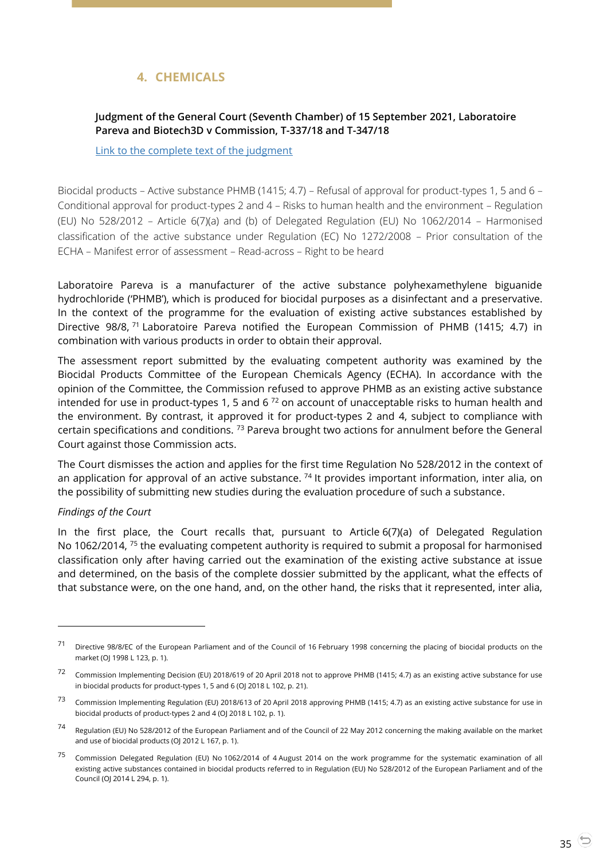# **4. CHEMICALS**

## <span id="page-34-1"></span><span id="page-34-0"></span>**Judgment of the General Court (Seventh Chamber) of 15 September 2021, Laboratoire Pareva and Biotech3D v Commission, T-337/18 and T-347/18**

[Link to the complete text of the judgment](https://curia.europa.eu/juris/document/document.jsf?text=&docid=246001&pageIndex=0&doclang=en&mode=lst&dir=&occ=first&part=1&cid=21958517)

Biocidal products – Active substance PHMB (1415; 4.7) – Refusal of approval for product-types 1, 5 and 6 – Conditional approval for product-types 2 and 4 – Risks to human health and the environment – Regulation (EU) No 528/2012 – Article 6(7)(a) and (b) of Delegated Regulation (EU) No 1062/2014 – Harmonised classification of the active substance under Regulation (EC) No 1272/2008 – Prior consultation of the ECHA – Manifest error of assessment – Read-across – Right to be heard

Laboratoire Pareva is a manufacturer of the active substance polyhexamethylene biguanide hydrochloride ('PHMB'), which is produced for biocidal purposes as a disinfectant and a preservative. In the context of the programme for the evaluation of existing active substances established by Directive 98/8, <sup>71</sup> Laboratoire Pareva notified the European Commission of PHMB (1415; 4.7) in combination with various products in order to obtain their approval.

The assessment report submitted by the evaluating competent authority was examined by the Biocidal Products Committee of the European Chemicals Agency (ECHA). In accordance with the opinion of the Committee, the Commission refused to approve PHMB as an existing active substance intended for use in product-types 1, 5 and 6 $^{72}$  on account of unacceptable risks to human health and the environment. By contrast, it approved it for product-types 2 and 4, subject to compliance with certain specifications and conditions.  $73$  Pareva brought two actions for annulment before the General Court against those Commission acts.

The Court dismisses the action and applies for the first time Regulation No 528/2012 in the context of an application for approval of an active substance.  $^{74}$  It provides important information, inter alia, on the possibility of submitting new studies during the evaluation procedure of such a substance.

#### *Findings of the Court*

 $\overline{a}$ 

In the first place, the Court recalls that, pursuant to Article 6(7)(a) of Delegated Regulation No 1062/2014, <sup>75</sup> the evaluating competent authority is required to submit a proposal for harmonised classification only after having carried out the examination of the existing active substance at issue and determined, on the basis of the complete dossier submitted by the applicant, what the effects of that substance were, on the one hand, and, on the other hand, the risks that it represented, inter alia,

Directive 98/8/EC of the European Parliament and of the Council of 16 February 1998 concerning the placing of biocidal products on the market (OJ 1998 L 123, p. 1).

<sup>&</sup>lt;sup>72</sup> Commission Implementing Decision (EU) 2018/619 of 20 April 2018 not to approve PHMB (1415; 4.7) as an existing active substance for use in biocidal products for product-types 1, 5 and 6 (OJ 2018 L 102, p. 21).

<sup>&</sup>lt;sup>73</sup> Commission Implementing Regulation (EU) 2018/613 of 20 April 2018 approving PHMB (1415; 4.7) as an existing active substance for use in biocidal products of product-types 2 and 4 (OJ 2018 L 102, p. 1).

<sup>74</sup> Regulation (EU) No 528/2012 of the European Parliament and of the Council of 22 May 2012 concerning the making available on the market and use of biocidal products (OJ 2012 L 167, p. 1).

<sup>75</sup> Commission Delegated Regulation (EU) No 1062/2014 of 4 August 2014 on the work programme for the systematic examination of all existing active substances contained in biocidal products referred to in Regulation (EU) No 528/2012 of the European Parliament and of the Council (OJ 2014 L 294, p. 1).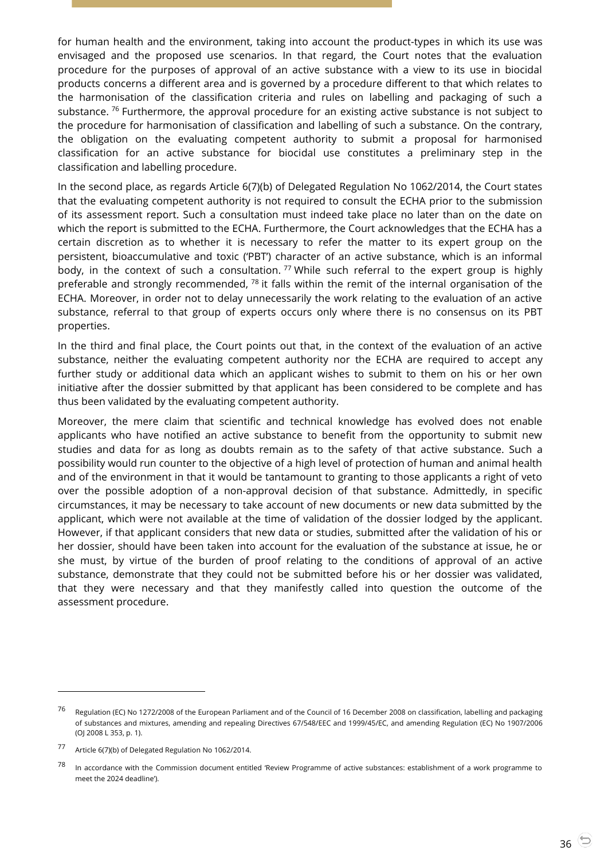for human health and the environment, taking into account the product-types in which its use was envisaged and the proposed use scenarios. In that regard, the Court notes that the evaluation procedure for the purposes of approval of an active substance with a view to its use in biocidal products concerns a different area and is governed by a procedure different to that which relates to the harmonisation of the classification criteria and rules on labelling and packaging of such a substance.  $76$  Furthermore, the approval procedure for an existing active substance is not subject to the procedure for harmonisation of classification and labelling of such a substance. On the contrary, the obligation on the evaluating competent authority to submit a proposal for harmonised classification for an active substance for biocidal use constitutes a preliminary step in the classification and labelling procedure.

In the second place, as regards Article 6(7)(b) of Delegated Regulation No 1062/2014, the Court states that the evaluating competent authority is not required to consult the ECHA prior to the submission of its assessment report. Such a consultation must indeed take place no later than on the date on which the report is submitted to the ECHA. Furthermore, the Court acknowledges that the ECHA has a certain discretion as to whether it is necessary to refer the matter to its expert group on the persistent, bioaccumulative and toxic ('PBT') character of an active substance, which is an informal body, in the context of such a consultation.  $77$  While such referral to the expert group is highly preferable and strongly recommended,  $78$  it falls within the remit of the internal organisation of the ECHA. Moreover, in order not to delay unnecessarily the work relating to the evaluation of an active substance, referral to that group of experts occurs only where there is no consensus on its PBT properties.

In the third and final place, the Court points out that, in the context of the evaluation of an active substance, neither the evaluating competent authority nor the ECHA are required to accept any further study or additional data which an applicant wishes to submit to them on his or her own initiative after the dossier submitted by that applicant has been considered to be complete and has thus been validated by the evaluating competent authority.

Moreover, the mere claim that scientific and technical knowledge has evolved does not enable applicants who have notified an active substance to benefit from the opportunity to submit new studies and data for as long as doubts remain as to the safety of that active substance. Such a possibility would run counter to the objective of a high level of protection of human and animal health and of the environment in that it would be tantamount to granting to those applicants a right of veto over the possible adoption of a non-approval decision of that substance. Admittedly, in specific circumstances, it may be necessary to take account of new documents or new data submitted by the applicant, which were not available at the time of validation of the dossier lodged by the applicant. However, if that applicant considers that new data or studies, submitted after the validation of his or her dossier, should have been taken into account for the evaluation of the substance at issue, he or she must, by virtue of the burden of proof relating to the conditions of approval of an active substance, demonstrate that they could not be submitted before his or her dossier was validated, that they were necessary and that they manifestly called into question the outcome of the assessment procedure.

-

<sup>76</sup> Regulation (EC) No 1272/2008 of the European Parliament and of the Council of 16 December 2008 on classification, labelling and packaging of substances and mixtures, amending and repealing Directives 67/548/EEC and 1999/45/EC, and amending Regulation (EC) No 1907/2006 (OJ 2008 L 353, p. 1).

<sup>77</sup> Article 6(7)(b) of Delegated Regulation No 1062/2014.

<sup>&</sup>lt;sup>78</sup> In accordance with the Commission document entitled 'Review Programme of active substances: establishment of a work programme to meet the 2024 deadline').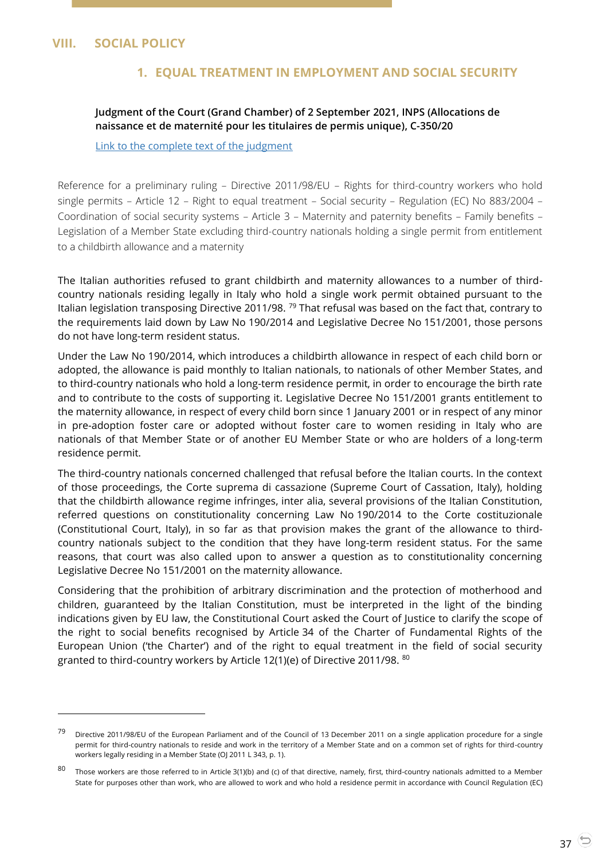## <span id="page-36-2"></span><span id="page-36-1"></span><span id="page-36-0"></span>**VIII. SOCIAL POLICY**

 $\overline{a}$ 

## **1. EQUAL TREATMENT IN EMPLOYMENT AND SOCIAL SECURITY**

## **Judgment of the Court (Grand Chamber) of 2 September 2021, INPS (Allocations de naissance et de maternité pour les titulaires de permis unique), C-350/20**

#### [Link to the complete text of the judgment](https://curia.europa.eu/juris/document/document.jsf?text=&docid=245541&pageIndex=0&doclang=EN&mode=lst&dir=&occ=first&part=1&cid=21766314)

Reference for a preliminary ruling – Directive 2011/98/EU – Rights for third-country workers who hold single permits – Article 12 – Right to equal treatment – Social security – Regulation (EC) No 883/2004 – Coordination of social security systems – Article 3 – Maternity and paternity benefits – Family benefits – Legislation of a Member State excluding third-country nationals holding a single permit from entitlement to a childbirth allowance and a maternity

The Italian authorities refused to grant childbirth and maternity allowances to a number of thirdcountry nationals residing legally in Italy who hold a single work permit obtained pursuant to the Italian legislation transposing Directive 2011/98. <sup>79</sup> That refusal was based on the fact that, contrary to the requirements laid down by Law No 190/2014 and Legislative Decree No 151/2001, those persons do not have long-term resident status.

Under the Law No 190/2014, which introduces a childbirth allowance in respect of each child born or adopted, the allowance is paid monthly to Italian nationals, to nationals of other Member States, and to third-country nationals who hold a long-term residence permit, in order to encourage the birth rate and to contribute to the costs of supporting it. Legislative Decree No 151/2001 grants entitlement to the maternity allowance, in respect of every child born since 1 January 2001 or in respect of any minor in pre-adoption foster care or adopted without foster care to women residing in Italy who are nationals of that Member State or of another EU Member State or who are holders of a long-term residence permit.

The third-country nationals concerned challenged that refusal before the Italian courts. In the context of those proceedings, the Corte suprema di cassazione (Supreme Court of Cassation, Italy), holding that the childbirth allowance regime infringes, inter alia, several provisions of the Italian Constitution, referred questions on constitutionality concerning Law No 190/2014 to the Corte costituzionale (Constitutional Court, Italy), in so far as that provision makes the grant of the allowance to thirdcountry nationals subject to the condition that they have long-term resident status. For the same reasons, that court was also called upon to answer a question as to constitutionality concerning Legislative Decree No 151/2001 on the maternity allowance.

Considering that the prohibition of arbitrary discrimination and the protection of motherhood and children, guaranteed by the Italian Constitution, must be interpreted in the light of the binding indications given by EU law, the Constitutional Court asked the Court of Justice to clarify the scope of the right to social benefits recognised by Article 34 of the Charter of Fundamental Rights of the European Union ('the Charter') and of the right to equal treatment in the field of social security granted to third-country workers by Article 12(1)(e) of Directive 2011/98. 80

<sup>&</sup>lt;sup>79</sup> Directive 2011/98/EU of the European Parliament and of the Council of 13 December 2011 on a single application procedure for a single permit for third-country nationals to reside and work in the territory of a Member State and on a common set of rights for third-country workers legally residing in a Member State (OJ 2011 L 343, p. 1).

<sup>80</sup> Those workers are those referred to in Article 3(1)(b) and (c) of that directive, namely, first, third-country nationals admitted to a Member State for purposes other than work, who are allowed to work and who hold a residence permit in accordance with Council Regulation (EC)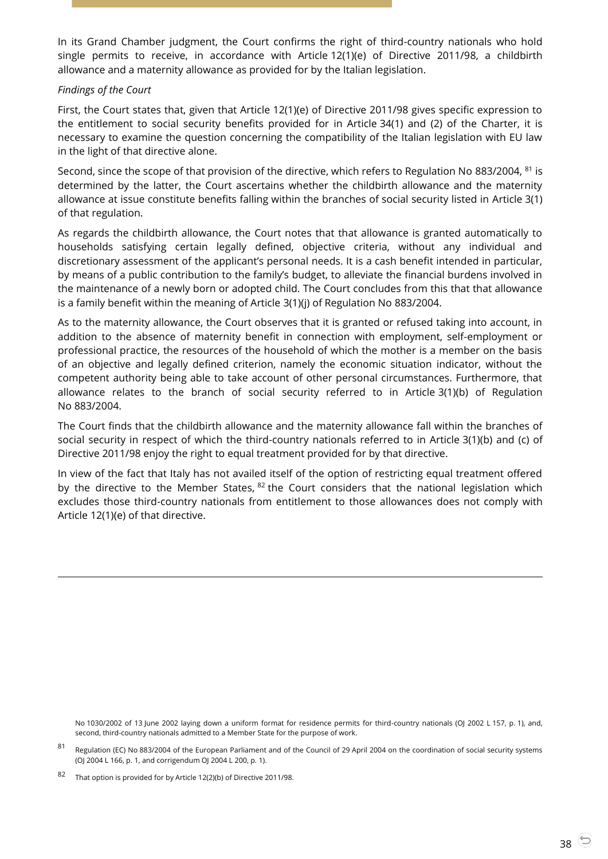In its Grand Chamber judgment, the Court confirms the right of third-country nationals who hold single permits to receive, in accordance with Article 12(1)(e) of Directive 2011/98, a childbirth allowance and a maternity allowance as provided for by the Italian legislation.

#### *Findings of the Court*

 $\overline{a}$ 

First, the Court states that, given that Article 12(1)(e) of Directive 2011/98 gives specific expression to the entitlement to social security benefits provided for in Article 34(1) and (2) of the Charter, it is necessary to examine the question concerning the compatibility of the Italian legislation with EU law in the light of that directive alone.

Second, since the scope of that provision of the directive, which refers to Regulation No 883/2004, <sup>81</sup> is determined by the latter, the Court ascertains whether the childbirth allowance and the maternity allowance at issue constitute benefits falling within the branches of social security listed in Article 3(1) of that regulation.

As regards the childbirth allowance, the Court notes that that allowance is granted automatically to households satisfying certain legally defined, objective criteria, without any individual and discretionary assessment of the applicant's personal needs. It is a cash benefit intended in particular, by means of a public contribution to the family's budget, to alleviate the financial burdens involved in the maintenance of a newly born or adopted child. The Court concludes from this that that allowance is a family benefit within the meaning of Article 3(1)(j) of Regulation No 883/2004.

As to the maternity allowance, the Court observes that it is granted or refused taking into account, in addition to the absence of maternity benefit in connection with employment, self-employment or professional practice, the resources of the household of which the mother is a member on the basis of an objective and legally defined criterion, namely the economic situation indicator, without the competent authority being able to take account of other personal circumstances. Furthermore, that allowance relates to the branch of social security referred to in Article 3(1)(b) of Regulation No 883/2004.

The Court finds that the childbirth allowance and the maternity allowance fall within the branches of social security in respect of which the third-country nationals referred to in Article 3(1)(b) and (c) of Directive 2011/98 enjoy the right to equal treatment provided for by that directive.

In view of the fact that Italy has not availed itself of the option of restricting equal treatment offered by the directive to the Member States,  $82$  the Court considers that the national legislation which excludes those third-country nationals from entitlement to those allowances does not comply with Article 12(1)(e) of that directive.

No 1030/2002 of 13 June 2002 laying down a uniform format for residence permits for third-country nationals (OJ 2002 L 157, p. 1), and, second, third-country nationals admitted to a Member State for the purpose of work.

<sup>81</sup> Regulation (EC) No 883/2004 of the European Parliament and of the Council of 29 April 2004 on the coordination of social security systems (OJ 2004 L 166, p. 1, and corrigendum OJ 2004 L 200, p. 1).

<sup>82</sup> That option is provided for by Article 12(2)(b) of Directive 2011/98.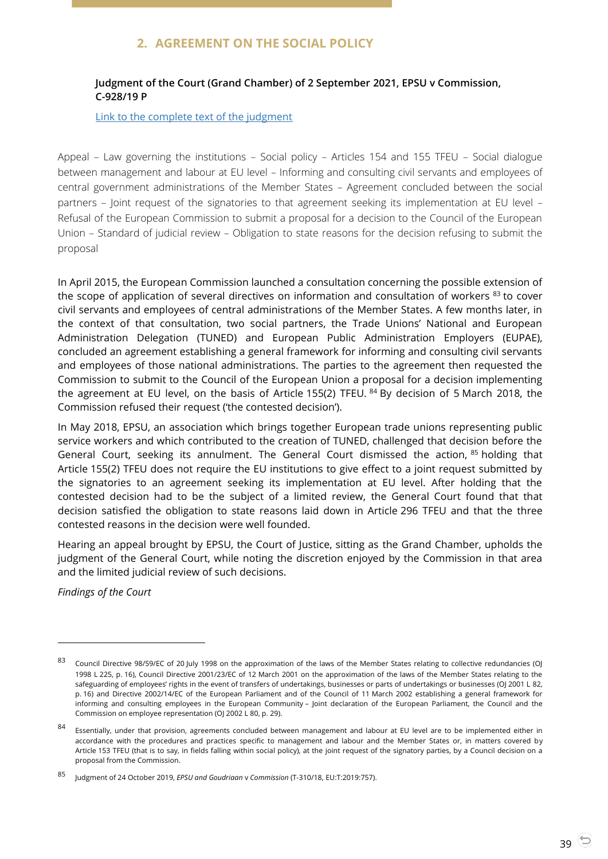# **2. AGREEMENT ON THE SOCIAL POLICY**

## <span id="page-38-1"></span><span id="page-38-0"></span>**Judgment of the Court (Grand Chamber) of 2 September 2021, EPSU v Commission, C-928/19 P**

#### [Link to the complete text of the judgment](https://curia.europa.eu/juris/document/document.jsf?text=&docid=245532&pageIndex=0&doclang=en&mode=lst&dir=&occ=first&part=1&cid=21958517)

Appeal – Law governing the institutions – Social policy – Articles 154 and 155 TFEU – Social dialogue between management and labour at EU level – Informing and consulting civil servants and employees of central government administrations of the Member States – Agreement concluded between the social partners – Joint request of the signatories to that agreement seeking its implementation at EU level – Refusal of the European Commission to submit a proposal for a decision to the Council of the European Union – Standard of judicial review – Obligation to state reasons for the decision refusing to submit the proposal

In April 2015, the European Commission launched a consultation concerning the possible extension of the scope of application of several directives on information and consultation of workers 83 to cover civil servants and employees of central administrations of the Member States. A few months later, in the context of that consultation, two social partners, the Trade Unions' National and European Administration Delegation (TUNED) and European Public Administration Employers (EUPAE), concluded an agreement establishing a general framework for informing and consulting civil servants and employees of those national administrations. The parties to the agreement then requested the Commission to submit to the Council of the European Union a proposal for a decision implementing the agreement at EU level, on the basis of Article 155(2) TFEU.  $84$  By decision of 5 March 2018, the Commission refused their request ('the contested decision').

In May 2018, EPSU, an association which brings together European trade unions representing public service workers and which contributed to the creation of TUNED, challenged that decision before the General Court, seeking its annulment. The General Court dismissed the action, 85 holding that Article 155(2) TFEU does not require the EU institutions to give effect to a joint request submitted by the signatories to an agreement seeking its implementation at EU level. After holding that the contested decision had to be the subject of a limited review, the General Court found that that decision satisfied the obligation to state reasons laid down in Article 296 TFEU and that the three contested reasons in the decision were well founded.

Hearing an appeal brought by EPSU, the Court of Justice, sitting as the Grand Chamber, upholds the judgment of the General Court, while noting the discretion enjoyed by the Commission in that area and the limited judicial review of such decisions.

*Findings of the Court*

<sup>83</sup> Council Directive 98/59/EC of 20 July 1998 on the approximation of the laws of the Member States relating to collective redundancies (OJ 1998 L 225, p. 16), Council Directive 2001/23/EC of 12 March 2001 on the approximation of the laws of the Member States relating to the safeguarding of employees' rights in the event of transfers of undertakings, businesses or parts of undertakings or businesses (OJ 2001 L 82, p. 16) and Directive 2002/14/EC of the European Parliament and of the Council of 11 March 2002 establishing a general framework for informing and consulting employees in the European Community – Joint declaration of the European Parliament, the Council and the Commission on employee representation (OJ 2002 L 80, p. 29).

<sup>84</sup> Essentially, under that provision, agreements concluded between management and labour at EU level are to be implemented either in accordance with the procedures and practices specific to management and labour and the Member States or, in matters covered by Article 153 TFEU (that is to say, in fields falling within social policy), at the joint request of the signatory parties, by a Council decision on a proposal from the Commission.

<sup>85</sup> Judgment of 24 October 2019, *EPSU and Goudriaan* <sup>v</sup>*Commission* (T-310/18, EU:T:2019:757).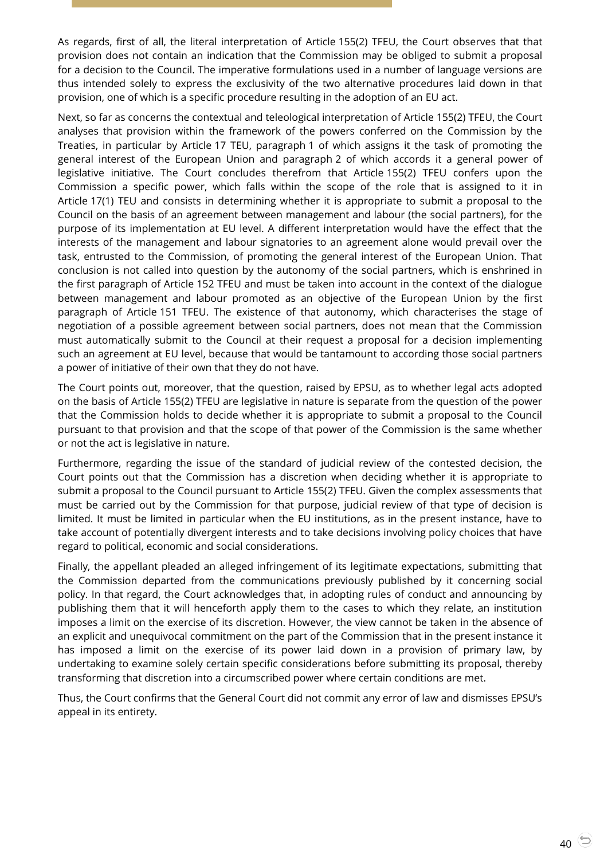As regards, first of all, the literal interpretation of Article 155(2) TFEU, the Court observes that that provision does not contain an indication that the Commission may be obliged to submit a proposal for a decision to the Council. The imperative formulations used in a number of language versions are thus intended solely to express the exclusivity of the two alternative procedures laid down in that provision, one of which is a specific procedure resulting in the adoption of an EU act.

Next, so far as concerns the contextual and teleological interpretation of Article 155(2) TFEU, the Court analyses that provision within the framework of the powers conferred on the Commission by the Treaties, in particular by Article 17 TEU, paragraph 1 of which assigns it the task of promoting the general interest of the European Union and paragraph 2 of which accords it a general power of legislative initiative. The Court concludes therefrom that Article 155(2) TFEU confers upon the Commission a specific power, which falls within the scope of the role that is assigned to it in Article 17(1) TEU and consists in determining whether it is appropriate to submit a proposal to the Council on the basis of an agreement between management and labour (the social partners), for the purpose of its implementation at EU level. A different interpretation would have the effect that the interests of the management and labour signatories to an agreement alone would prevail over the task, entrusted to the Commission, of promoting the general interest of the European Union. That conclusion is not called into question by the autonomy of the social partners, which is enshrined in the first paragraph of Article 152 TFEU and must be taken into account in the context of the dialogue between management and labour promoted as an objective of the European Union by the first paragraph of Article 151 TFEU. The existence of that autonomy, which characterises the stage of negotiation of a possible agreement between social partners, does not mean that the Commission must automatically submit to the Council at their request a proposal for a decision implementing such an agreement at EU level, because that would be tantamount to according those social partners a power of initiative of their own that they do not have.

The Court points out, moreover, that the question, raised by EPSU, as to whether legal acts adopted on the basis of Article 155(2) TFEU are legislative in nature is separate from the question of the power that the Commission holds to decide whether it is appropriate to submit a proposal to the Council pursuant to that provision and that the scope of that power of the Commission is the same whether or not the act is legislative in nature.

Furthermore, regarding the issue of the standard of judicial review of the contested decision, the Court points out that the Commission has a discretion when deciding whether it is appropriate to submit a proposal to the Council pursuant to Article 155(2) TFEU. Given the complex assessments that must be carried out by the Commission for that purpose, judicial review of that type of decision is limited. It must be limited in particular when the EU institutions, as in the present instance, have to take account of potentially divergent interests and to take decisions involving policy choices that have regard to political, economic and social considerations.

Finally, the appellant pleaded an alleged infringement of its legitimate expectations, submitting that the Commission departed from the communications previously published by it concerning social policy. In that regard, the Court acknowledges that, in adopting rules of conduct and announcing by publishing them that it will henceforth apply them to the cases to which they relate, an institution imposes a limit on the exercise of its discretion. However, the view cannot be taken in the absence of an explicit and unequivocal commitment on the part of the Commission that in the present instance it has imposed a limit on the exercise of its power laid down in a provision of primary law, by undertaking to examine solely certain specific considerations before submitting its proposal, thereby transforming that discretion into a circumscribed power where certain conditions are met.

Thus, the Court confirms that the General Court did not commit any error of law and dismisses EPSU's appeal in its entirety.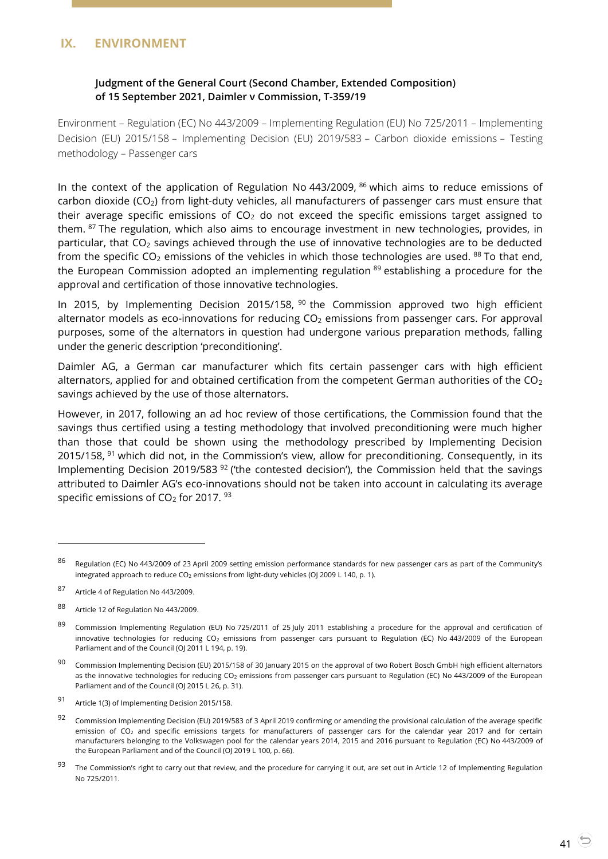## <span id="page-40-1"></span><span id="page-40-0"></span>**IX. ENVIRONMENT**

## **Judgment of the General Court (Second Chamber, Extended Composition) of 15 September 2021, Daimler v Commission, T-359/19**

Environment – Regulation (EC) No 443/2009 – Implementing Regulation (EU) No 725/2011 – Implementing Decision (EU) 2015/158 – Implementing Decision (EU) 2019/583 – Carbon dioxide emissions – Testing methodology – Passenger cars

In the context of the application of Regulation No  $443/2009$ ,  $86$  which aims to reduce emissions of carbon dioxide (CO<sub>2</sub>) from light-duty vehicles, all manufacturers of passenger cars must ensure that their average specific emissions of  $CO<sub>2</sub>$  do not exceed the specific emissions target assigned to them. 87 The regulation, which also aims to encourage investment in new technologies, provides, in particular, that  $CO<sub>2</sub>$  savings achieved through the use of innovative technologies are to be deducted from the specific  $CO_2$  emissions of the vehicles in which those technologies are used. <sup>88</sup> To that end, the European Commission adopted an implementing regulation 89 establishing a procedure for the approval and certification of those innovative technologies.

In 2015, by Implementing Decision 2015/158,  $90$  the Commission approved two high efficient alternator models as eco-innovations for reducing  $CO<sub>2</sub>$  emissions from passenger cars. For approval purposes, some of the alternators in question had undergone various preparation methods, falling under the generic description 'preconditioning'.

Daimler AG, a German car manufacturer which fits certain passenger cars with high efficient alternators, applied for and obtained certification from the competent German authorities of the  $CO<sub>2</sub>$ savings achieved by the use of those alternators.

However, in 2017, following an ad hoc review of those certifications, the Commission found that the savings thus certified using a testing methodology that involved preconditioning were much higher than those that could be shown using the methodology prescribed by Implementing Decision 2015/158, <sup>91</sup> which did not, in the Commission's view, allow for preconditioning. Consequently, in its Implementing Decision 2019/583<sup>92</sup> ('the contested decision'), the Commission held that the savings attributed to Daimler AG's eco-innovations should not be taken into account in calculating its average specific emissions of  $CO<sub>2</sub>$  for 2017.  $93$ 

<sup>86</sup> Regulation (EC) No 443/2009 of 23 April 2009 setting emission performance standards for new passenger cars as part of the Community's integrated approach to reduce CO<sub>2</sub> emissions from light-duty vehicles (OJ 2009 L 140, p. 1).

<sup>87</sup> Article 4 of Regulation No 443/2009.

<sup>88</sup> Article 12 of Regulation No 443/2009.

<sup>89</sup> Commission Implementing Regulation (EU) No 725/2011 of 25 July 2011 establishing a procedure for the approval and certification of innovative technologies for reducing CO<sub>2</sub> emissions from passenger cars pursuant to Regulation (EC) No 443/2009 of the European Parliament and of the Council (OJ 2011 L 194, p. 19).

 $90$  Commission Implementing Decision (EU) 2015/158 of 30 January 2015 on the approval of two Robert Bosch GmbH high efficient alternators as the innovative technologies for reducing CO<sub>2</sub> emissions from passenger cars pursuant to Regulation (EC) No 443/2009 of the European Parliament and of the Council (OJ 2015 L 26, p. 31).

<sup>91</sup> Article 1(3) of Implementing Decision 2015/158.

<sup>&</sup>lt;sup>92</sup> Commission Implementing Decision (EU) 2019/583 of 3 April 2019 confirming or amending the provisional calculation of the average specific emission of CO<sub>2</sub> and specific emissions targets for manufacturers of passenger cars for the calendar year 2017 and for certain manufacturers belonging to the Volkswagen pool for the calendar years 2014, 2015 and 2016 pursuant to Regulation (EC) No 443/2009 of the European Parliament and of the Council (OJ 2019 L 100, p. 66).

<sup>&</sup>lt;sup>93</sup> The Commission's right to carry out that review, and the procedure for carrying it out, are set out in Article 12 of Implementing Regulation No 725/2011.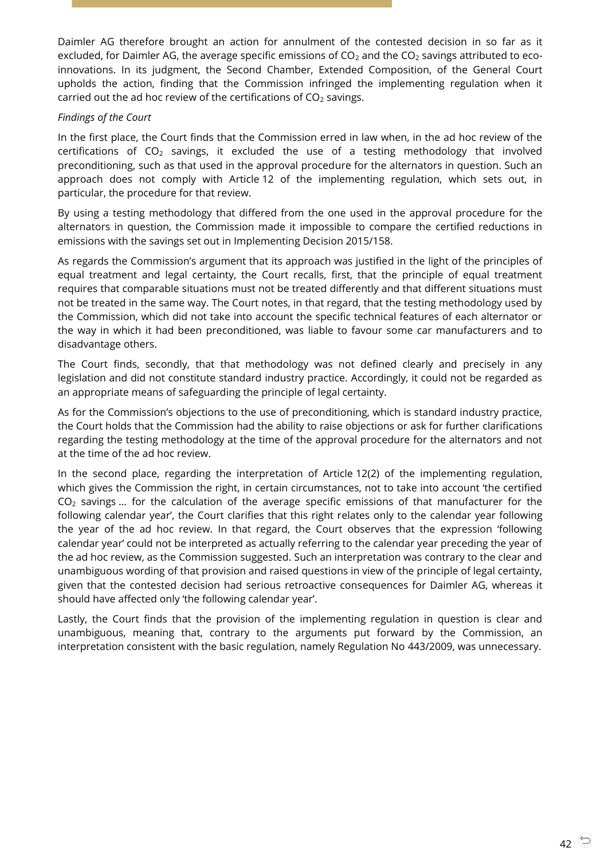Daimler AG therefore brought an action for annulment of the contested decision in so far as it excluded, for Daimler AG, the average specific emissions of  $CO<sub>2</sub>$  and the  $CO<sub>2</sub>$  savings attributed to ecoinnovations. In its judgment, the Second Chamber, Extended Composition, of the General Court upholds the action, finding that the Commission infringed the implementing regulation when it carried out the ad hoc review of the certifications of  $CO<sub>2</sub>$  savings.

## *Findings of the Court*

In the first place, the Court finds that the Commission erred in law when, in the ad hoc review of the certifications of  $CO<sub>2</sub>$  savings, it excluded the use of a testing methodology that involved preconditioning, such as that used in the approval procedure for the alternators in question. Such an approach does not comply with Article 12 of the implementing regulation, which sets out, in particular, the procedure for that review.

By using a testing methodology that differed from the one used in the approval procedure for the alternators in question, the Commission made it impossible to compare the certified reductions in emissions with the savings set out in Implementing Decision 2015/158.

As regards the Commission's argument that its approach was justified in the light of the principles of equal treatment and legal certainty, the Court recalls, first, that the principle of equal treatment requires that comparable situations must not be treated differently and that different situations must not be treated in the same way. The Court notes, in that regard, that the testing methodology used by the Commission, which did not take into account the specific technical features of each alternator or the way in which it had been preconditioned, was liable to favour some car manufacturers and to disadvantage others.

The Court finds, secondly, that that methodology was not defined clearly and precisely in any legislation and did not constitute standard industry practice. Accordingly, it could not be regarded as an appropriate means of safeguarding the principle of legal certainty.

As for the Commission's objections to the use of preconditioning, which is standard industry practice, the Court holds that the Commission had the ability to raise objections or ask for further clarifications regarding the testing methodology at the time of the approval procedure for the alternators and not at the time of the ad hoc review.

In the second place, regarding the interpretation of Article 12(2) of the implementing regulation, which gives the Commission the right, in certain circumstances, not to take into account 'the certified CO<sup>2</sup> savings … for the calculation of the average specific emissions of that manufacturer for the following calendar year', the Court clarifies that this right relates only to the calendar year following the year of the ad hoc review. In that regard, the Court observes that the expression 'following calendar year' could not be interpreted as actually referring to the calendar year preceding the year of the ad hoc review, as the Commission suggested. Such an interpretation was contrary to the clear and unambiguous wording of that provision and raised questions in view of the principle of legal certainty, given that the contested decision had serious retroactive consequences for Daimler AG, whereas it should have affected only 'the following calendar year'.

Lastly, the Court finds that the provision of the implementing regulation in question is clear and unambiguous, meaning that, contrary to the arguments put forward by the Commission, an interpretation consistent with the basic regulation, namely Regulation No 443/2009, was unnecessary.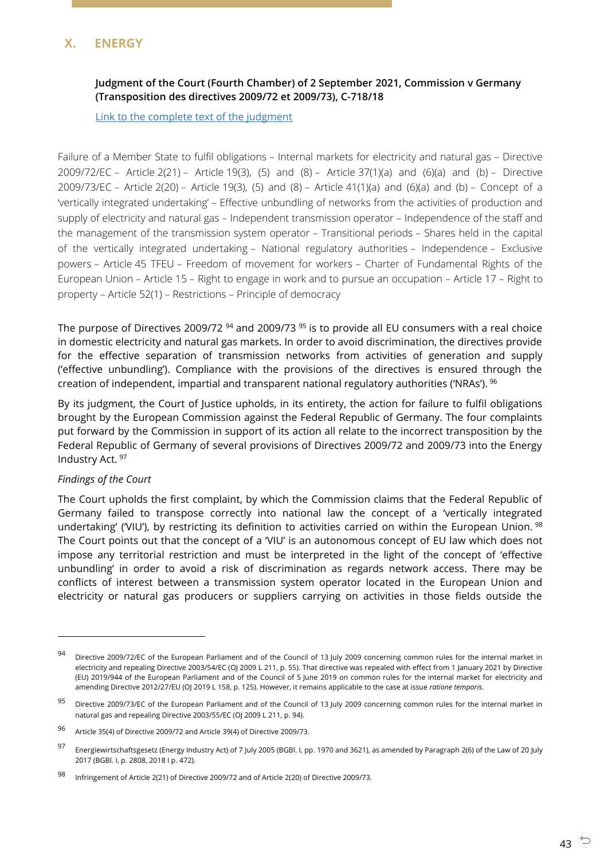# <span id="page-42-1"></span><span id="page-42-0"></span>**X. ENERGY**

## **Judgment of the Court (Fourth Chamber) of 2 September 2021, Commission v Germany (Transposition des directives 2009/72 et 2009/73), C-718/18**

[Link to the complete text of the judgment](https://curia.europa.eu/juris/document/document.jsf?text=&docid=245521&pageIndex=0&doclang=en&mode=lst&dir=&occ=first&part=1&cid=21958517)

Failure of a Member State to fulfil obligations – Internal markets for electricity and natural gas – Directive 2009/72/EC – Article 2(21) – Article 19(3), (5) and (8) – Article 37(1)(a) and (6)(a) and (b) – Directive 2009/73/EC – Article 2(20) – Article 19(3), (5) and (8) – Article 41(1)(a) and (6)(a) and (b) – Concept of a 'vertically integrated undertaking' – Effective unbundling of networks from the activities of production and supply of electricity and natural gas – Independent transmission operator – Independence of the staff and the management of the transmission system operator – Transitional periods – Shares held in the capital of the vertically integrated undertaking – National regulatory authorities – Independence – Exclusive powers – Article 45 TFEU – Freedom of movement for workers – Charter of Fundamental Rights of the European Union – Article 15 – Right to engage in work and to pursue an occupation – Article 17 – Right to property – Article 52(1) – Restrictions – Principle of democracy

The purpose of Directives 2009/72<sup>94</sup> and 2009/73<sup>95</sup> is to provide all EU consumers with a real choice in domestic electricity and natural gas markets. In order to avoid discrimination, the directives provide for the effective separation of transmission networks from activities of generation and supply ('effective unbundling'). Compliance with the provisions of the directives is ensured through the creation of independent, impartial and transparent national regulatory authorities ('NRAs').  $96$ 

By its judgment, the Court of Justice upholds, in its entirety, the action for failure to fulfil obligations brought by the European Commission against the Federal Republic of Germany. The four complaints put forward by the Commission in support of its action all relate to the incorrect transposition by the Federal Republic of Germany of several provisions of Directives 2009/72 and 2009/73 into the Energy Industry Act. <sup>97</sup>

#### *Findings of the Court*

 $\overline{a}$ 

The Court upholds the first complaint, by which the Commission claims that the Federal Republic of Germany failed to transpose correctly into national law the concept of a 'vertically integrated undertaking' ('VIU'), by restricting its definition to activities carried on within the European Union. <sup>98</sup> The Court points out that the concept of a 'VIU' is an autonomous concept of EU law which does not impose any territorial restriction and must be interpreted in the light of the concept of 'effective unbundling' in order to avoid a risk of discrimination as regards network access. There may be conflicts of interest between a transmission system operator located in the European Union and electricity or natural gas producers or suppliers carrying on activities in those fields outside the

<sup>94</sup> Directive 2009/72/EC of the European Parliament and of the Council of 13 July 2009 concerning common rules for the internal market in electricity and repealing Directive 2003/54/EC (OI 2009 L 211, p. 55). That directive was repealed with effect from 1 January 2021 by Directive (EU) 2019/944 of the European Parliament and of the Council of 5 June 2019 on common rules for the internal market for electricity and amending Directive 2012/27/EU (OJ 2019 L 158, p. 125). However, it remains applicable to the case at issue *ratione temporis*.

<sup>95</sup> Directive 2009/73/EC of the European Parliament and of the Council of 13 July 2009 concerning common rules for the internal market in natural gas and repealing Directive 2003/55/EC (OJ 2009 L 211, p. 94).

<sup>96</sup> Article 35(4) of Directive 2009/72 and Article 39(4) of Directive 2009/73.

<sup>97</sup> Energiewirtschaftsgesetz (Energy Industry Act) of 7 July 2005 (BGBl. I, pp. 1970 and 3621), as amended by Paragraph 2(6) of the Law of 20 July 2017 (BGBl. I, p. 2808, 2018 I p. 472).

<sup>98</sup> Infringement of Article 2(21) of Directive 2009/72 and of Article 2(20) of Directive 2009/73.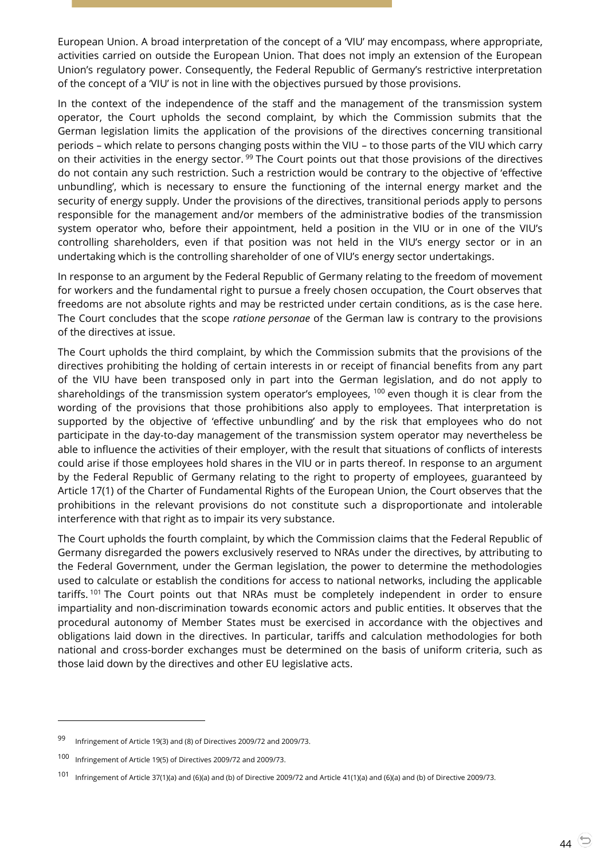European Union. A broad interpretation of the concept of a 'VIU' may encompass, where appropriate, activities carried on outside the European Union. That does not imply an extension of the European Union's regulatory power. Consequently, the Federal Republic of Germany's restrictive interpretation of the concept of a 'VIU' is not in line with the objectives pursued by those provisions.

In the context of the independence of the staff and the management of the transmission system operator, the Court upholds the second complaint, by which the Commission submits that the German legislation limits the application of the provisions of the directives concerning transitional periods – which relate to persons changing posts within the VIU – to those parts of the VIU which carry on their activities in the energy sector.<sup>99</sup> The Court points out that those provisions of the directives do not contain any such restriction. Such a restriction would be contrary to the objective of 'effective unbundling', which is necessary to ensure the functioning of the internal energy market and the security of energy supply. Under the provisions of the directives, transitional periods apply to persons responsible for the management and/or members of the administrative bodies of the transmission system operator who, before their appointment, held a position in the VIU or in one of the VIU's controlling shareholders, even if that position was not held in the VIU's energy sector or in an undertaking which is the controlling shareholder of one of VIU's energy sector undertakings.

In response to an argument by the Federal Republic of Germany relating to the freedom of movement for workers and the fundamental right to pursue a freely chosen occupation, the Court observes that freedoms are not absolute rights and may be restricted under certain conditions, as is the case here. The Court concludes that the scope *ratione personae* of the German law is contrary to the provisions of the directives at issue.

The Court upholds the third complaint, by which the Commission submits that the provisions of the directives prohibiting the holding of certain interests in or receipt of financial benefits from any part of the VIU have been transposed only in part into the German legislation, and do not apply to shareholdings of the transmission system operator's employees, <sup>100</sup> even though it is clear from the wording of the provisions that those prohibitions also apply to employees. That interpretation is supported by the objective of 'effective unbundling' and by the risk that employees who do not participate in the day-to-day management of the transmission system operator may nevertheless be able to influence the activities of their employer, with the result that situations of conflicts of interests could arise if those employees hold shares in the VIU or in parts thereof. In response to an argument by the Federal Republic of Germany relating to the right to property of employees, guaranteed by Article 17(1) of the Charter of Fundamental Rights of the European Union, the Court observes that the prohibitions in the relevant provisions do not constitute such a disproportionate and intolerable interference with that right as to impair its very substance.

The Court upholds the fourth complaint, by which the Commission claims that the Federal Republic of Germany disregarded the powers exclusively reserved to NRAs under the directives, by attributing to the Federal Government, under the German legislation, the power to determine the methodologies used to calculate or establish the conditions for access to national networks, including the applicable tariffs.<sup>101</sup> The Court points out that NRAs must be completely independent in order to ensure impartiality and non-discrimination towards economic actors and public entities. It observes that the procedural autonomy of Member States must be exercised in accordance with the objectives and obligations laid down in the directives. In particular, tariffs and calculation methodologies for both national and cross-border exchanges must be determined on the basis of uniform criteria, such as those laid down by the directives and other EU legislative acts.

<sup>99</sup> Infringement of Article 19(3) and (8) of Directives 2009/72 and 2009/73.

<sup>100</sup> Infringement of Article 19(5) of Directives 2009/72 and 2009/73.

<sup>101</sup> Infringement of Article 37(1)(a) and (6)(a) and (b) of Directive 2009/72 and Article 41(1)(a) and (6)(a) and (b) of Directive 2009/73.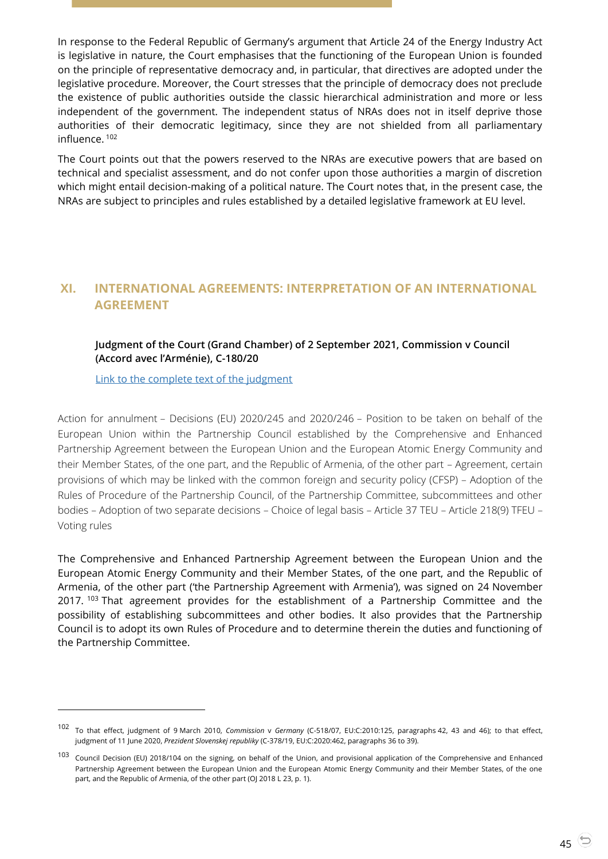In response to the Federal Republic of Germany's argument that Article 24 of the Energy Industry Act is legislative in nature, the Court emphasises that the functioning of the European Union is founded on the principle of representative democracy and, in particular, that directives are adopted under the legislative procedure. Moreover, the Court stresses that the principle of democracy does not preclude the existence of public authorities outside the classic hierarchical administration and more or less independent of the government. The independent status of NRAs does not in itself deprive those authorities of their democratic legitimacy, since they are not shielded from all parliamentary influence. <sup>102</sup>

The Court points out that the powers reserved to the NRAs are executive powers that are based on technical and specialist assessment, and do not confer upon those authorities a margin of discretion which might entail decision-making of a political nature. The Court notes that, in the present case, the NRAs are subject to principles and rules established by a detailed legislative framework at EU level.

# <span id="page-44-1"></span><span id="page-44-0"></span>**XI. INTERNATIONAL AGREEMENTS: INTERPRETATION OF AN INTERNATIONAL AGREEMENT**

## **Judgment of the Court (Grand Chamber) of 2 September 2021, Commission v Council (Accord avec l'Arménie), C-180/20**

[Link to the complete text of the judgment](https://curia.europa.eu/juris/document/document.jsf?text=&docid=245539&pageIndex=0&doclang=en&mode=lst&dir=&occ=first&part=1&cid=21958517)

-

Action for annulment – Decisions (EU) 2020/245 and 2020/246 – Position to be taken on behalf of the European Union within the Partnership Council established by the Comprehensive and Enhanced Partnership Agreement between the European Union and the European Atomic Energy Community and their Member States, of the one part, and the Republic of Armenia, of the other part – Agreement, certain provisions of which may be linked with the common foreign and security policy (CFSP) – Adoption of the Rules of Procedure of the Partnership Council, of the Partnership Committee, subcommittees and other bodies – Adoption of two separate decisions – Choice of legal basis – Article 37 TEU – Article 218(9) TFEU – Voting rules

The Comprehensive and Enhanced Partnership Agreement between the European Union and the European Atomic Energy Community and their Member States, of the one part, and the Republic of Armenia, of the other part ('the Partnership Agreement with Armenia'), was signed on 24 November 2017. <sup>103</sup> That agreement provides for the establishment of a Partnership Committee and the possibility of establishing subcommittees and other bodies. It also provides that the Partnership Council is to adopt its own Rules of Procedure and to determine therein the duties and functioning of the Partnership Committee.

<sup>102</sup> To that effect, judgment of 9 March 2010, *Commission* <sup>v</sup>*Germany* (C-518/07, EU:C:2010:125, paragraphs 42, 43 and 46); to that effect, judgment of 11 June 2020, *Prezident Slovenskej republiky* (C-378/19, EU:C:2020:462, paragraphs 36 to 39).

<sup>103</sup> Council Decision (EU) 2018/104 on the signing, on behalf of the Union, and provisional application of the Comprehensive and Enhanced Partnership Agreement between the European Union and the European Atomic Energy Community and their Member States, of the one part, and the Republic of Armenia, of the other part (OJ 2018 L 23, p. 1).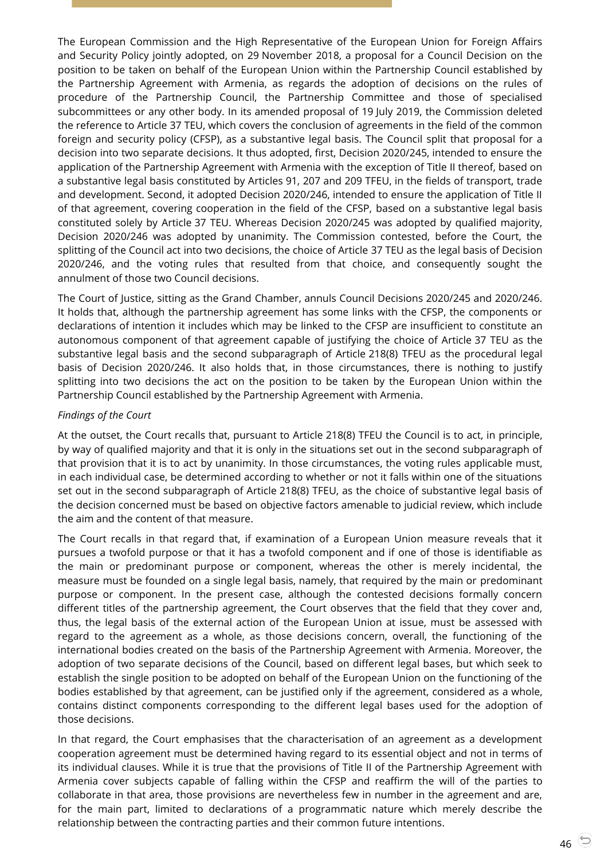The European Commission and the High Representative of the European Union for Foreign Affairs and Security Policy jointly adopted, on 29 November 2018, a proposal for a Council Decision on the position to be taken on behalf of the European Union within the Partnership Council established by the Partnership Agreement with Armenia, as regards the adoption of decisions on the rules of procedure of the Partnership Council, the Partnership Committee and those of specialised subcommittees or any other body. In its amended proposal of 19 July 2019, the Commission deleted the reference to Article 37 TEU, which covers the conclusion of agreements in the field of the common foreign and security policy (CFSP), as a substantive legal basis. The Council split that proposal for a decision into two separate decisions. It thus adopted, first, Decision 2020/245, intended to ensure the application of the Partnership Agreement with Armenia with the exception of Title II thereof, based on a substantive legal basis constituted by Articles 91, 207 and 209 TFEU, in the fields of transport, trade and development. Second, it adopted Decision 2020/246, intended to ensure the application of Title II of that agreement, covering cooperation in the field of the CFSP, based on a substantive legal basis constituted solely by Article 37 TEU. Whereas Decision 2020/245 was adopted by qualified majority, Decision 2020/246 was adopted by unanimity. The Commission contested, before the Court, the splitting of the Council act into two decisions, the choice of Article 37 TEU as the legal basis of Decision 2020/246, and the voting rules that resulted from that choice, and consequently sought the annulment of those two Council decisions.

The Court of Justice, sitting as the Grand Chamber, annuls Council Decisions 2020/245 and 2020/246. It holds that, although the partnership agreement has some links with the CFSP, the components or declarations of intention it includes which may be linked to the CFSP are insufficient to constitute an autonomous component of that agreement capable of justifying the choice of Article 37 TEU as the substantive legal basis and the second subparagraph of Article 218(8) TFEU as the procedural legal basis of Decision 2020/246. It also holds that, in those circumstances, there is nothing to justify splitting into two decisions the act on the position to be taken by the European Union within the Partnership Council established by the Partnership Agreement with Armenia.

## *Findings of the Court*

At the outset, the Court recalls that, pursuant to Article 218(8) TFEU the Council is to act, in principle, by way of qualified majority and that it is only in the situations set out in the second subparagraph of that provision that it is to act by unanimity. In those circumstances, the voting rules applicable must, in each individual case, be determined according to whether or not it falls within one of the situations set out in the second subparagraph of Article 218(8) TFEU, as the choice of substantive legal basis of the decision concerned must be based on objective factors amenable to judicial review, which include the aim and the content of that measure.

The Court recalls in that regard that, if examination of a European Union measure reveals that it pursues a twofold purpose or that it has a twofold component and if one of those is identifiable as the main or predominant purpose or component, whereas the other is merely incidental, the measure must be founded on a single legal basis, namely, that required by the main or predominant purpose or component. In the present case, although the contested decisions formally concern different titles of the partnership agreement, the Court observes that the field that they cover and, thus, the legal basis of the external action of the European Union at issue, must be assessed with regard to the agreement as a whole, as those decisions concern, overall, the functioning of the international bodies created on the basis of the Partnership Agreement with Armenia. Moreover, the adoption of two separate decisions of the Council, based on different legal bases, but which seek to establish the single position to be adopted on behalf of the European Union on the functioning of the bodies established by that agreement, can be justified only if the agreement, considered as a whole, contains distinct components corresponding to the different legal bases used for the adoption of those decisions.

In that regard, the Court emphasises that the characterisation of an agreement as a development cooperation agreement must be determined having regard to its essential object and not in terms of its individual clauses. While it is true that the provisions of Title II of the Partnership Agreement with Armenia cover subjects capable of falling within the CFSP and reaffirm the will of the parties to collaborate in that area, those provisions are nevertheless few in number in the agreement and are, for the main part, limited to declarations of a programmatic nature which merely describe the relationship between the contracting parties and their common future intentions.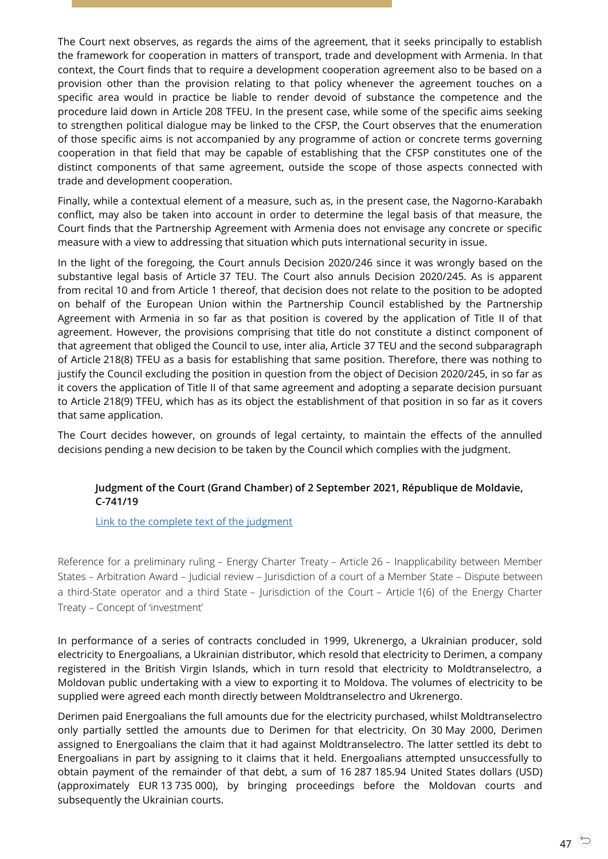The Court next observes, as regards the aims of the agreement, that it seeks principally to establish the framework for cooperation in matters of transport, trade and development with Armenia. In that context, the Court finds that to require a development cooperation agreement also to be based on a provision other than the provision relating to that policy whenever the agreement touches on a specific area would in practice be liable to render devoid of substance the competence and the procedure laid down in Article 208 TFEU. In the present case, while some of the specific aims seeking to strengthen political dialogue may be linked to the CFSP, the Court observes that the enumeration of those specific aims is not accompanied by any programme of action or concrete terms governing cooperation in that field that may be capable of establishing that the CFSP constitutes one of the distinct components of that same agreement, outside the scope of those aspects connected with trade and development cooperation.

Finally, while a contextual element of a measure, such as, in the present case, the Nagorno-Karabakh conflict, may also be taken into account in order to determine the legal basis of that measure, the Court finds that the Partnership Agreement with Armenia does not envisage any concrete or specific measure with a view to addressing that situation which puts international security in issue.

In the light of the foregoing, the Court annuls Decision 2020/246 since it was wrongly based on the substantive legal basis of Article 37 TEU. The Court also annuls Decision 2020/245. As is apparent from recital 10 and from Article 1 thereof, that decision does not relate to the position to be adopted on behalf of the European Union within the Partnership Council established by the Partnership Agreement with Armenia in so far as that position is covered by the application of Title II of that agreement. However, the provisions comprising that title do not constitute a distinct component of that agreement that obliged the Council to use, inter alia, Article 37 TEU and the second subparagraph of Article 218(8) TFEU as a basis for establishing that same position. Therefore, there was nothing to justify the Council excluding the position in question from the object of Decision 2020/245, in so far as it covers the application of Title II of that same agreement and adopting a separate decision pursuant to Article 218(9) TFEU, which has as its object the establishment of that position in so far as it covers that same application.

<span id="page-46-0"></span>The Court decides however, on grounds of legal certainty, to maintain the effects of the annulled decisions pending a new decision to be taken by the Council which complies with the judgment.

## **Judgment of the Court (Grand Chamber) of 2 September 2021, République de Moldavie, C-741/19**

[Link to the complete text of the judgment](https://curia.europa.eu/juris/document/document.jsf?text=&docid=245528&pageIndex=0&doclang=en&mode=lst&dir=&occ=first&part=1&cid=21958517)

Reference for a preliminary ruling – Energy Charter Treaty – Article 26 – Inapplicability between Member States – Arbitration Award – Judicial review – Jurisdiction of a court of a Member State – Dispute between a third-State operator and a third State – Jurisdiction of the Court – Article 1(6) of the Energy Charter Treaty – Concept of 'investment'

In performance of a series of contracts concluded in 1999, Ukrenergo, a Ukrainian producer, sold electricity to Energoalians, a Ukrainian distributor, which resold that electricity to Derimen, a company registered in the British Virgin Islands, which in turn resold that electricity to Moldtranselectro, a Moldovan public undertaking with a view to exporting it to Moldova. The volumes of electricity to be supplied were agreed each month directly between Moldtranselectro and Ukrenergo.

Derimen paid Energoalians the full amounts due for the electricity purchased, whilst Moldtranselectro only partially settled the amounts due to Derimen for that electricity. On 30 May 2000, Derimen assigned to Energoalians the claim that it had against Moldtranselectro. The latter settled its debt to Energoalians in part by assigning to it claims that it held. Energoalians attempted unsuccessfully to obtain payment of the remainder of that debt, a sum of 16 287 185.94 United States dollars (USD) (approximately EUR 13 735 000), by bringing proceedings before the Moldovan courts and subsequently the Ukrainian courts.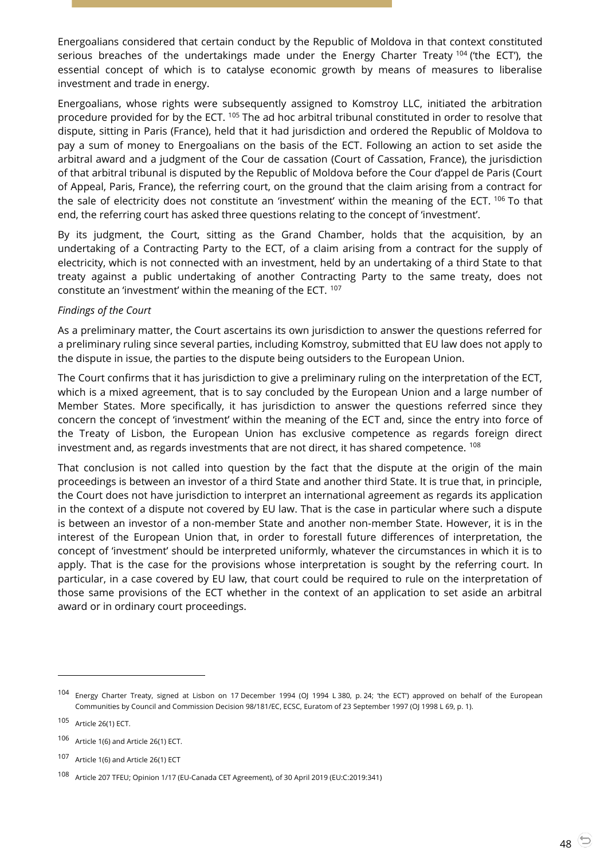Energoalians considered that certain conduct by the Republic of Moldova in that context constituted serious breaches of the undertakings made under the Energy Charter Treaty  $104$  ('the ECT'), the essential concept of which is to catalyse economic growth by means of measures to liberalise investment and trade in energy.

Energoalians, whose rights were subsequently assigned to Komstroy LLC, initiated the arbitration procedure provided for by the ECT. <sup>105</sup> The ad hoc arbitral tribunal constituted in order to resolve that dispute, sitting in Paris (France), held that it had jurisdiction and ordered the Republic of Moldova to pay a sum of money to Energoalians on the basis of the ECT. Following an action to set aside the arbitral award and a judgment of the Cour de cassation (Court of Cassation, France), the jurisdiction of that arbitral tribunal is disputed by the Republic of Moldova before the Cour d'appel de Paris (Court of Appeal, Paris, France), the referring court, on the ground that the claim arising from a contract for the sale of electricity does not constitute an 'investment' within the meaning of the ECT. 106 To that end, the referring court has asked three questions relating to the concept of 'investment'.

By its judgment, the Court, sitting as the Grand Chamber, holds that the acquisition, by an undertaking of a Contracting Party to the ECT, of a claim arising from a contract for the supply of electricity, which is not connected with an investment, held by an undertaking of a third State to that treaty against a public undertaking of another Contracting Party to the same treaty, does not constitute an 'investment' within the meaning of the ECT. <sup>107</sup>

#### *Findings of the Court*

As a preliminary matter, the Court ascertains its own jurisdiction to answer the questions referred for a preliminary ruling since several parties, including Komstroy, submitted that EU law does not apply to the dispute in issue, the parties to the dispute being outsiders to the European Union.

The Court confirms that it has jurisdiction to give a preliminary ruling on the interpretation of the ECT, which is a mixed agreement, that is to say concluded by the European Union and a large number of Member States. More specifically, it has jurisdiction to answer the questions referred since they concern the concept of 'investment' within the meaning of the ECT and, since the entry into force of the Treaty of Lisbon, the European Union has exclusive competence as regards foreign direct investment and, as regards investments that are not direct, it has shared competence. <sup>108</sup>

That conclusion is not called into question by the fact that the dispute at the origin of the main proceedings is between an investor of a third State and another third State. It is true that, in principle, the Court does not have jurisdiction to interpret an international agreement as regards its application in the context of a dispute not covered by EU law. That is the case in particular where such a dispute is between an investor of a non-member State and another non-member State. However, it is in the interest of the European Union that, in order to forestall future differences of interpretation, the concept of 'investment' should be interpreted uniformly, whatever the circumstances in which it is to apply. That is the case for the provisions whose interpretation is sought by the referring court. In particular, in a case covered by EU law, that court could be required to rule on the interpretation of those same provisions of the ECT whether in the context of an application to set aside an arbitral award or in ordinary court proceedings.

-

<sup>104</sup> Energy Charter Treaty, signed at Lisbon on 17 December 1994 (OJ 1994 L 380, p. 24; 'the ECT') approved on behalf of the European Communities by Council and Commission Decision 98/181/EC, ECSC, Euratom of 23 September 1997 (OJ 1998 L 69, p. 1).

<sup>105</sup> Article 26(1) ECT.

<sup>106</sup> Article 1(6) and Article 26(1) ECT.

<sup>107</sup> Article 1(6) and Article 26(1) ECT

<sup>108</sup> Article 207 TFEU; Opinion 1/17 (EU-Canada CET Agreement), of 30 April 2019 (EU:C:2019:341)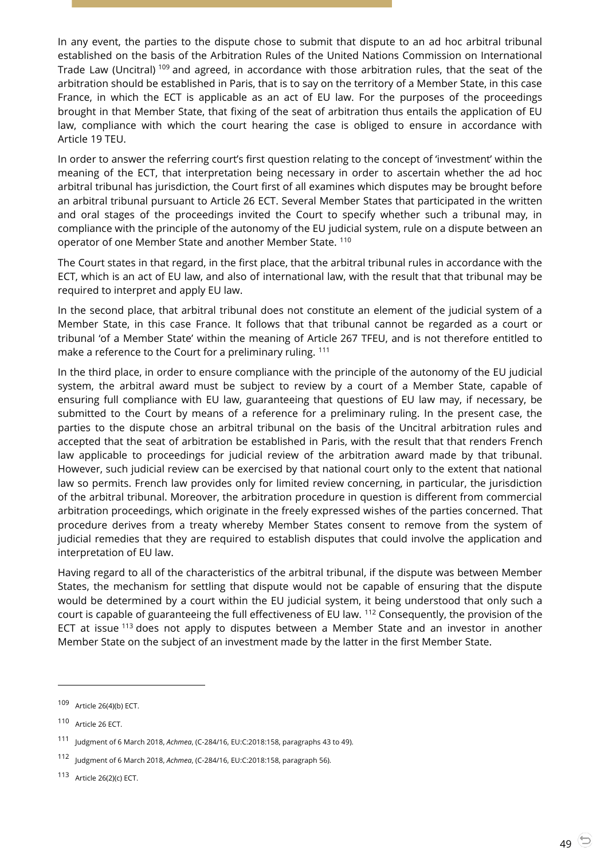In any event, the parties to the dispute chose to submit that dispute to an ad hoc arbitral tribunal established on the basis of the Arbitration Rules of the United Nations Commission on International Trade Law (Uncitral)<sup>109</sup> and agreed, in accordance with those arbitration rules, that the seat of the arbitration should be established in Paris, that is to say on the territory of a Member State, in this case France, in which the ECT is applicable as an act of EU law. For the purposes of the proceedings brought in that Member State, that fixing of the seat of arbitration thus entails the application of EU law, compliance with which the court hearing the case is obliged to ensure in accordance with Article 19 TEU.

In order to answer the referring court's first question relating to the concept of 'investment' within the meaning of the ECT, that interpretation being necessary in order to ascertain whether the ad hoc arbitral tribunal has jurisdiction, the Court first of all examines which disputes may be brought before an arbitral tribunal pursuant to Article 26 ECT. Several Member States that participated in the written and oral stages of the proceedings invited the Court to specify whether such a tribunal may, in compliance with the principle of the autonomy of the EU judicial system, rule on a dispute between an operator of one Member State and another Member State. <sup>110</sup>

The Court states in that regard, in the first place, that the arbitral tribunal rules in accordance with the ECT, which is an act of EU law, and also of international law, with the result that that tribunal may be required to interpret and apply EU law.

In the second place, that arbitral tribunal does not constitute an element of the judicial system of a Member State, in this case France. It follows that that tribunal cannot be regarded as a court or tribunal 'of a Member State' within the meaning of Article 267 TFEU, and is not therefore entitled to make a reference to the Court for a preliminary ruling. <sup>111</sup>

In the third place, in order to ensure compliance with the principle of the autonomy of the EU judicial system, the arbitral award must be subject to review by a court of a Member State, capable of ensuring full compliance with EU law, guaranteeing that questions of EU law may, if necessary, be submitted to the Court by means of a reference for a preliminary ruling. In the present case, the parties to the dispute chose an arbitral tribunal on the basis of the Uncitral arbitration rules and accepted that the seat of arbitration be established in Paris, with the result that that renders French law applicable to proceedings for judicial review of the arbitration award made by that tribunal. However, such judicial review can be exercised by that national court only to the extent that national law so permits. French law provides only for limited review concerning, in particular, the jurisdiction of the arbitral tribunal. Moreover, the arbitration procedure in question is different from commercial arbitration proceedings, which originate in the freely expressed wishes of the parties concerned. That procedure derives from a treaty whereby Member States consent to remove from the system of judicial remedies that they are required to establish disputes that could involve the application and interpretation of EU law.

Having regard to all of the characteristics of the arbitral tribunal, if the dispute was between Member States, the mechanism for settling that dispute would not be capable of ensuring that the dispute would be determined by a court within the EU judicial system, it being understood that only such a court is capable of guaranteeing the full effectiveness of EU law. <sup>112</sup> Consequently, the provision of the ECT at issue  $113$  does not apply to disputes between a Member State and an investor in another Member State on the subject of an investment made by the latter in the first Member State.

<sup>109</sup> Article 26(4)(b) ECT.

<sup>110</sup> Article 26 ECT.

<sup>111</sup> Judgment of 6 March 2018, *Achmea*, (C-284/16, EU:C:2018:158, paragraphs 43 to 49).

<sup>112</sup> Judgment of 6 March 2018, *Achmea*, (C-284/16, EU:C:2018:158, paragraph 56).

<sup>113</sup> Article 26(2)(c) ECT.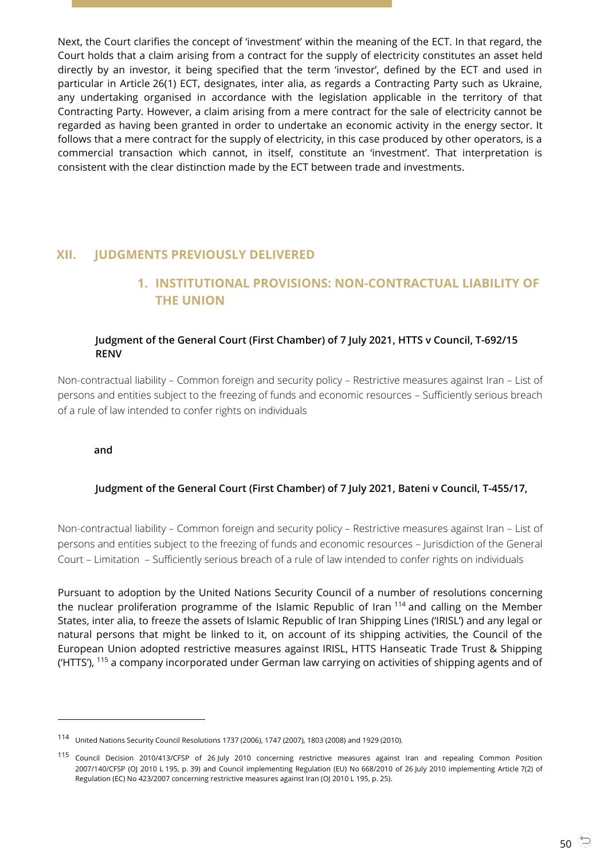Next, the Court clarifies the concept of 'investment' within the meaning of the ECT. In that regard, the Court holds that a claim arising from a contract for the supply of electricity constitutes an asset held directly by an investor, it being specified that the term 'investor', defined by the ECT and used in particular in Article 26(1) ECT, designates, inter alia, as regards a Contracting Party such as Ukraine, any undertaking organised in accordance with the legislation applicable in the territory of that Contracting Party. However, a claim arising from a mere contract for the sale of electricity cannot be regarded as having been granted in order to undertake an economic activity in the energy sector. It follows that a mere contract for the supply of electricity, in this case produced by other operators, is a commercial transaction which cannot, in itself, constitute an 'investment'. That interpretation is consistent with the clear distinction made by the ECT between trade and investments.

# <span id="page-49-1"></span><span id="page-49-0"></span>**XII. JUDGMENTS PREVIOUSLY DELIVERED**

# **1. INSTITUTIONAL PROVISIONS: NON-CONTRACTUAL LIABILITY OF THE UNION**

## <span id="page-49-2"></span>**Judgment of the General Court (First Chamber) of 7 July 2021, HTTS v Council, T-692/15 RENV**

Non-contractual liability – Common foreign and security policy – Restrictive measures against Iran – List of persons and entities subject to the freezing of funds and economic resources – Sufficiently serious breach of a rule of law intended to confer rights on individuals

<span id="page-49-3"></span>**and**

 $\overline{a}$ 

## **Judgment of the General Court (First Chamber) of 7 July 2021, Bateni v Council, T-455/17,**

Non-contractual liability – Common foreign and security policy – Restrictive measures against Iran – List of persons and entities subject to the freezing of funds and economic resources – Jurisdiction of the General Court – Limitation – Sufficiently serious breach of a rule of law intended to confer rights on individuals

Pursuant to adoption by the United Nations Security Council of a number of resolutions concerning the nuclear proliferation programme of the Islamic Republic of Iran <sup>114</sup> and calling on the Member States, inter alia, to freeze the assets of Islamic Republic of Iran Shipping Lines ('IRISL') and any legal or natural persons that might be linked to it, on account of its shipping activities, the Council of the European Union adopted restrictive measures against IRISL, HTTS Hanseatic Trade Trust & Shipping ('HTTS'), <sup>115</sup> a company incorporated under German law carrying on activities of shipping agents and of

<sup>114</sup> United Nations Security Council Resolutions 1737 (2006), 1747 (2007), 1803 (2008) and 1929 (2010).

<sup>115</sup> Council Decision 2010/413/CFSP of 26 July 2010 concerning restrictive measures against Iran and repealing Common Position 2007/140/CFSP (OJ 2010 L 195, p. 39) and Council implementing Regulation (EU) No 668/2010 of 26 July 2010 implementing Article 7(2) of Regulation (EC) No 423/2007 concerning restrictive measures against Iran (OJ 2010 L 195, p. 25).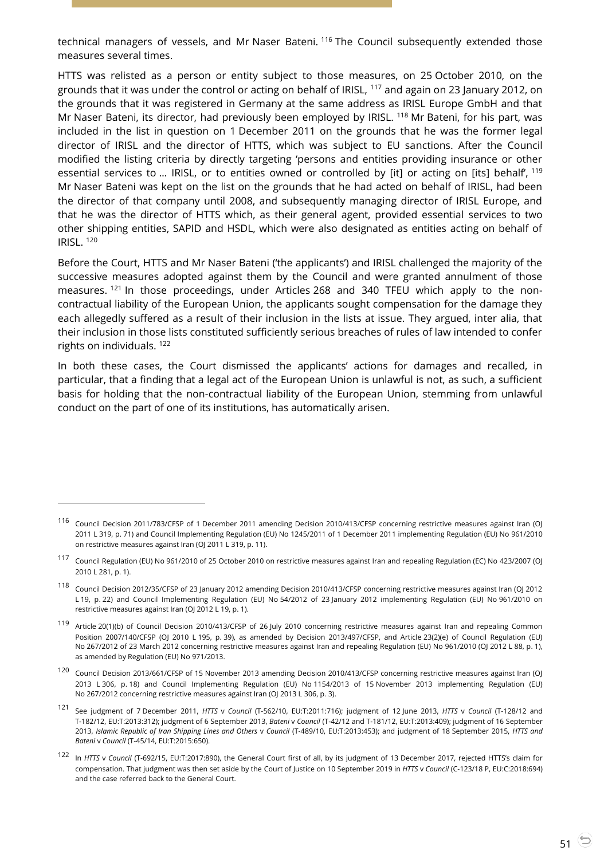technical managers of vessels, and Mr Naser Bateni. <sup>116</sup> The Council subsequently extended those measures several times.

HTTS was relisted as a person or entity subject to those measures, on 25 October 2010, on the grounds that it was under the control or acting on behalf of IRISL, <sup>117</sup> and again on 23 January 2012, on the grounds that it was registered in Germany at the same address as IRISL Europe GmbH and that Mr Naser Bateni, its director, had previously been employed by IRISL. <sup>118</sup> Mr Bateni, for his part, was included in the list in question on 1 December 2011 on the grounds that he was the former legal director of IRISL and the director of HTTS, which was subject to EU sanctions. After the Council modified the listing criteria by directly targeting 'persons and entities providing insurance or other essential services to ... IRISL, or to entities owned or controlled by [it] or acting on [its] behalf, <sup>119</sup> Mr Naser Bateni was kept on the list on the grounds that he had acted on behalf of IRISL, had been the director of that company until 2008, and subsequently managing director of IRISL Europe, and that he was the director of HTTS which, as their general agent, provided essential services to two other shipping entities, SAPID and HSDL, which were also designated as entities acting on behalf of IRISL. <sup>120</sup>

Before the Court, HTTS and Mr Naser Bateni ('the applicants') and IRISL challenged the majority of the successive measures adopted against them by the Council and were granted annulment of those measures. <sup>121</sup> In those proceedings, under Articles 268 and 340 TFEU which apply to the noncontractual liability of the European Union, the applicants sought compensation for the damage they each allegedly suffered as a result of their inclusion in the lists at issue. They argued, inter alia, that their inclusion in those lists constituted sufficiently serious breaches of rules of law intended to confer rights on individuals. <sup>122</sup>

In both these cases, the Court dismissed the applicants' actions for damages and recalled, in particular, that a finding that a legal act of the European Union is unlawful is not, as such, a sufficient basis for holding that the non-contractual liability of the European Union, stemming from unlawful conduct on the part of one of its institutions, has automatically arisen.

<sup>116</sup> Council Decision 2011/783/CFSP of 1 December 2011 amending Decision 2010/413/CFSP concerning restrictive measures against Iran (OJ 2011 L 319, p. 71) and Council Implementing Regulation (EU) No 1245/2011 of 1 December 2011 implementing Regulation (EU) No 961/2010 on restrictive measures against Iran (OJ 2011 L 319, p. 11).

<sup>117</sup> Council Regulation (EU) No 961/2010 of 25 October 2010 on restrictive measures against Iran and repealing Regulation (EC) No 423/2007 (OJ 2010 L 281, p. 1).

<sup>118</sup> Council Decision 2012/35/CFSP of 23 January 2012 amending Decision 2010/413/CFSP concerning restrictive measures against Iran (OJ 2012 L 19, p. 22) and Council Implementing Regulation (EU) No 54/2012 of 23 January 2012 implementing Regulation (EU) No 961/2010 on restrictive measures against Iran (OJ 2012 L 19, p. 1).

<sup>119</sup> Article 20(1)(b) of Council Decision 2010/413/CFSP of 26 July 2010 concerning restrictive measures against Iran and repealing Common Position 2007/140/CFSP (OJ 2010 L 195, p. 39), as amended by Decision 2013/497/CFSP, and Article 23(2)(e) of Council Regulation (EU) No 267/2012 of 23 March 2012 concerning restrictive measures against Iran and repealing Regulation (EU) No 961/2010 (OJ 2012 L 88, p. 1), as amended by Regulation (EU) No 971/2013.

<sup>120</sup> Council Decision 2013/661/CFSP of 15 November 2013 amending Decision 2010/413/CFSP concerning restrictive measures against Iran (OJ 2013 L 306, p. 18) and Council Implementing Regulation (EU) No 1154/2013 of 15 November 2013 implementing Regulation (EU) No 267/2012 concerning restrictive measures against Iran (OJ 2013 L 306, p. 3).

<sup>121</sup> See judgment of 7 December 2011, *HTTS* v *Council* (T-562/10, EU:T:2011:716); judgment of 12 June 2013, *HTTS* v *Council* (T-128/12 and T-182/12, EU:T:2013:312); judgment of 6 September 2013, *Bateni* v *Council* (T-42/12 and T-181/12, EU:T:2013:409); judgment of 16 September 2013, *Islamic Republic of Iran Shipping Lines and Others* v *Council* (T-489/10, EU:T:2013:453); and judgment of 18 September 2015, *HTTS and Bateni* v *Council* (T-45/14, EU:T:2015:650).

<sup>122</sup> In *HTTS* v *Council* (T-692/15, EU:T:2017:890), the General Court first of all, by its judgment of 13 December 2017, rejected HTTS's claim for compensation. That judgment was then set aside by the Court of Justice on 10 September 2019 in *HTTS* v *Council* (C-123/18 P, EU:C:2018:694) and the case referred back to the General Court.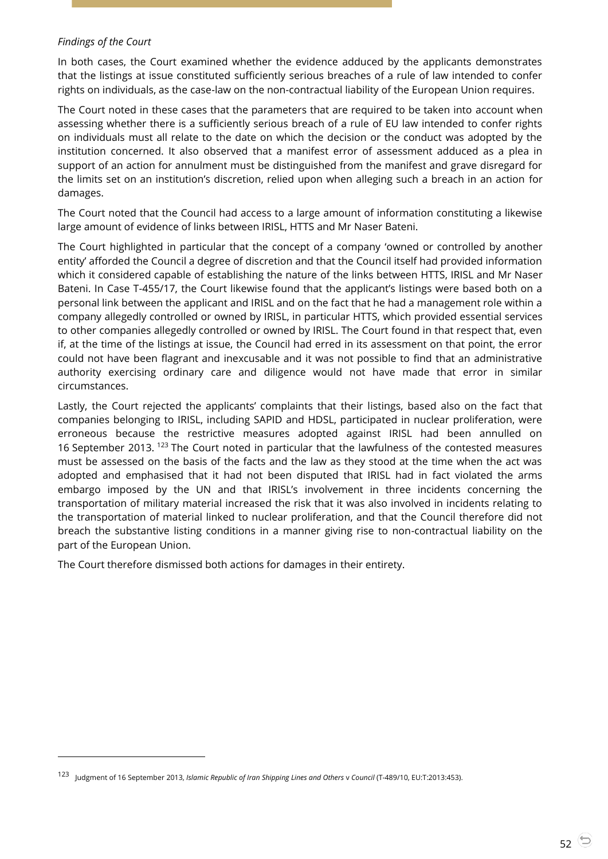#### *Findings of the Court*

 $\overline{a}$ 

In both cases, the Court examined whether the evidence adduced by the applicants demonstrates that the listings at issue constituted sufficiently serious breaches of a rule of law intended to confer rights on individuals, as the case-law on the non-contractual liability of the European Union requires.

The Court noted in these cases that the parameters that are required to be taken into account when assessing whether there is a sufficiently serious breach of a rule of EU law intended to confer rights on individuals must all relate to the date on which the decision or the conduct was adopted by the institution concerned. It also observed that a manifest error of assessment adduced as a plea in support of an action for annulment must be distinguished from the manifest and grave disregard for the limits set on an institution's discretion, relied upon when alleging such a breach in an action for damages.

The Court noted that the Council had access to a large amount of information constituting a likewise large amount of evidence of links between IRISL, HTTS and Mr Naser Bateni.

The Court highlighted in particular that the concept of a company 'owned or controlled by another entity' afforded the Council a degree of discretion and that the Council itself had provided information which it considered capable of establishing the nature of the links between HTTS, IRISL and Mr Naser Bateni. In Case T-455/17, the Court likewise found that the applicant's listings were based both on a personal link between the applicant and IRISL and on the fact that he had a management role within a company allegedly controlled or owned by IRISL, in particular HTTS, which provided essential services to other companies allegedly controlled or owned by IRISL. The Court found in that respect that, even if, at the time of the listings at issue, the Council had erred in its assessment on that point, the error could not have been flagrant and inexcusable and it was not possible to find that an administrative authority exercising ordinary care and diligence would not have made that error in similar circumstances.

Lastly, the Court rejected the applicants' complaints that their listings, based also on the fact that companies belonging to IRISL, including SAPID and HDSL, participated in nuclear proliferation, were erroneous because the restrictive measures adopted against IRISL had been annulled on 16 September 2013. <sup>123</sup> The Court noted in particular that the lawfulness of the contested measures must be assessed on the basis of the facts and the law as they stood at the time when the act was adopted and emphasised that it had not been disputed that IRISL had in fact violated the arms embargo imposed by the UN and that IRISL's involvement in three incidents concerning the transportation of military material increased the risk that it was also involved in incidents relating to the transportation of material linked to nuclear proliferation, and that the Council therefore did not breach the substantive listing conditions in a manner giving rise to non-contractual liability on the part of the European Union.

The Court therefore dismissed both actions for damages in their entirety.

<sup>123</sup> Judgment of 16 September 2013, *Islamic Republic of Iran Shipping Lines and Others* v *Council* (T-489/10, EU:T:2013:453).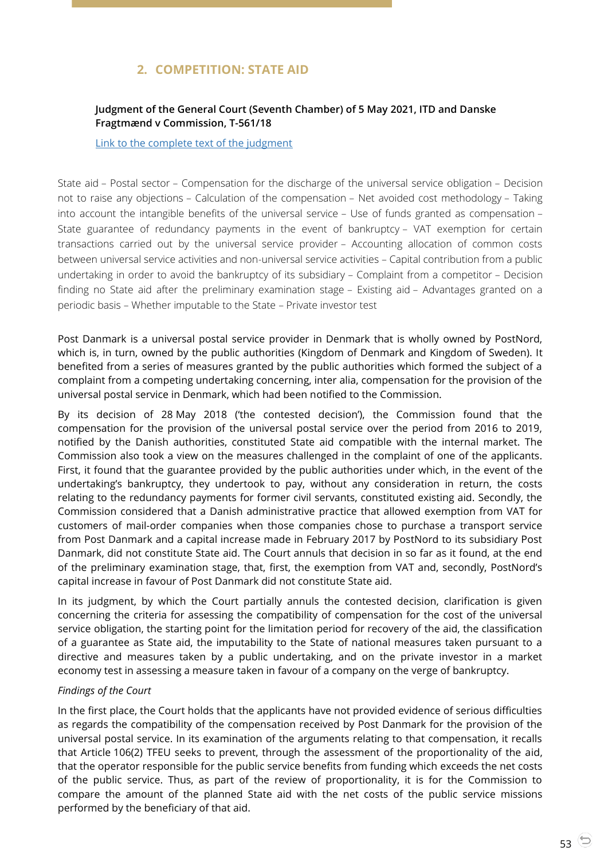# **2. COMPETITION: STATE AID**

## <span id="page-52-1"></span><span id="page-52-0"></span>**Judgment of the General Court (Seventh Chamber) of 5 May 2021, ITD and Danske Fragtmænd v Commission, T-561/18**

[Link to the complete text of the judgment](https://curia.europa.eu/juris/document/document.jsf?text=&docid=240821&pageIndex=0&doclang=en&mode=lst&dir=&occ=first&part=1&cid=21958517)

State aid – Postal sector – Compensation for the discharge of the universal service obligation – Decision not to raise any objections – Calculation of the compensation – Net avoided cost methodology – Taking into account the intangible benefits of the universal service – Use of funds granted as compensation – State guarantee of redundancy payments in the event of bankruptcy – VAT exemption for certain transactions carried out by the universal service provider – Accounting allocation of common costs between universal service activities and non-universal service activities – Capital contribution from a public undertaking in order to avoid the bankruptcy of its subsidiary – Complaint from a competitor – Decision finding no State aid after the preliminary examination stage – Existing aid – Advantages granted on a periodic basis – Whether imputable to the State – Private investor test

Post Danmark is a universal postal service provider in Denmark that is wholly owned by PostNord, which is, in turn, owned by the public authorities (Kingdom of Denmark and Kingdom of Sweden). It benefited from a series of measures granted by the public authorities which formed the subject of a complaint from a competing undertaking concerning, inter alia, compensation for the provision of the universal postal service in Denmark, which had been notified to the Commission.

By its decision of 28 May 2018 ('the contested decision'), the Commission found that the compensation for the provision of the universal postal service over the period from 2016 to 2019, notified by the Danish authorities, constituted State aid compatible with the internal market. The Commission also took a view on the measures challenged in the complaint of one of the applicants. First, it found that the guarantee provided by the public authorities under which, in the event of the undertaking's bankruptcy, they undertook to pay, without any consideration in return, the costs relating to the redundancy payments for former civil servants, constituted existing aid. Secondly, the Commission considered that a Danish administrative practice that allowed exemption from VAT for customers of mail-order companies when those companies chose to purchase a transport service from Post Danmark and a capital increase made in February 2017 by PostNord to its subsidiary Post Danmark, did not constitute State aid. The Court annuls that decision in so far as it found, at the end of the preliminary examination stage, that, first, the exemption from VAT and, secondly, PostNord's capital increase in favour of Post Danmark did not constitute State aid.

In its judgment, by which the Court partially annuls the contested decision, clarification is given concerning the criteria for assessing the compatibility of compensation for the cost of the universal service obligation, the starting point for the limitation period for recovery of the aid, the classification of a guarantee as State aid, the imputability to the State of national measures taken pursuant to a directive and measures taken by a public undertaking, and on the private investor in a market economy test in assessing a measure taken in favour of a company on the verge of bankruptcy.

## *Findings of the Court*

In the first place, the Court holds that the applicants have not provided evidence of serious difficulties as regards the compatibility of the compensation received by Post Danmark for the provision of the universal postal service. In its examination of the arguments relating to that compensation, it recalls that Article 106(2) TFEU seeks to prevent, through the assessment of the proportionality of the aid, that the operator responsible for the public service benefits from funding which exceeds the net costs of the public service. Thus, as part of the review of proportionality, it is for the Commission to compare the amount of the planned State aid with the net costs of the public service missions performed by the beneficiary of that aid.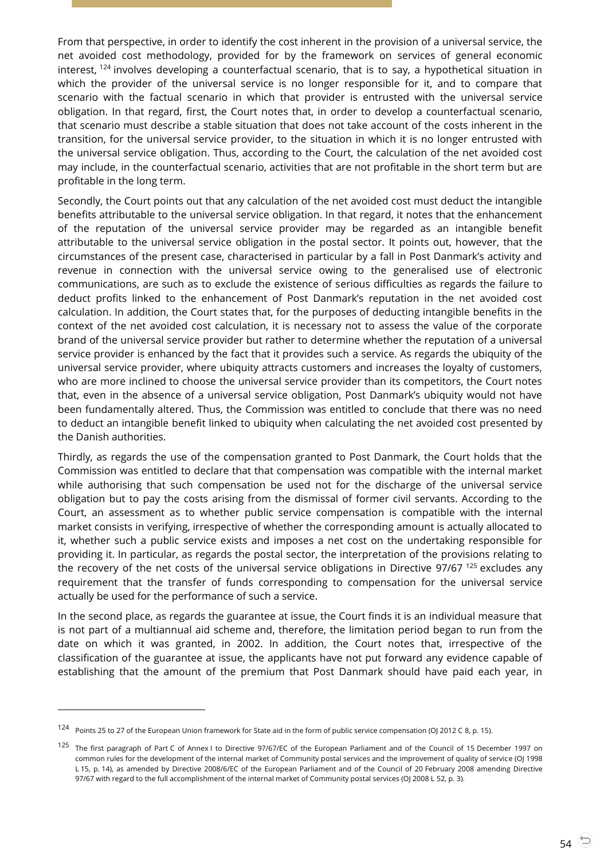From that perspective, in order to identify the cost inherent in the provision of a universal service, the net avoided cost methodology, provided for by the framework on services of general economic interest, <sup>124</sup> involves developing a counterfactual scenario, that is to say, a hypothetical situation in which the provider of the universal service is no longer responsible for it, and to compare that scenario with the factual scenario in which that provider is entrusted with the universal service obligation. In that regard, first, the Court notes that, in order to develop a counterfactual scenario, that scenario must describe a stable situation that does not take account of the costs inherent in the transition, for the universal service provider, to the situation in which it is no longer entrusted with the universal service obligation. Thus, according to the Court, the calculation of the net avoided cost may include, in the counterfactual scenario, activities that are not profitable in the short term but are profitable in the long term.

Secondly, the Court points out that any calculation of the net avoided cost must deduct the intangible benefits attributable to the universal service obligation. In that regard, it notes that the enhancement of the reputation of the universal service provider may be regarded as an intangible benefit attributable to the universal service obligation in the postal sector. It points out, however, that the circumstances of the present case, characterised in particular by a fall in Post Danmark's activity and revenue in connection with the universal service owing to the generalised use of electronic communications, are such as to exclude the existence of serious difficulties as regards the failure to deduct profits linked to the enhancement of Post Danmark's reputation in the net avoided cost calculation. In addition, the Court states that, for the purposes of deducting intangible benefits in the context of the net avoided cost calculation, it is necessary not to assess the value of the corporate brand of the universal service provider but rather to determine whether the reputation of a universal service provider is enhanced by the fact that it provides such a service. As regards the ubiquity of the universal service provider, where ubiquity attracts customers and increases the loyalty of customers, who are more inclined to choose the universal service provider than its competitors, the Court notes that, even in the absence of a universal service obligation, Post Danmark's ubiquity would not have been fundamentally altered. Thus, the Commission was entitled to conclude that there was no need to deduct an intangible benefit linked to ubiquity when calculating the net avoided cost presented by the Danish authorities.

Thirdly, as regards the use of the compensation granted to Post Danmark, the Court holds that the Commission was entitled to declare that that compensation was compatible with the internal market while authorising that such compensation be used not for the discharge of the universal service obligation but to pay the costs arising from the dismissal of former civil servants. According to the Court, an assessment as to whether public service compensation is compatible with the internal market consists in verifying, irrespective of whether the corresponding amount is actually allocated to it, whether such a public service exists and imposes a net cost on the undertaking responsible for providing it. In particular, as regards the postal sector, the interpretation of the provisions relating to the recovery of the net costs of the universal service obligations in Directive 97/67  $^{125}$  excludes any requirement that the transfer of funds corresponding to compensation for the universal service actually be used for the performance of such a service.

In the second place, as regards the guarantee at issue, the Court finds it is an individual measure that is not part of a multiannual aid scheme and, therefore, the limitation period began to run from the date on which it was granted, in 2002. In addition, the Court notes that, irrespective of the classification of the guarantee at issue, the applicants have not put forward any evidence capable of establishing that the amount of the premium that Post Danmark should have paid each year, in

-

<sup>&</sup>lt;sup>124</sup> Points 25 to 27 of the European Union framework for State aid in the form of public service compensation (OJ 2012 C 8, p. 15).

<sup>125</sup> The first paragraph of Part C of Annex I to Directive 97/67/EC of the European Parliament and of the Council of 15 December 1997 on common rules for the development of the internal market of Community postal services and the improvement of quality of service (OJ 1998 L 15, p. 14), as amended by Directive 2008/6/EC of the European Parliament and of the Council of 20 February 2008 amending Directive 97/67 with regard to the full accomplishment of the internal market of Community postal services (OJ 2008 L 52, p. 3).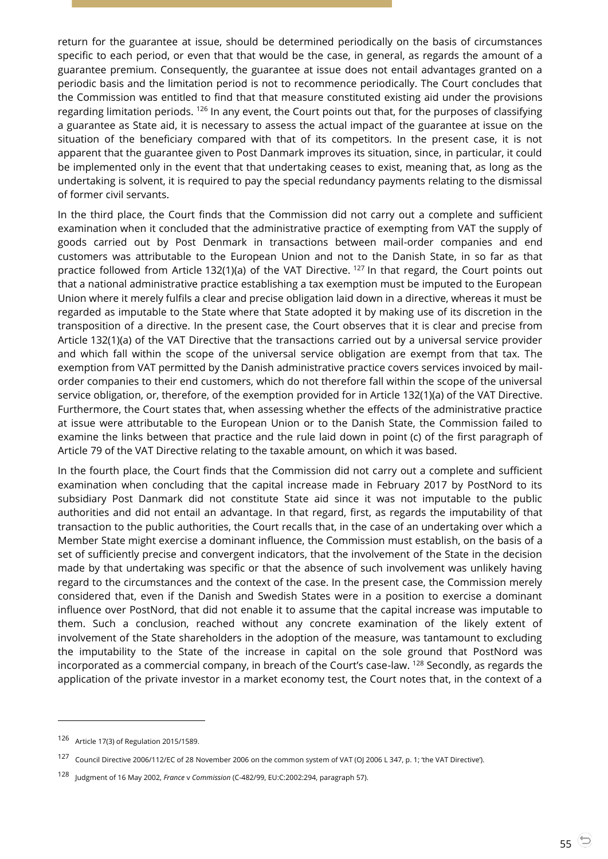return for the guarantee at issue, should be determined periodically on the basis of circumstances specific to each period, or even that that would be the case, in general, as regards the amount of a guarantee premium. Consequently, the guarantee at issue does not entail advantages granted on a periodic basis and the limitation period is not to recommence periodically. The Court concludes that the Commission was entitled to find that that measure constituted existing aid under the provisions regarding limitation periods.  $126$  In any event, the Court points out that, for the purposes of classifying a guarantee as State aid, it is necessary to assess the actual impact of the guarantee at issue on the situation of the beneficiary compared with that of its competitors. In the present case, it is not apparent that the guarantee given to Post Danmark improves its situation, since, in particular, it could be implemented only in the event that that undertaking ceases to exist, meaning that, as long as the undertaking is solvent, it is required to pay the special redundancy payments relating to the dismissal of former civil servants.

In the third place, the Court finds that the Commission did not carry out a complete and sufficient examination when it concluded that the administrative practice of exempting from VAT the supply of goods carried out by Post Denmark in transactions between mail-order companies and end customers was attributable to the European Union and not to the Danish State, in so far as that practice followed from Article 132(1)(a) of the VAT Directive. <sup>127</sup> In that regard, the Court points out that a national administrative practice establishing a tax exemption must be imputed to the European Union where it merely fulfils a clear and precise obligation laid down in a directive, whereas it must be regarded as imputable to the State where that State adopted it by making use of its discretion in the transposition of a directive. In the present case, the Court observes that it is clear and precise from Article 132(1)(a) of the VAT Directive that the transactions carried out by a universal service provider and which fall within the scope of the universal service obligation are exempt from that tax. The exemption from VAT permitted by the Danish administrative practice covers services invoiced by mailorder companies to their end customers, which do not therefore fall within the scope of the universal service obligation, or, therefore, of the exemption provided for in Article 132(1)(a) of the VAT Directive. Furthermore, the Court states that, when assessing whether the effects of the administrative practice at issue were attributable to the European Union or to the Danish State, the Commission failed to examine the links between that practice and the rule laid down in point (c) of the first paragraph of Article 79 of the VAT Directive relating to the taxable amount, on which it was based.

In the fourth place, the Court finds that the Commission did not carry out a complete and sufficient examination when concluding that the capital increase made in February 2017 by PostNord to its subsidiary Post Danmark did not constitute State aid since it was not imputable to the public authorities and did not entail an advantage. In that regard, first, as regards the imputability of that transaction to the public authorities, the Court recalls that, in the case of an undertaking over which a Member State might exercise a dominant influence, the Commission must establish, on the basis of a set of sufficiently precise and convergent indicators, that the involvement of the State in the decision made by that undertaking was specific or that the absence of such involvement was unlikely having regard to the circumstances and the context of the case. In the present case, the Commission merely considered that, even if the Danish and Swedish States were in a position to exercise a dominant influence over PostNord, that did not enable it to assume that the capital increase was imputable to them. Such a conclusion, reached without any concrete examination of the likely extent of involvement of the State shareholders in the adoption of the measure, was tantamount to excluding the imputability to the State of the increase in capital on the sole ground that PostNord was incorporated as a commercial company, in breach of the Court's case-law. <sup>128</sup> Secondly, as regards the application of the private investor in a market economy test, the Court notes that, in the context of a

<sup>126</sup> Article 17(3) of Regulation 2015/1589.

<sup>127</sup> Council Directive 2006/112/EC of 28 November 2006 on the common system of VAT (OJ 2006 L 347, p. 1; 'the VAT Directive').

<sup>128</sup> Judgment of 16 May 2002, *France* <sup>v</sup>*Commission* (C-482/99, EU:C:2002:294, paragraph 57).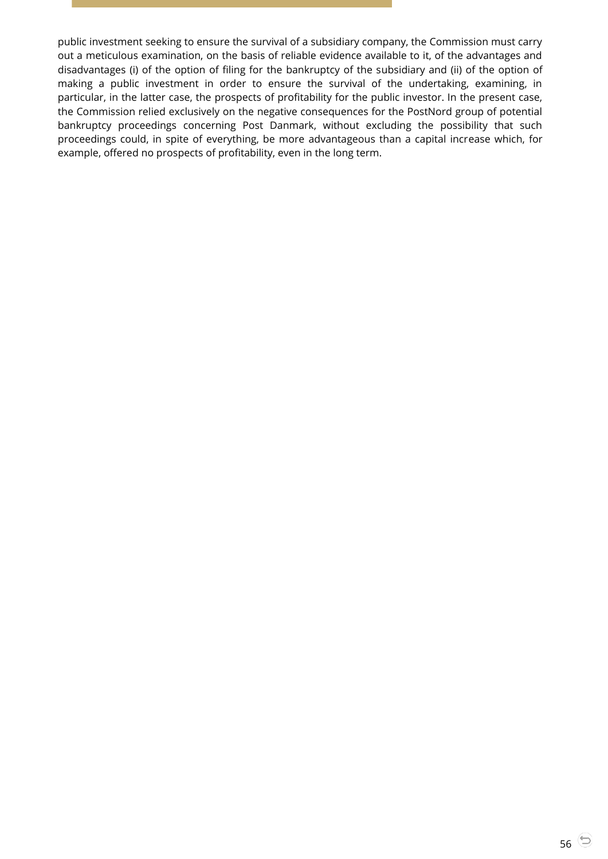public investment seeking to ensure the survival of a subsidiary company, the Commission must carry out a meticulous examination, on the basis of reliable evidence available to it, of the advantages and disadvantages (i) of the option of filing for the bankruptcy of the subsidiary and (ii) of the option of making a public investment in order to ensure the survival of the undertaking, examining, in particular, in the latter case, the prospects of profitability for the public investor. In the present case, the Commission relied exclusively on the negative consequences for the PostNord group of potential bankruptcy proceedings concerning Post Danmark, without excluding the possibility that such proceedings could, in spite of everything, be more advantageous than a capital increase which, for example, offered no prospects of profitability, even in the long term.